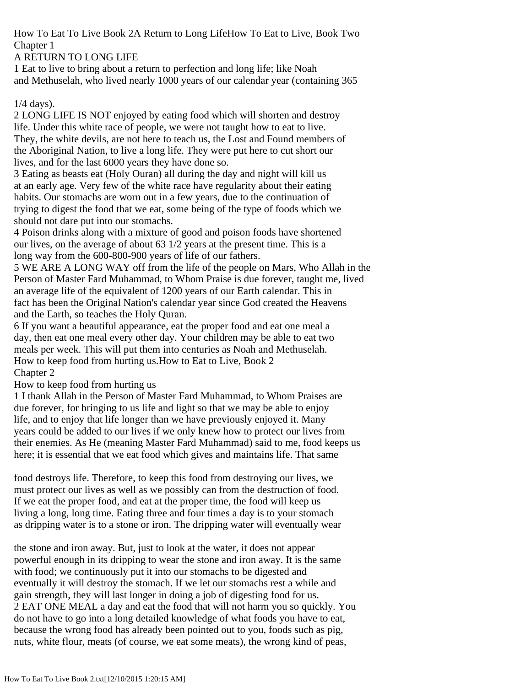How To Eat To Live Book 2A Return to Long LifeHow To Eat to Live, Book Two Chapter 1

A RETURN TO LONG LIFE

1 Eat to live to bring about a return to perfection and long life; like Noah and Methuselah, who lived nearly 1000 years of our calendar year (containing 365

1/4 days).

2 LONG LIFE IS NOT enjoyed by eating food which will shorten and destroy life. Under this white race of people, we were not taught how to eat to live. They, the white devils, are not here to teach us, the Lost and Found members of the Aboriginal Nation, to live a long life. They were put here to cut short our lives, and for the last 6000 years they have done so.

3 Eating as beasts eat (Holy Ouran) all during the day and night will kill us at an early age. Very few of the white race have regularity about their eating habits. Our stomachs are worn out in a few years, due to the continuation of trying to digest the food that we eat, some being of the type of foods which we should not dare put into our stomachs.

4 Poison drinks along with a mixture of good and poison foods have shortened our lives, on the average of about 63 1/2 years at the present time. This is a long way from the 600-800-900 years of life of our fathers.

5 WE ARE A LONG WAY off from the life of the people on Mars, Who Allah in the Person of Master Fard Muhammad, to Whom Praise is due forever, taught me, lived an average life of the equivalent of 1200 years of our Earth calendar. This in fact has been the Original Nation's calendar year since God created the Heavens and the Earth, so teaches the Holy Quran.

6 If you want a beautiful appearance, eat the proper food and eat one meal a day, then eat one meal every other day. Your children may be able to eat two meals per week. This will put them into centuries as Noah and Methuselah. How to keep food from hurting us.How to Eat to Live, Book 2 Chapter 2

How to keep food from hurting us

1 I thank Allah in the Person of Master Fard Muhammad, to Whom Praises are due forever, for bringing to us life and light so that we may be able to enjoy life, and to enjoy that life longer than we have previously enjoyed it. Many years could be added to our lives if we only knew how to protect our lives from their enemies. As He (meaning Master Fard Muhammad) said to me, food keeps us here; it is essential that we eat food which gives and maintains life. That same

food destroys life. Therefore, to keep this food from destroying our lives, we must protect our lives as well as we possibly can from the destruction of food. If we eat the proper food, and eat at the proper time, the food will keep us living a long, long time. Eating three and four times a day is to your stomach as dripping water is to a stone or iron. The dripping water will eventually wear

the stone and iron away. But, just to look at the water, it does not appear powerful enough in its dripping to wear the stone and iron away. It is the same with food; we continuously put it into our stomachs to be digested and eventually it will destroy the stomach. If we let our stomachs rest a while and gain strength, they will last longer in doing a job of digesting food for us. 2 EAT ONE MEAL a day and eat the food that will not harm you so quickly. You do not have to go into a long detailed knowledge of what foods you have to eat, because the wrong food has already been pointed out to you, foods such as pig, nuts, white flour, meats (of course, we eat some meats), the wrong kind of peas,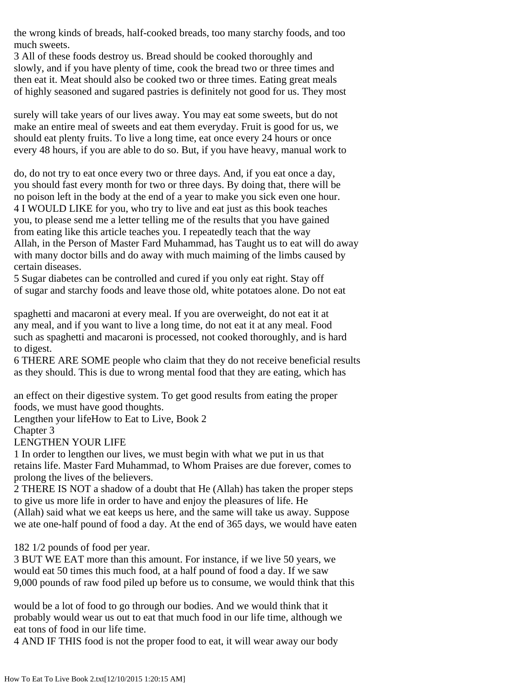the wrong kinds of breads, half-cooked breads, too many starchy foods, and too much sweets.

3 All of these foods destroy us. Bread should be cooked thoroughly and slowly, and if you have plenty of time, cook the bread two or three times and then eat it. Meat should also be cooked two or three times. Eating great meals of highly seasoned and sugared pastries is definitely not good for us. They most

surely will take years of our lives away. You may eat some sweets, but do not make an entire meal of sweets and eat them everyday. Fruit is good for us, we should eat plenty fruits. To live a long time, eat once every 24 hours or once every 48 hours, if you are able to do so. But, if you have heavy, manual work to

do, do not try to eat once every two or three days. And, if you eat once a day, you should fast every month for two or three days. By doing that, there will be no poison left in the body at the end of a year to make you sick even one hour. 4 I WOULD LIKE for you, who try to live and eat just as this book teaches you, to please send me a letter telling me of the results that you have gained from eating like this article teaches you. I repeatedly teach that the way Allah, in the Person of Master Fard Muhammad, has Taught us to eat will do away with many doctor bills and do away with much maiming of the limbs caused by certain diseases.

5 Sugar diabetes can be controlled and cured if you only eat right. Stay off of sugar and starchy foods and leave those old, white potatoes alone. Do not eat

spaghetti and macaroni at every meal. If you are overweight, do not eat it at any meal, and if you want to live a long time, do not eat it at any meal. Food such as spaghetti and macaroni is processed, not cooked thoroughly, and is hard to digest.

6 THERE ARE SOME people who claim that they do not receive beneficial results as they should. This is due to wrong mental food that they are eating, which has

an effect on their digestive system. To get good results from eating the proper foods, we must have good thoughts.

Lengthen your lifeHow to Eat to Live, Book 2

Chapter 3

LENGTHEN YOUR LIFE

1 In order to lengthen our lives, we must begin with what we put in us that retains life. Master Fard Muhammad, to Whom Praises are due forever, comes to prolong the lives of the believers.

2 THERE IS NOT a shadow of a doubt that He (Allah) has taken the proper steps to give us more life in order to have and enjoy the pleasures of life. He (Allah) said what we eat keeps us here, and the same will take us away. Suppose we ate one-half pound of food a day. At the end of 365 days, we would have eaten

182 1/2 pounds of food per year.

3 BUT WE EAT more than this amount. For instance, if we live 50 years, we would eat 50 times this much food, at a half pound of food a day. If we saw 9,000 pounds of raw food piled up before us to consume, we would think that this

would be a lot of food to go through our bodies. And we would think that it probably would wear us out to eat that much food in our life time, although we eat tons of food in our life time.

4 AND IF THIS food is not the proper food to eat, it will wear away our body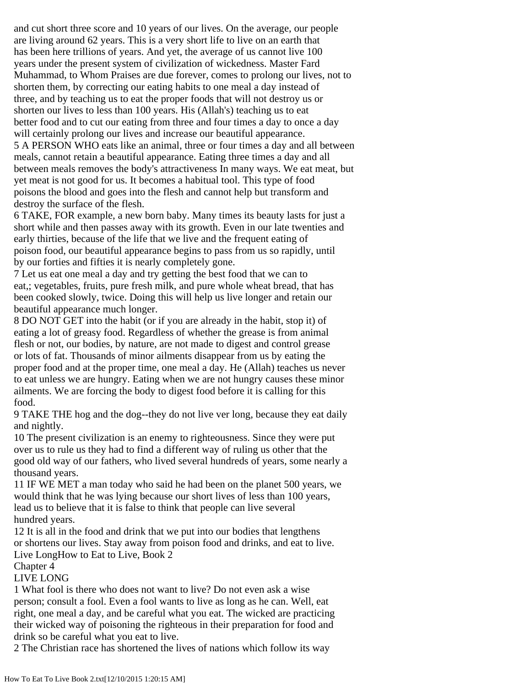and cut short three score and 10 years of our lives. On the average, our people are living around 62 years. This is a very short life to live on an earth that has been here trillions of years. And yet, the average of us cannot live 100 years under the present system of civilization of wickedness. Master Fard Muhammad, to Whom Praises are due forever, comes to prolong our lives, not to shorten them, by correcting our eating habits to one meal a day instead of three, and by teaching us to eat the proper foods that will not destroy us or shorten our lives to less than 100 years. His (Allah's) teaching us to eat better food and to cut our eating from three and four times a day to once a day will certainly prolong our lives and increase our beautiful appearance. 5 A PERSON WHO eats like an animal, three or four times a day and all between meals, cannot retain a beautiful appearance. Eating three times a day and all between meals removes the body's attractiveness In many ways. We eat meat, but yet meat is not good for us. It becomes a habitual tool. This type of food poisons the blood and goes into the flesh and cannot help but transform and destroy the surface of the flesh.

6 TAKE, FOR example, a new born baby. Many times its beauty lasts for just a short while and then passes away with its growth. Even in our late twenties and early thirties, because of the life that we live and the frequent eating of poison food, our beautiful appearance begins to pass from us so rapidly, until by our forties and fifties it is nearly completely gone.

7 Let us eat one meal a day and try getting the best food that we can to eat,; vegetables, fruits, pure fresh milk, and pure whole wheat bread, that has been cooked slowly, twice. Doing this will help us live longer and retain our beautiful appearance much longer.

8 DO NOT GET into the habit (or if you are already in the habit, stop it) of eating a lot of greasy food. Regardless of whether the grease is from animal flesh or not, our bodies, by nature, are not made to digest and control grease or lots of fat. Thousands of minor ailments disappear from us by eating the proper food and at the proper time, one meal a day. He (Allah) teaches us never to eat unless we are hungry. Eating when we are not hungry causes these minor ailments. We are forcing the body to digest food before it is calling for this food.

9 TAKE THE hog and the dog--they do not live ver long, because they eat daily and nightly.

10 The present civilization is an enemy to righteousness. Since they were put over us to rule us they had to find a different way of ruling us other that the good old way of our fathers, who lived several hundreds of years, some nearly a thousand years.

11 IF WE MET a man today who said he had been on the planet 500 years, we would think that he was lying because our short lives of less than 100 years, lead us to believe that it is false to think that people can live several hundred years.

12 It is all in the food and drink that we put into our bodies that lengthens or shortens our lives. Stay away from poison food and drinks, and eat to live. Live LongHow to Eat to Live, Book 2

Chapter 4

LIVE LONG

1 What fool is there who does not want to live? Do not even ask a wise person; consult a fool. Even a fool wants to live as long as he can. Well, eat right, one meal a day, and be careful what you eat. The wicked are practicing their wicked way of poisoning the righteous in their preparation for food and drink so be careful what you eat to live.

2 The Christian race has shortened the lives of nations which follow its way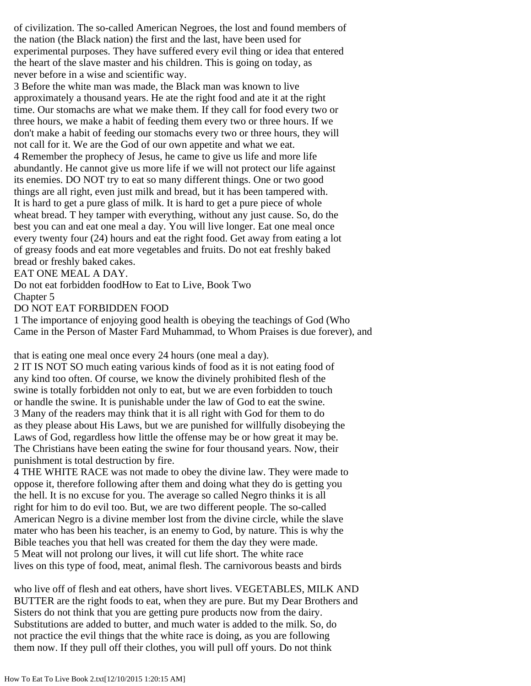of civilization. The so-called American Negroes, the lost and found members of the nation (the Black nation) the first and the last, have been used for experimental purposes. They have suffered every evil thing or idea that entered the heart of the slave master and his children. This is going on today, as never before in a wise and scientific way.

3 Before the white man was made, the Black man was known to live approximately a thousand years. He ate the right food and ate it at the right time. Our stomachs are what we make them. If they call for food every two or three hours, we make a habit of feeding them every two or three hours. If we don't make a habit of feeding our stomachs every two or three hours, they will not call for it. We are the God of our own appetite and what we eat. 4 Remember the prophecy of Jesus, he came to give us life and more life abundantly. He cannot give us more life if we will not protect our life against its enemies. DO NOT try to eat so many different things. One or two good things are all right, even just milk and bread, but it has been tampered with. It is hard to get a pure glass of milk. It is hard to get a pure piece of whole wheat bread. T hey tamper with everything, without any just cause. So, do the best you can and eat one meal a day. You will live longer. Eat one meal once every twenty four (24) hours and eat the right food. Get away from eating a lot of greasy foods and eat more vegetables and fruits. Do not eat freshly baked bread or freshly baked cakes.

EAT ONE MEAL A DAY.

Do not eat forbidden foodHow to Eat to Live, Book Two Chapter 5

DO NOT EAT FORBIDDEN FOOD

1 The importance of enjoying good health is obeying the teachings of God (Who Came in the Person of Master Fard Muhammad, to Whom Praises is due forever), and

that is eating one meal once every 24 hours (one meal a day).

2 IT IS NOT SO much eating various kinds of food as it is not eating food of any kind too often. Of course, we know the divinely prohibited flesh of the swine is totally forbidden not only to eat, but we are even forbidden to touch or handle the swine. It is punishable under the law of God to eat the swine. 3 Many of the readers may think that it is all right with God for them to do as they please about His Laws, but we are punished for willfully disobeying the Laws of God, regardless how little the offense may be or how great it may be. The Christians have been eating the swine for four thousand years. Now, their punishment is total destruction by fire.

4 THE WHITE RACE was not made to obey the divine law. They were made to oppose it, therefore following after them and doing what they do is getting you the hell. It is no excuse for you. The average so called Negro thinks it is all right for him to do evil too. But, we are two different people. The so-called American Negro is a divine member lost from the divine circle, while the slave mater who has been his teacher, is an enemy to God, by nature. This is why the Bible teaches you that hell was created for them the day they were made. 5 Meat will not prolong our lives, it will cut life short. The white race lives on this type of food, meat, animal flesh. The carnivorous beasts and birds

who live off of flesh and eat others, have short lives. VEGETABLES, MILK AND BUTTER are the right foods to eat, when they are pure. But my Dear Brothers and Sisters do not think that you are getting pure products now from the dairy. Substitutions are added to butter, and much water is added to the milk. So, do not practice the evil things that the white race is doing, as you are following them now. If they pull off their clothes, you will pull off yours. Do not think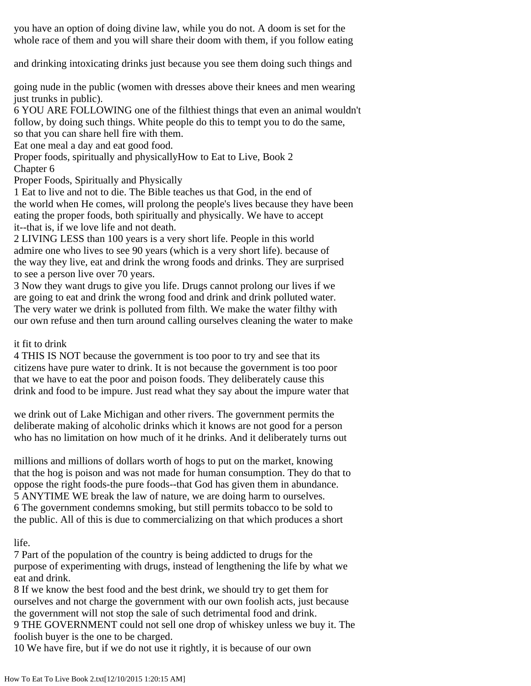you have an option of doing divine law, while you do not. A doom is set for the whole race of them and you will share their doom with them, if you follow eating

and drinking intoxicating drinks just because you see them doing such things and

going nude in the public (women with dresses above their knees and men wearing just trunks in public).

6 YOU ARE FOLLOWING one of the filthiest things that even an animal wouldn't follow, by doing such things. White people do this to tempt you to do the same, so that you can share hell fire with them.

Eat one meal a day and eat good food.

Proper foods, spiritually and physicallyHow to Eat to Live, Book 2

Chapter 6

Proper Foods, Spiritually and Physically

1 Eat to live and not to die. The Bible teaches us that God, in the end of the world when He comes, will prolong the people's lives because they have been eating the proper foods, both spiritually and physically. We have to accept it--that is, if we love life and not death.

2 LIVING LESS than 100 years is a very short life. People in this world admire one who lives to see 90 years (which is a very short life). because of the way they live, eat and drink the wrong foods and drinks. They are surprised to see a person live over 70 years.

3 Now they want drugs to give you life. Drugs cannot prolong our lives if we are going to eat and drink the wrong food and drink and drink polluted water. The very water we drink is polluted from filth. We make the water filthy with our own refuse and then turn around calling ourselves cleaning the water to make

### it fit to drink

4 THIS IS NOT because the government is too poor to try and see that its citizens have pure water to drink. It is not because the government is too poor that we have to eat the poor and poison foods. They deliberately cause this drink and food to be impure. Just read what they say about the impure water that

we drink out of Lake Michigan and other rivers. The government permits the deliberate making of alcoholic drinks which it knows are not good for a person who has no limitation on how much of it he drinks. And it deliberately turns out

millions and millions of dollars worth of hogs to put on the market, knowing that the hog is poison and was not made for human consumption. They do that to oppose the right foods-the pure foods--that God has given them in abundance. 5 ANYTIME WE break the law of nature, we are doing harm to ourselves. 6 The government condemns smoking, but still permits tobacco to be sold to the public. All of this is due to commercializing on that which produces a short

### life.

7 Part of the population of the country is being addicted to drugs for the purpose of experimenting with drugs, instead of lengthening the life by what we eat and drink.

8 If we know the best food and the best drink, we should try to get them for ourselves and not charge the government with our own foolish acts, just because the government will not stop the sale of such detrimental food and drink. 9 THE GOVERNMENT could not sell one drop of whiskey unless we buy it. The foolish buyer is the one to be charged.

10 We have fire, but if we do not use it rightly, it is because of our own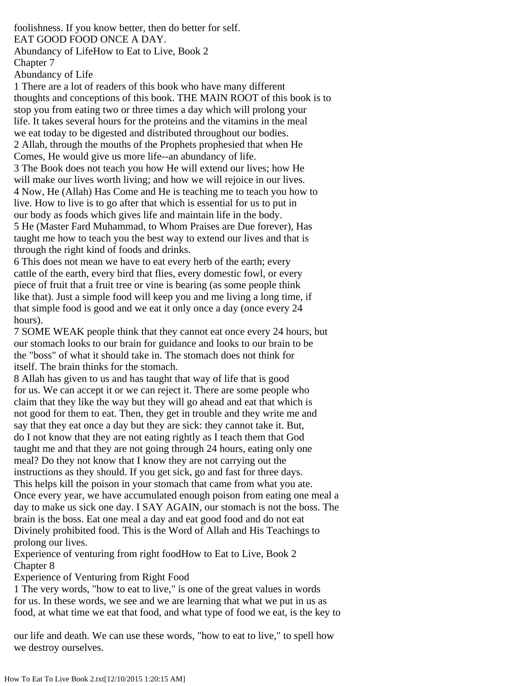foolishness. If you know better, then do better for self. EAT GOOD FOOD ONCE A DAY. Abundancy of LifeHow to Eat to Live, Book 2 Chapter 7

Abundancy of Life

1 There are a lot of readers of this book who have many different thoughts and conceptions of this book. THE MAIN ROOT of this book is to stop you from eating two or three times a day which will prolong your life. It takes several hours for the proteins and the vitamins in the meal we eat today to be digested and distributed throughout our bodies. 2 Allah, through the mouths of the Prophets prophesied that when He Comes, He would give us more life--an abundancy of life. 3 The Book does not teach you how He will extend our lives; how He will make our lives worth living; and how we will rejoice in our lives. 4 Now, He (Allah) Has Come and He is teaching me to teach you how to live. How to live is to go after that which is essential for us to put in our body as foods which gives life and maintain life in the body. 5 He (Master Fard Muhammad, to Whom Praises are Due forever), Has taught me how to teach you the best way to extend our lives and that is through the right kind of foods and drinks.

6 This does not mean we have to eat every herb of the earth; every cattle of the earth, every bird that flies, every domestic fowl, or every piece of fruit that a fruit tree or vine is bearing (as some people think like that). Just a simple food will keep you and me living a long time, if that simple food is good and we eat it only once a day (once every 24 hours).

7 SOME WEAK people think that they cannot eat once every 24 hours, but our stomach looks to our brain for guidance and looks to our brain to be the "boss" of what it should take in. The stomach does not think for itself. The brain thinks for the stomach.

8 Allah has given to us and has taught that way of life that is good for us. We can accept it or we can reject it. There are some people who claim that they like the way but they will go ahead and eat that which is not good for them to eat. Then, they get in trouble and they write me and say that they eat once a day but they are sick: they cannot take it. But, do I not know that they are not eating rightly as I teach them that God taught me and that they are not going through 24 hours, eating only one meal? Do they not know that I know they are not carrying out the instructions as they should. If you get sick, go and fast for three days. This helps kill the poison in your stomach that came from what you ate. Once every year, we have accumulated enough poison from eating one meal a day to make us sick one day. I SAY AGAIN, our stomach is not the boss. The brain is the boss. Eat one meal a day and eat good food and do not eat Divinely prohibited food. This is the Word of Allah and His Teachings to prolong our lives.

Experience of venturing from right foodHow to Eat to Live, Book 2 Chapter 8

Experience of Venturing from Right Food

1 The very words, "how to eat to live," is one of the great values in words for us. In these words, we see and we are learning that what we put in us as food, at what time we eat that food, and what type of food we eat, is the key to

our life and death. We can use these words, "how to eat to live," to spell how we destroy ourselves.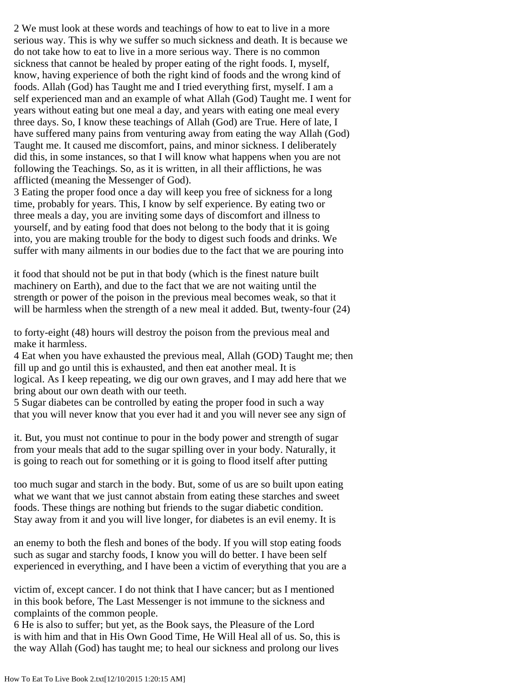2 We must look at these words and teachings of how to eat to live in a more serious way. This is why we suffer so much sickness and death. It is because we do not take how to eat to live in a more serious way. There is no common sickness that cannot be healed by proper eating of the right foods. I, myself, know, having experience of both the right kind of foods and the wrong kind of foods. Allah (God) has Taught me and I tried everything first, myself. I am a self experienced man and an example of what Allah (God) Taught me. I went for years without eating but one meal a day, and years with eating one meal every three days. So, I know these teachings of Allah (God) are True. Here of late, I have suffered many pains from venturing away from eating the way Allah (God) Taught me. It caused me discomfort, pains, and minor sickness. I deliberately did this, in some instances, so that I will know what happens when you are not following the Teachings. So, as it is written, in all their afflictions, he was afflicted (meaning the Messenger of God).

3 Eating the proper food once a day will keep you free of sickness for a long time, probably for years. This, I know by self experience. By eating two or three meals a day, you are inviting some days of discomfort and illness to yourself, and by eating food that does not belong to the body that it is going into, you are making trouble for the body to digest such foods and drinks. We suffer with many ailments in our bodies due to the fact that we are pouring into

it food that should not be put in that body (which is the finest nature built machinery on Earth), and due to the fact that we are not waiting until the strength or power of the poison in the previous meal becomes weak, so that it will be harmless when the strength of a new meal it added. But, twenty-four (24)

to forty-eight (48) hours will destroy the poison from the previous meal and make it harmless.

4 Eat when you have exhausted the previous meal, Allah (GOD) Taught me; then fill up and go until this is exhausted, and then eat another meal. It is

logical. As I keep repeating, we dig our own graves, and I may add here that we bring about our own death with our teeth.

5 Sugar diabetes can be controlled by eating the proper food in such a way that you will never know that you ever had it and you will never see any sign of

it. But, you must not continue to pour in the body power and strength of sugar from your meals that add to the sugar spilling over in your body. Naturally, it is going to reach out for something or it is going to flood itself after putting

too much sugar and starch in the body. But, some of us are so built upon eating what we want that we just cannot abstain from eating these starches and sweet foods. These things are nothing but friends to the sugar diabetic condition. Stay away from it and you will live longer, for diabetes is an evil enemy. It is

an enemy to both the flesh and bones of the body. If you will stop eating foods such as sugar and starchy foods, I know you will do better. I have been self experienced in everything, and I have been a victim of everything that you are a

victim of, except cancer. I do not think that I have cancer; but as I mentioned in this book before, The Last Messenger is not immune to the sickness and complaints of the common people.

6 He is also to suffer; but yet, as the Book says, the Pleasure of the Lord is with him and that in His Own Good Time, He Will Heal all of us. So, this is the way Allah (God) has taught me; to heal our sickness and prolong our lives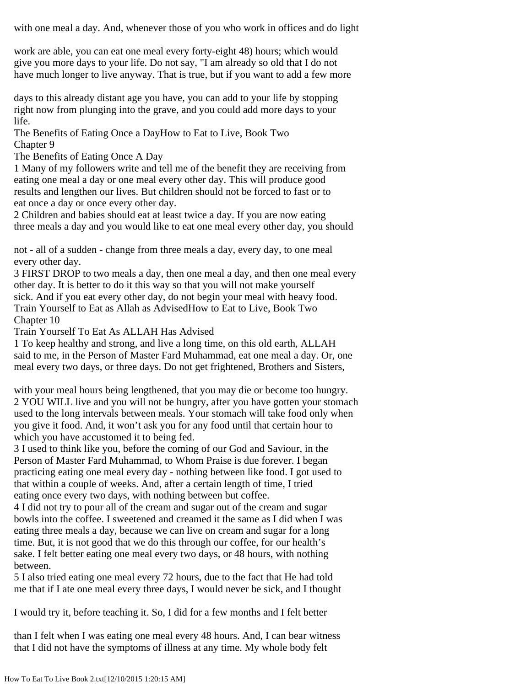with one meal a day. And, whenever those of you who work in offices and do light

work are able, you can eat one meal every forty-eight 48) hours; which would give you more days to your life. Do not say, "I am already so old that I do not have much longer to live anyway. That is true, but if you want to add a few more

days to this already distant age you have, you can add to your life by stopping right now from plunging into the grave, and you could add more days to your life.

The Benefits of Eating Once a DayHow to Eat to Live, Book Two Chapter 9

The Benefits of Eating Once A Day

1 Many of my followers write and tell me of the benefit they are receiving from eating one meal a day or one meal every other day. This will produce good results and lengthen our lives. But children should not be forced to fast or to eat once a day or once every other day.

2 Children and babies should eat at least twice a day. If you are now eating three meals a day and you would like to eat one meal every other day, you should

not - all of a sudden - change from three meals a day, every day, to one meal every other day.

3 FIRST DROP to two meals a day, then one meal a day, and then one meal every other day. It is better to do it this way so that you will not make yourself sick. And if you eat every other day, do not begin your meal with heavy food. Train Yourself to Eat as Allah as AdvisedHow to Eat to Live, Book Two Chapter 10

Train Yourself To Eat As ALLAH Has Advised

1 To keep healthy and strong, and live a long time, on this old earth, ALLAH said to me, in the Person of Master Fard Muhammad, eat one meal a day. Or, one meal every two days, or three days. Do not get frightened, Brothers and Sisters,

with your meal hours being lengthened, that you may die or become too hungry. 2 YOU WILL live and you will not be hungry, after you have gotten your stomach used to the long intervals between meals. Your stomach will take food only when you give it food. And, it won't ask you for any food until that certain hour to which you have accustomed it to being fed.

3 I used to think like you, before the coming of our God and Saviour, in the Person of Master Fard Muhammad, to Whom Praise is due forever. I began practicing eating one meal every day - nothing between like food. I got used to that within a couple of weeks. And, after a certain length of time, I tried eating once every two days, with nothing between but coffee.

4 I did not try to pour all of the cream and sugar out of the cream and sugar bowls into the coffee. I sweetened and creamed it the same as I did when I was eating three meals a day, because we can live on cream and sugar for a long time. But, it is not good that we do this through our coffee, for our health's sake. I felt better eating one meal every two days, or 48 hours, with nothing between.

5 I also tried eating one meal every 72 hours, due to the fact that He had told me that if I ate one meal every three days, I would never be sick, and I thought

I would try it, before teaching it. So, I did for a few months and I felt better

than I felt when I was eating one meal every 48 hours. And, I can bear witness that I did not have the symptoms of illness at any time. My whole body felt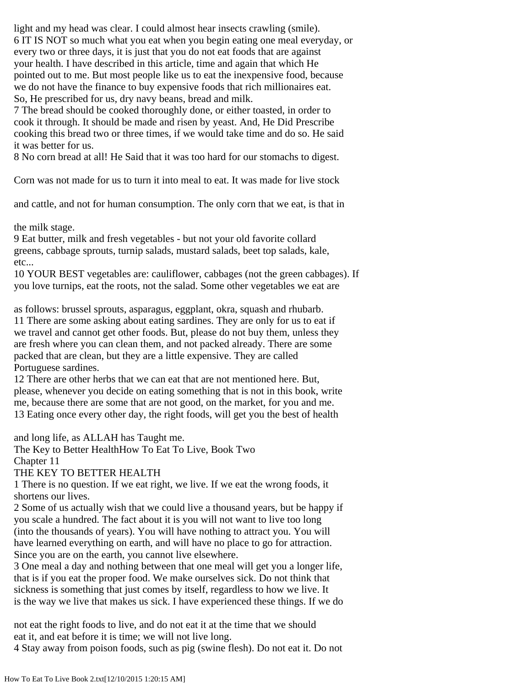light and my head was clear. I could almost hear insects crawling (smile). 6 IT IS NOT so much what you eat when you begin eating one meal everyday, or every two or three days, it is just that you do not eat foods that are against your health. I have described in this article, time and again that which He pointed out to me. But most people like us to eat the inexpensive food, because we do not have the finance to buy expensive foods that rich millionaires eat. So, He prescribed for us, dry navy beans, bread and milk.

7 The bread should be cooked thoroughly done, or either toasted, in order to cook it through. It should be made and risen by yeast. And, He Did Prescribe cooking this bread two or three times, if we would take time and do so. He said it was better for us.

8 No corn bread at all! He Said that it was too hard for our stomachs to digest.

Corn was not made for us to turn it into meal to eat. It was made for live stock

and cattle, and not for human consumption. The only corn that we eat, is that in

the milk stage.

9 Eat butter, milk and fresh vegetables - but not your old favorite collard greens, cabbage sprouts, turnip salads, mustard salads, beet top salads, kale, etc...

10 YOUR BEST vegetables are: cauliflower, cabbages (not the green cabbages). If you love turnips, eat the roots, not the salad. Some other vegetables we eat are

as follows: brussel sprouts, asparagus, eggplant, okra, squash and rhubarb. 11 There are some asking about eating sardines. They are only for us to eat if we travel and cannot get other foods. But, please do not buy them, unless they are fresh where you can clean them, and not packed already. There are some packed that are clean, but they are a little expensive. They are called Portuguese sardines.

12 There are other herbs that we can eat that are not mentioned here. But, please, whenever you decide on eating something that is not in this book, write me, because there are some that are not good, on the market, for you and me. 13 Eating once every other day, the right foods, will get you the best of health

and long life, as ALLAH has Taught me.

The Key to Better HealthHow To Eat To Live, Book Two

Chapter 11

THE KEY TO BETTER HEALTH

1 There is no question. If we eat right, we live. If we eat the wrong foods, it shortens our lives.

2 Some of us actually wish that we could live a thousand years, but be happy if you scale a hundred. The fact about it is you will not want to live too long (into the thousands of years). You will have nothing to attract you. You will have learned everything on earth, and will have no place to go for attraction. Since you are on the earth, you cannot live elsewhere.

3 One meal a day and nothing between that one meal will get you a longer life, that is if you eat the proper food. We make ourselves sick. Do not think that sickness is something that just comes by itself, regardless to how we live. It is the way we live that makes us sick. I have experienced these things. If we do

not eat the right foods to live, and do not eat it at the time that we should eat it, and eat before it is time; we will not live long.

4 Stay away from poison foods, such as pig (swine flesh). Do not eat it. Do not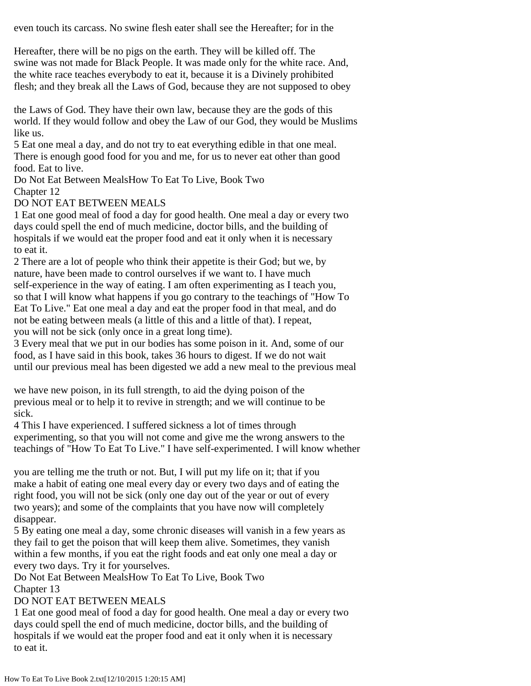even touch its carcass. No swine flesh eater shall see the Hereafter; for in the

Hereafter, there will be no pigs on the earth. They will be killed off. The swine was not made for Black People. It was made only for the white race. And, the white race teaches everybody to eat it, because it is a Divinely prohibited flesh; and they break all the Laws of God, because they are not supposed to obey

the Laws of God. They have their own law, because they are the gods of this world. If they would follow and obey the Law of our God, they would be Muslims like us.

5 Eat one meal a day, and do not try to eat everything edible in that one meal. There is enough good food for you and me, for us to never eat other than good food. Eat to live.

Do Not Eat Between MealsHow To Eat To Live, Book Two Chapter 12

# DO NOT EAT BETWEEN MEALS

1 Eat one good meal of food a day for good health. One meal a day or every two days could spell the end of much medicine, doctor bills, and the building of hospitals if we would eat the proper food and eat it only when it is necessary to eat it.

2 There are a lot of people who think their appetite is their God; but we, by nature, have been made to control ourselves if we want to. I have much self-experience in the way of eating. I am often experimenting as I teach you, so that I will know what happens if you go contrary to the teachings of "How To Eat To Live." Eat one meal a day and eat the proper food in that meal, and do not be eating between meals (a little of this and a little of that). I repeat, you will not be sick (only once in a great long time).

3 Every meal that we put in our bodies has some poison in it. And, some of our food, as I have said in this book, takes 36 hours to digest. If we do not wait until our previous meal has been digested we add a new meal to the previous meal

we have new poison, in its full strength, to aid the dying poison of the previous meal or to help it to revive in strength; and we will continue to be sick.

4 This I have experienced. I suffered sickness a lot of times through experimenting, so that you will not come and give me the wrong answers to the teachings of "How To Eat To Live." I have self-experimented. I will know whether

you are telling me the truth or not. But, I will put my life on it; that if you make a habit of eating one meal every day or every two days and of eating the right food, you will not be sick (only one day out of the year or out of every two years); and some of the complaints that you have now will completely disappear.

5 By eating one meal a day, some chronic diseases will vanish in a few years as they fail to get the poison that will keep them alive. Sometimes, they vanish within a few months, if you eat the right foods and eat only one meal a day or every two days. Try it for yourselves.

Do Not Eat Between MealsHow To Eat To Live, Book Two Chapter 13

# DO NOT EAT BETWEEN MEALS

1 Eat one good meal of food a day for good health. One meal a day or every two days could spell the end of much medicine, doctor bills, and the building of hospitals if we would eat the proper food and eat it only when it is necessary to eat it.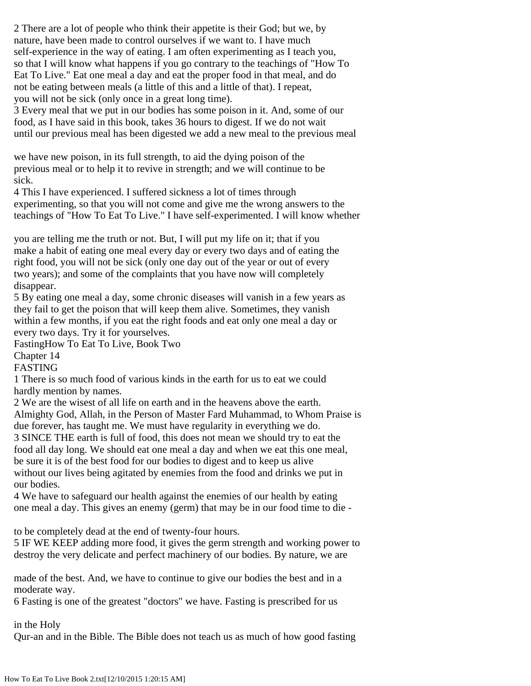2 There are a lot of people who think their appetite is their God; but we, by nature, have been made to control ourselves if we want to. I have much self-experience in the way of eating. I am often experimenting as I teach you, so that I will know what happens if you go contrary to the teachings of "How To Eat To Live." Eat one meal a day and eat the proper food in that meal, and do not be eating between meals (a little of this and a little of that). I repeat, you will not be sick (only once in a great long time).

3 Every meal that we put in our bodies has some poison in it. And, some of our food, as I have said in this book, takes 36 hours to digest. If we do not wait until our previous meal has been digested we add a new meal to the previous meal

we have new poison, in its full strength, to aid the dying poison of the previous meal or to help it to revive in strength; and we will continue to be sick.

4 This I have experienced. I suffered sickness a lot of times through experimenting, so that you will not come and give me the wrong answers to the teachings of "How To Eat To Live." I have self-experimented. I will know whether

you are telling me the truth or not. But, I will put my life on it; that if you make a habit of eating one meal every day or every two days and of eating the right food, you will not be sick (only one day out of the year or out of every two years); and some of the complaints that you have now will completely disappear.

5 By eating one meal a day, some chronic diseases will vanish in a few years as they fail to get the poison that will keep them alive. Sometimes, they vanish within a few months, if you eat the right foods and eat only one meal a day or every two days. Try it for yourselves.

FastingHow To Eat To Live, Book Two

Chapter 14

FASTING

1 There is so much food of various kinds in the earth for us to eat we could hardly mention by names.

2 We are the wisest of all life on earth and in the heavens above the earth. Almighty God, Allah, in the Person of Master Fard Muhammad, to Whom Praise is due forever, has taught me. We must have regularity in everything we do. 3 SINCE THE earth is full of food, this does not mean we should try to eat the food all day long. We should eat one meal a day and when we eat this one meal, be sure it is of the best food for our bodies to digest and to keep us alive without our lives being agitated by enemies from the food and drinks we put in our bodies.

4 We have to safeguard our health against the enemies of our health by eating one meal a day. This gives an enemy (germ) that may be in our food time to die -

to be completely dead at the end of twenty-four hours.

5 IF WE KEEP adding more food, it gives the germ strength and working power to destroy the very delicate and perfect machinery of our bodies. By nature, we are

made of the best. And, we have to continue to give our bodies the best and in a moderate way.

6 Fasting is one of the greatest "doctors" we have. Fasting is prescribed for us

in the Holy

Qur-an and in the Bible. The Bible does not teach us as much of how good fasting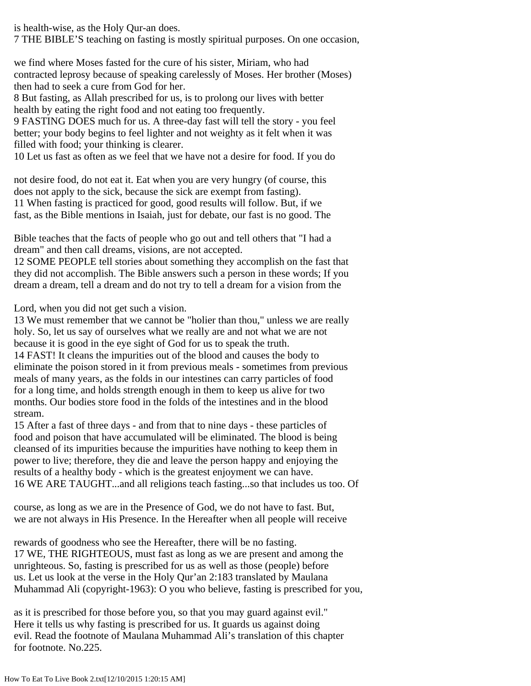is health-wise, as the Holy Qur-an does.

7 THE BIBLE'S teaching on fasting is mostly spiritual purposes. On one occasion,

we find where Moses fasted for the cure of his sister, Miriam, who had contracted leprosy because of speaking carelessly of Moses. Her brother (Moses) then had to seek a cure from God for her.

8 But fasting, as Allah prescribed for us, is to prolong our lives with better health by eating the right food and not eating too frequently.

9 FASTING DOES much for us. A three-day fast will tell the story - you feel better; your body begins to feel lighter and not weighty as it felt when it was filled with food; your thinking is clearer.

10 Let us fast as often as we feel that we have not a desire for food. If you do

not desire food, do not eat it. Eat when you are very hungry (of course, this does not apply to the sick, because the sick are exempt from fasting). 11 When fasting is practiced for good, good results will follow. But, if we fast, as the Bible mentions in Isaiah, just for debate, our fast is no good. The

Bible teaches that the facts of people who go out and tell others that "I had a dream" and then call dreams, visions, are not accepted.

12 SOME PEOPLE tell stories about something they accomplish on the fast that they did not accomplish. The Bible answers such a person in these words; If you dream a dream, tell a dream and do not try to tell a dream for a vision from the

Lord, when you did not get such a vision.

13 We must remember that we cannot be "holier than thou," unless we are really holy. So, let us say of ourselves what we really are and not what we are not because it is good in the eye sight of God for us to speak the truth. 14 FAST! It cleans the impurities out of the blood and causes the body to eliminate the poison stored in it from previous meals - sometimes from previous meals of many years, as the folds in our intestines can carry particles of food for a long time, and holds strength enough in them to keep us alive for two months. Our bodies store food in the folds of the intestines and in the blood stream.

15 After a fast of three days - and from that to nine days - these particles of food and poison that have accumulated will be eliminated. The blood is being cleansed of its impurities because the impurities have nothing to keep them in power to live; therefore, they die and leave the person happy and enjoying the results of a healthy body - which is the greatest enjoyment we can have. 16 WE ARE TAUGHT...and all religions teach fasting...so that includes us too. Of

course, as long as we are in the Presence of God, we do not have to fast. But, we are not always in His Presence. In the Hereafter when all people will receive

rewards of goodness who see the Hereafter, there will be no fasting. 17 WE, THE RIGHTEOUS, must fast as long as we are present and among the unrighteous. So, fasting is prescribed for us as well as those (people) before us. Let us look at the verse in the Holy Qur'an 2:183 translated by Maulana Muhammad Ali (copyright-1963): O you who believe, fasting is prescribed for you,

as it is prescribed for those before you, so that you may guard against evil." Here it tells us why fasting is prescribed for us. It guards us against doing evil. Read the footnote of Maulana Muhammad Ali's translation of this chapter for footnote. No.225.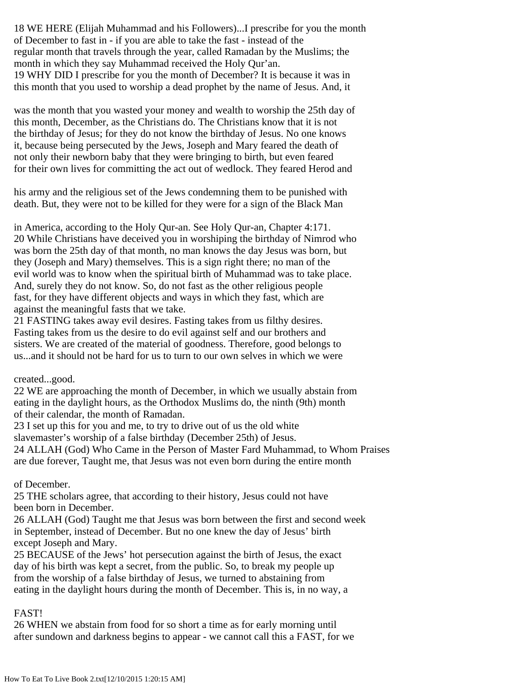18 WE HERE (Elijah Muhammad and his Followers)...I prescribe for you the month of December to fast in - if you are able to take the fast - instead of the regular month that travels through the year, called Ramadan by the Muslims; the month in which they say Muhammad received the Holy Qur'an. 19 WHY DID I prescribe for you the month of December? It is because it was in this month that you used to worship a dead prophet by the name of Jesus. And, it

was the month that you wasted your money and wealth to worship the 25th day of this month, December, as the Christians do. The Christians know that it is not the birthday of Jesus; for they do not know the birthday of Jesus. No one knows it, because being persecuted by the Jews, Joseph and Mary feared the death of not only their newborn baby that they were bringing to birth, but even feared for their own lives for committing the act out of wedlock. They feared Herod and

his army and the religious set of the Jews condemning them to be punished with death. But, they were not to be killed for they were for a sign of the Black Man

in America, according to the Holy Qur-an. See Holy Qur-an, Chapter 4:171. 20 While Christians have deceived you in worshiping the birthday of Nimrod who was born the 25th day of that month, no man knows the day Jesus was born, but they (Joseph and Mary) themselves. This is a sign right there; no man of the evil world was to know when the spiritual birth of Muhammad was to take place. And, surely they do not know. So, do not fast as the other religious people fast, for they have different objects and ways in which they fast, which are against the meaningful fasts that we take.

21 FASTING takes away evil desires. Fasting takes from us filthy desires. Fasting takes from us the desire to do evil against self and our brothers and sisters. We are created of the material of goodness. Therefore, good belongs to us...and it should not be hard for us to turn to our own selves in which we were

created...good.

22 WE are approaching the month of December, in which we usually abstain from eating in the daylight hours, as the Orthodox Muslims do, the ninth (9th) month of their calendar, the month of Ramadan.

23 I set up this for you and me, to try to drive out of us the old white slavemaster's worship of a false birthday (December 25th) of Jesus.

24 ALLAH (God) Who Came in the Person of Master Fard Muhammad, to Whom Praises are due forever, Taught me, that Jesus was not even born during the entire month

of December.

25 THE scholars agree, that according to their history, Jesus could not have been born in December.

26 ALLAH (God) Taught me that Jesus was born between the first and second week in September, instead of December. But no one knew the day of Jesus' birth except Joseph and Mary.

25 BECAUSE of the Jews' hot persecution against the birth of Jesus, the exact day of his birth was kept a secret, from the public. So, to break my people up from the worship of a false birthday of Jesus, we turned to abstaining from eating in the daylight hours during the month of December. This is, in no way, a

### FAST!

26 WHEN we abstain from food for so short a time as for early morning until after sundown and darkness begins to appear - we cannot call this a FAST, for we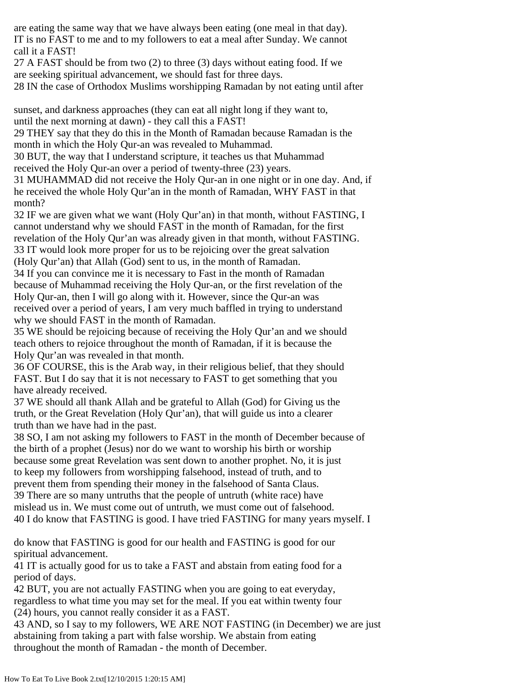are eating the same way that we have always been eating (one meal in that day). IT is no FAST to me and to my followers to eat a meal after Sunday. We cannot call it a FAST!

27 A FAST should be from two (2) to three (3) days without eating food. If we are seeking spiritual advancement, we should fast for three days.

28 IN the case of Orthodox Muslims worshipping Ramadan by not eating until after

sunset, and darkness approaches (they can eat all night long if they want to, until the next morning at dawn) - they call this a FAST!

29 THEY say that they do this in the Month of Ramadan because Ramadan is the month in which the Holy Qur-an was revealed to Muhammad.

30 BUT, the way that I understand scripture, it teaches us that Muhammad

received the Holy Qur-an over a period of twenty-three (23) years.

31 MUHAMMAD did not receive the Holy Qur-an in one night or in one day. And, if he received the whole Holy Qur'an in the month of Ramadan, WHY FAST in that month?

32 IF we are given what we want (Holy Qur'an) in that month, without FASTING, I cannot understand why we should FAST in the month of Ramadan, for the first revelation of the Holy Qur'an was already given in that month, without FASTING. 33 IT would look more proper for us to be rejoicing over the great salvation (Holy Qur'an) that Allah (God) sent to us, in the month of Ramadan.

34 If you can convince me it is necessary to Fast in the month of Ramadan because of Muhammad receiving the Holy Qur-an, or the first revelation of the Holy Qur-an, then I will go along with it. However, since the Qur-an was received over a period of years, I am very much baffled in trying to understand why we should FAST in the month of Ramadan.

35 WE should be rejoicing because of receiving the Holy Qur'an and we should teach others to rejoice throughout the month of Ramadan, if it is because the Holy Qur'an was revealed in that month.

36 OF COURSE, this is the Arab way, in their religious belief, that they should FAST. But I do say that it is not necessary to FAST to get something that you have already received.

37 WE should all thank Allah and be grateful to Allah (God) for Giving us the truth, or the Great Revelation (Holy Qur'an), that will guide us into a clearer truth than we have had in the past.

38 SO, I am not asking my followers to FAST in the month of December because of the birth of a prophet (Jesus) nor do we want to worship his birth or worship because some great Revelation was sent down to another prophet. No, it is just to keep my followers from worshipping falsehood, instead of truth, and to prevent them from spending their money in the falsehood of Santa Claus. 39 There are so many untruths that the people of untruth (white race) have mislead us in. We must come out of untruth, we must come out of falsehood. 40 I do know that FASTING is good. I have tried FASTING for many years myself. I

do know that FASTING is good for our health and FASTING is good for our spiritual advancement.

41 IT is actually good for us to take a FAST and abstain from eating food for a period of days.

42 BUT, you are not actually FASTING when you are going to eat everyday, regardless to what time you may set for the meal. If you eat within twenty four (24) hours, you cannot really consider it as a FAST.

43 AND, so I say to my followers, WE ARE NOT FASTING (in December) we are just abstaining from taking a part with false worship. We abstain from eating throughout the month of Ramadan - the month of December.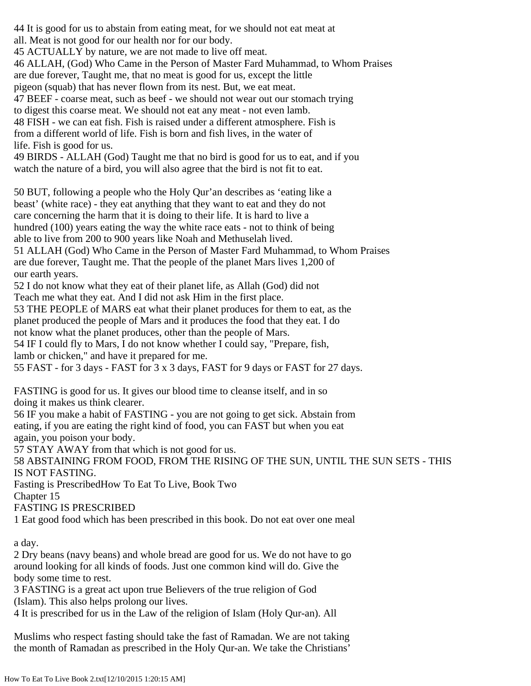44 It is good for us to abstain from eating meat, for we should not eat meat at all. Meat is not good for our health nor for our body.

45 ACTUALLY by nature, we are not made to live off meat.

46 ALLAH, (God) Who Came in the Person of Master Fard Muhammad, to Whom Praises are due forever, Taught me, that no meat is good for us, except the little pigeon (squab) that has never flown from its nest. But, we eat meat.

47 BEEF - coarse meat, such as beef - we should not wear out our stomach trying

to digest this coarse meat. We should not eat any meat - not even lamb.

48 FISH - we can eat fish. Fish is raised under a different atmosphere. Fish is from a different world of life. Fish is born and fish lives, in the water of

life. Fish is good for us.

49 BIRDS - ALLAH (God) Taught me that no bird is good for us to eat, and if you watch the nature of a bird, you will also agree that the bird is not fit to eat.

50 BUT, following a people who the Holy Qur'an describes as 'eating like a beast' (white race) - they eat anything that they want to eat and they do not care concerning the harm that it is doing to their life. It is hard to live a hundred (100) years eating the way the white race eats - not to think of being able to live from 200 to 900 years like Noah and Methuselah lived. 51 ALLAH (God) Who Came in the Person of Master Fard Muhammad, to Whom Praises are due forever, Taught me. That the people of the planet Mars lives 1,200 of our earth years.

52 I do not know what they eat of their planet life, as Allah (God) did not

Teach me what they eat. And I did not ask Him in the first place.

53 THE PEOPLE of MARS eat what their planet produces for them to eat, as the

planet produced the people of Mars and it produces the food that they eat. I do

not know what the planet produces, other than the people of Mars.

54 IF I could fly to Mars, I do not know whether I could say, "Prepare, fish,

lamb or chicken," and have it prepared for me.

55 FAST - for 3 days - FAST for 3 x 3 days, FAST for 9 days or FAST for 27 days.

FASTING is good for us. It gives our blood time to cleanse itself, and in so doing it makes us think clearer.

56 IF you make a habit of FASTING - you are not going to get sick. Abstain from eating, if you are eating the right kind of food, you can FAST but when you eat again, you poison your body.

57 STAY AWAY from that which is not good for us.

58 ABSTAINING FROM FOOD, FROM THE RISING OF THE SUN, UNTIL THE SUN SETS - THIS IS NOT FASTING.

Fasting is PrescribedHow To Eat To Live, Book Two

Chapter 15

FASTING IS PRESCRIBED

1 Eat good food which has been prescribed in this book. Do not eat over one meal

a day.

2 Dry beans (navy beans) and whole bread are good for us. We do not have to go around looking for all kinds of foods. Just one common kind will do. Give the body some time to rest.

3 FASTING is a great act upon true Believers of the true religion of God (Islam). This also helps prolong our lives.

4 It is prescribed for us in the Law of the religion of Islam (Holy Qur-an). All

Muslims who respect fasting should take the fast of Ramadan. We are not taking the month of Ramadan as prescribed in the Holy Qur-an. We take the Christians'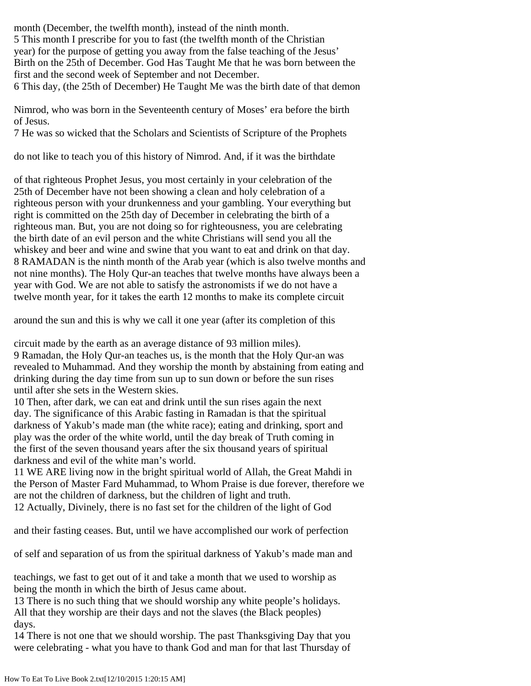month (December, the twelfth month), instead of the ninth month. 5 This month I prescribe for you to fast (the twelfth month of the Christian year) for the purpose of getting you away from the false teaching of the Jesus' Birth on the 25th of December. God Has Taught Me that he was born between the first and the second week of September and not December. 6 This day, (the 25th of December) He Taught Me was the birth date of that demon

Nimrod, who was born in the Seventeenth century of Moses' era before the birth of Jesus.

7 He was so wicked that the Scholars and Scientists of Scripture of the Prophets

do not like to teach you of this history of Nimrod. And, if it was the birthdate

of that righteous Prophet Jesus, you most certainly in your celebration of the 25th of December have not been showing a clean and holy celebration of a righteous person with your drunkenness and your gambling. Your everything but right is committed on the 25th day of December in celebrating the birth of a righteous man. But, you are not doing so for righteousness, you are celebrating the birth date of an evil person and the white Christians will send you all the whiskey and beer and wine and swine that you want to eat and drink on that day. 8 RAMADAN is the ninth month of the Arab year (which is also twelve months and not nine months). The Holy Qur-an teaches that twelve months have always been a year with God. We are not able to satisfy the astronomists if we do not have a twelve month year, for it takes the earth 12 months to make its complete circuit

around the sun and this is why we call it one year (after its completion of this

circuit made by the earth as an average distance of 93 million miles). 9 Ramadan, the Holy Qur-an teaches us, is the month that the Holy Qur-an was revealed to Muhammad. And they worship the month by abstaining from eating and drinking during the day time from sun up to sun down or before the sun rises until after she sets in the Western skies.

10 Then, after dark, we can eat and drink until the sun rises again the next day. The significance of this Arabic fasting in Ramadan is that the spiritual darkness of Yakub's made man (the white race); eating and drinking, sport and play was the order of the white world, until the day break of Truth coming in the first of the seven thousand years after the six thousand years of spiritual darkness and evil of the white man's world.

11 WE ARE living now in the bright spiritual world of Allah, the Great Mahdi in the Person of Master Fard Muhammad, to Whom Praise is due forever, therefore we are not the children of darkness, but the children of light and truth. 12 Actually, Divinely, there is no fast set for the children of the light of God

and their fasting ceases. But, until we have accomplished our work of perfection

of self and separation of us from the spiritual darkness of Yakub's made man and

teachings, we fast to get out of it and take a month that we used to worship as being the month in which the birth of Jesus came about.

13 There is no such thing that we should worship any white people's holidays. All that they worship are their days and not the slaves (the Black peoples) days.

14 There is not one that we should worship. The past Thanksgiving Day that you were celebrating - what you have to thank God and man for that last Thursday of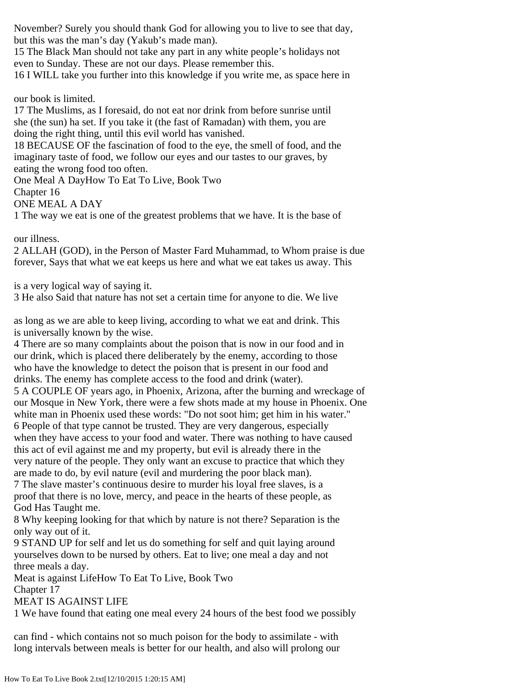November? Surely you should thank God for allowing you to live to see that day, but this was the man's day (Yakub's made man).

15 The Black Man should not take any part in any white people's holidays not even to Sunday. These are not our days. Please remember this.

16 I WILL take you further into this knowledge if you write me, as space here in

our book is limited.

17 The Muslims, as I foresaid, do not eat nor drink from before sunrise until she (the sun) ha set. If you take it (the fast of Ramadan) with them, you are doing the right thing, until this evil world has vanished. 18 BECAUSE OF the fascination of food to the eye, the smell of food, and the imaginary taste of food, we follow our eyes and our tastes to our graves, by eating the wrong food too often. One Meal A DayHow To Eat To Live, Book Two Chapter 16 ONE MEAL A DAY

1 The way we eat is one of the greatest problems that we have. It is the base of

our illness.

2 ALLAH (GOD), in the Person of Master Fard Muhammad, to Whom praise is due forever, Says that what we eat keeps us here and what we eat takes us away. This

is a very logical way of saying it.

3 He also Said that nature has not set a certain time for anyone to die. We live

as long as we are able to keep living, according to what we eat and drink. This is universally known by the wise.

4 There are so many complaints about the poison that is now in our food and in our drink, which is placed there deliberately by the enemy, according to those who have the knowledge to detect the poison that is present in our food and drinks. The enemy has complete access to the food and drink (water).

5 A COUPLE OF years ago, in Phoenix, Arizona, after the burning and wreckage of our Mosque in New York, there were a few shots made at my house in Phoenix. One white man in Phoenix used these words: "Do not soot him; get him in his water." 6 People of that type cannot be trusted. They are very dangerous, especially when they have access to your food and water. There was nothing to have caused this act of evil against me and my property, but evil is already there in the very nature of the people. They only want an excuse to practice that which they are made to do, by evil nature (evil and murdering the poor black man). 7 The slave master's continuous desire to murder his loyal free slaves, is a proof that there is no love, mercy, and peace in the hearts of these people, as

God Has Taught me.

8 Why keeping looking for that which by nature is not there? Separation is the only way out of it.

9 STAND UP for self and let us do something for self and quit laying around yourselves down to be nursed by others. Eat to live; one meal a day and not three meals a day.

Meat is against LifeHow To Eat To Live, Book Two Chapter 17

MEAT IS AGAINST LIFE

1 We have found that eating one meal every 24 hours of the best food we possibly

can find - which contains not so much poison for the body to assimilate - with long intervals between meals is better for our health, and also will prolong our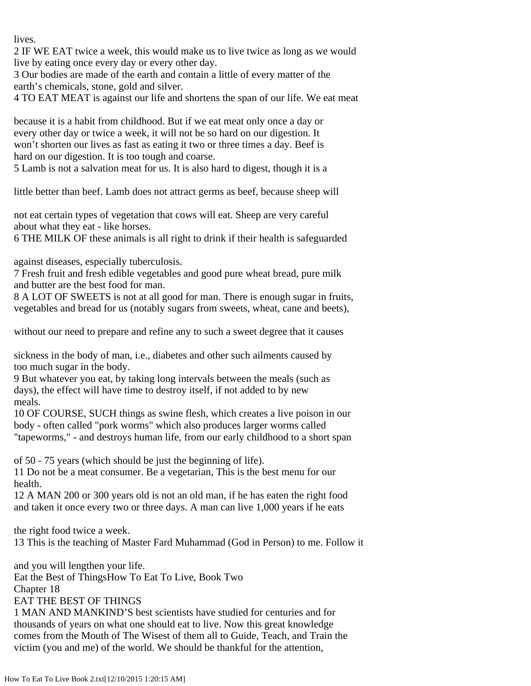lives.

2 IF WE EAT twice a week, this would make us to live twice as long as we would live by eating once every day or every other day.

3 Our bodies are made of the earth and contain a little of every matter of the earth's chemicals, stone, gold and silver.

4 TO EAT MEAT is against our life and shortens the span of our life. We eat meat

because it is a habit from childhood. But if we eat meat only once a day or every other day or twice a week, it will not be so hard on our digestion. It won't shorten our lives as fast as eating it two or three times a day. Beef is hard on our digestion. It is too tough and coarse.

5 Lamb is not a salvation meat for us. It is also hard to digest, though it is a

little better than beef. Lamb does not attract germs as beef, because sheep will

not eat certain types of vegetation that cows will eat. Sheep are very careful about what they eat - like horses.

6 THE MILK OF these animals is all right to drink if their health is safeguarded

against diseases, especially tuberculosis.

7 Fresh fruit and fresh edible vegetables and good pure wheat bread, pure milk and butter are the best food for man.

8 A LOT OF SWEETS is not at all good for man. There is enough sugar in fruits, vegetables and bread for us (notably sugars from sweets, wheat, cane and beets),

without our need to prepare and refine any to such a sweet degree that it causes

sickness in the body of man, i.e., diabetes and other such ailments caused by too much sugar in the body.

9 But whatever you eat, by taking long intervals between the meals (such as days), the effect will have time to destroy itself, if not added to by new meals.

10 OF COURSE, SUCH things as swine flesh, which creates a live poison in our body - often called "pork worms" which also produces larger worms called "tapeworms," - and destroys human life, from our early childhood to a short span

of 50 - 75 years (which should be just the beginning of life).

11 Do not be a meat consumer. Be a vegetarian, This is the best menu for our health.

12 A MAN 200 or 300 years old is not an old man, if he has eaten the right food and taken it once every two or three days. A man can live 1,000 years if he eats

the right food twice a week.

13 This is the teaching of Master Fard Muhammad (God in Person) to me. Follow it

and you will lengthen your life. Eat the Best of ThingsHow To Eat To Live, Book Two Chapter 18

EAT THE BEST OF THINGS

1 MAN AND MANKIND'S best scientists have studied for centuries and for thousands of years on what one should eat to live. Now this great knowledge comes from the Mouth of The Wisest of them all to Guide, Teach, and Train the victim (you and me) of the world. We should be thankful for the attention,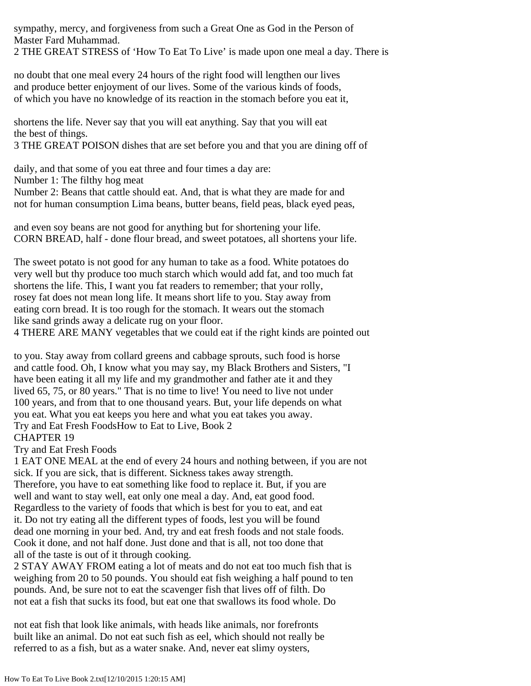sympathy, mercy, and forgiveness from such a Great One as God in the Person of Master Fard Muhammad. 2 THE GREAT STRESS of 'How To Eat To Live' is made upon one meal a day. There is

no doubt that one meal every 24 hours of the right food will lengthen our lives and produce better enjoyment of our lives. Some of the various kinds of foods, of which you have no knowledge of its reaction in the stomach before you eat it,

shortens the life. Never say that you will eat anything. Say that you will eat the best of things.

3 THE GREAT POISON dishes that are set before you and that you are dining off of

daily, and that some of you eat three and four times a day are:

Number 1: The filthy hog meat

Number 2: Beans that cattle should eat. And, that is what they are made for and not for human consumption Lima beans, butter beans, field peas, black eyed peas,

and even soy beans are not good for anything but for shortening your life. CORN BREAD, half - done flour bread, and sweet potatoes, all shortens your life.

The sweet potato is not good for any human to take as a food. White potatoes do very well but thy produce too much starch which would add fat, and too much fat shortens the life. This, I want you fat readers to remember; that your rolly, rosey fat does not mean long life. It means short life to you. Stay away from eating corn bread. It is too rough for the stomach. It wears out the stomach like sand grinds away a delicate rug on your floor.

4 THERE ARE MANY vegetables that we could eat if the right kinds are pointed out

to you. Stay away from collard greens and cabbage sprouts, such food is horse and cattle food. Oh, I know what you may say, my Black Brothers and Sisters, "I have been eating it all my life and my grandmother and father ate it and they lived 65, 75, or 80 years." That is no time to live! You need to live not under 100 years, and from that to one thousand years. But, your life depends on what you eat. What you eat keeps you here and what you eat takes you away. Try and Eat Fresh FoodsHow to Eat to Live, Book 2

# CHAPTER 19

Try and Eat Fresh Foods

1 EAT ONE MEAL at the end of every 24 hours and nothing between, if you are not sick. If you are sick, that is different. Sickness takes away strength. Therefore, you have to eat something like food to replace it. But, if you are well and want to stay well, eat only one meal a day. And, eat good food. Regardless to the variety of foods that which is best for you to eat, and eat it. Do not try eating all the different types of foods, lest you will be found dead one morning in your bed. And, try and eat fresh foods and not stale foods. Cook it done, and not half done. Just done and that is all, not too done that all of the taste is out of it through cooking.

2 STAY AWAY FROM eating a lot of meats and do not eat too much fish that is weighing from 20 to 50 pounds. You should eat fish weighing a half pound to ten pounds. And, be sure not to eat the scavenger fish that lives off of filth. Do not eat a fish that sucks its food, but eat one that swallows its food whole. Do

not eat fish that look like animals, with heads like animals, nor forefronts built like an animal. Do not eat such fish as eel, which should not really be referred to as a fish, but as a water snake. And, never eat slimy oysters,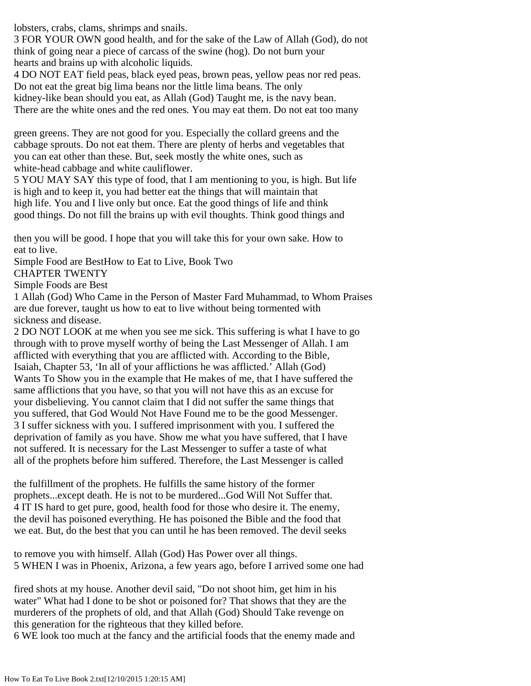lobsters, crabs, clams, shrimps and snails.

3 FOR YOUR OWN good health, and for the sake of the Law of Allah (God), do not think of going near a piece of carcass of the swine (hog). Do not burn your hearts and brains up with alcoholic liquids.

4 DO NOT EAT field peas, black eyed peas, brown peas, yellow peas nor red peas. Do not eat the great big lima beans nor the little lima beans. The only kidney-like bean should you eat, as Allah (God) Taught me, is the navy bean. There are the white ones and the red ones. You may eat them. Do not eat too many

green greens. They are not good for you. Especially the collard greens and the cabbage sprouts. Do not eat them. There are plenty of herbs and vegetables that you can eat other than these. But, seek mostly the white ones, such as white-head cabbage and white cauliflower.

5 YOU MAY SAY this type of food, that I am mentioning to you, is high. But life is high and to keep it, you had better eat the things that will maintain that high life. You and I live only but once. Eat the good things of life and think good things. Do not fill the brains up with evil thoughts. Think good things and

then you will be good. I hope that you will take this for your own sake. How to eat to live.

Simple Food are BestHow to Eat to Live, Book Two

## CHAPTER TWENTY

Simple Foods are Best

1 Allah (God) Who Came in the Person of Master Fard Muhammad, to Whom Praises are due forever, taught us how to eat to live without being tormented with sickness and disease.

2 DO NOT LOOK at me when you see me sick. This suffering is what I have to go through with to prove myself worthy of being the Last Messenger of Allah. I am afflicted with everything that you are afflicted with. According to the Bible, Isaiah, Chapter 53, 'In all of your afflictions he was afflicted.' Allah (God) Wants To Show you in the example that He makes of me, that I have suffered the same afflictions that you have, so that you will not have this as an excuse for your disbelieving. You cannot claim that I did not suffer the same things that you suffered, that God Would Not Have Found me to be the good Messenger. 3 I suffer sickness with you. I suffered imprisonment with you. I suffered the deprivation of family as you have. Show me what you have suffered, that I have not suffered. It is necessary for the Last Messenger to suffer a taste of what all of the prophets before him suffered. Therefore, the Last Messenger is called

the fulfillment of the prophets. He fulfills the same history of the former prophets...except death. He is not to be murdered...God Will Not Suffer that. 4 IT IS hard to get pure, good, health food for those who desire it. The enemy, the devil has poisoned everything. He has poisoned the Bible and the food that we eat. But, do the best that you can until he has been removed. The devil seeks

to remove you with himself. Allah (God) Has Power over all things. 5 WHEN I was in Phoenix, Arizona, a few years ago, before I arrived some one had

fired shots at my house. Another devil said, "Do not shoot him, get him in his water" What had I done to be shot or poisoned for? That shows that they are the murderers of the prophets of old, and that Allah (God) Should Take revenge on this generation for the righteous that they killed before.

6 WE look too much at the fancy and the artificial foods that the enemy made and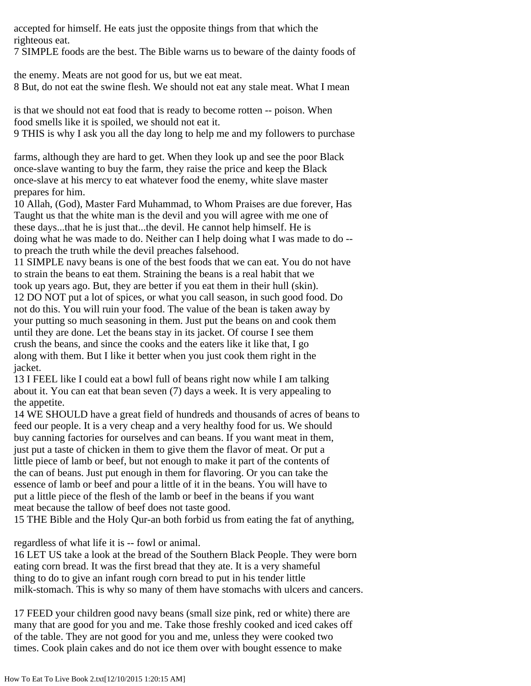accepted for himself. He eats just the opposite things from that which the righteous eat.

7 SIMPLE foods are the best. The Bible warns us to beware of the dainty foods of

the enemy. Meats are not good for us, but we eat meat. 8 But, do not eat the swine flesh. We should not eat any stale meat. What I mean

is that we should not eat food that is ready to become rotten -- poison. When food smells like it is spoiled, we should not eat it.

9 THIS is why I ask you all the day long to help me and my followers to purchase

farms, although they are hard to get. When they look up and see the poor Black once-slave wanting to buy the farm, they raise the price and keep the Black once-slave at his mercy to eat whatever food the enemy, white slave master prepares for him.

10 Allah, (God), Master Fard Muhammad, to Whom Praises are due forever, Has Taught us that the white man is the devil and you will agree with me one of these days...that he is just that...the devil. He cannot help himself. He is doing what he was made to do. Neither can I help doing what I was made to do - to preach the truth while the devil preaches falsehood.

11 SIMPLE navy beans is one of the best foods that we can eat. You do not have to strain the beans to eat them. Straining the beans is a real habit that we took up years ago. But, they are better if you eat them in their hull (skin). 12 DO NOT put a lot of spices, or what you call season, in such good food. Do not do this. You will ruin your food. The value of the bean is taken away by your putting so much seasoning in them. Just put the beans on and cook them until they are done. Let the beans stay in its jacket. Of course I see them crush the beans, and since the cooks and the eaters like it like that, I go along with them. But I like it better when you just cook them right in the jacket.

13 I FEEL like I could eat a bowl full of beans right now while I am talking about it. You can eat that bean seven (7) days a week. It is very appealing to the appetite.

14 WE SHOULD have a great field of hundreds and thousands of acres of beans to feed our people. It is a very cheap and a very healthy food for us. We should buy canning factories for ourselves and can beans. If you want meat in them, just put a taste of chicken in them to give them the flavor of meat. Or put a little piece of lamb or beef, but not enough to make it part of the contents of the can of beans. Just put enough in them for flavoring. Or you can take the essence of lamb or beef and pour a little of it in the beans. You will have to put a little piece of the flesh of the lamb or beef in the beans if you want meat because the tallow of beef does not taste good.

15 THE Bible and the Holy Qur-an both forbid us from eating the fat of anything,

regardless of what life it is -- fowl or animal.

16 LET US take a look at the bread of the Southern Black People. They were born eating corn bread. It was the first bread that they ate. It is a very shameful thing to do to give an infant rough corn bread to put in his tender little milk-stomach. This is why so many of them have stomachs with ulcers and cancers.

17 FEED your children good navy beans (small size pink, red or white) there are many that are good for you and me. Take those freshly cooked and iced cakes off of the table. They are not good for you and me, unless they were cooked two times. Cook plain cakes and do not ice them over with bought essence to make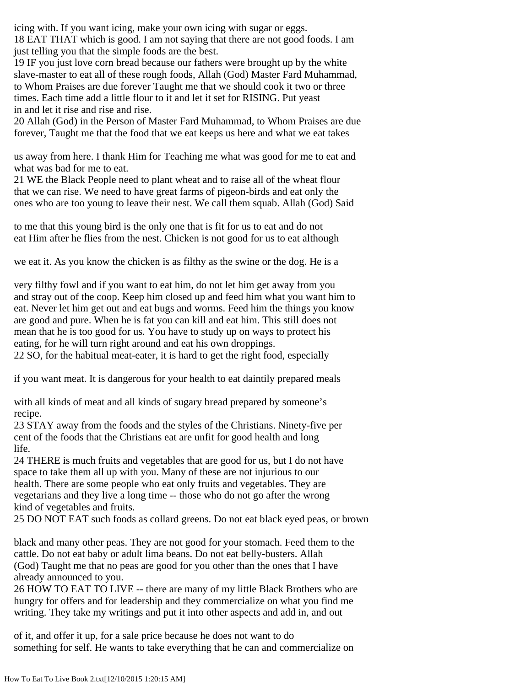icing with. If you want icing, make your own icing with sugar or eggs. 18 EAT THAT which is good. I am not saying that there are not good foods. I am just telling you that the simple foods are the best.

19 IF you just love corn bread because our fathers were brought up by the white slave-master to eat all of these rough foods, Allah (God) Master Fard Muhammad, to Whom Praises are due forever Taught me that we should cook it two or three times. Each time add a little flour to it and let it set for RISING. Put yeast in and let it rise and rise and rise.

20 Allah (God) in the Person of Master Fard Muhammad, to Whom Praises are due forever, Taught me that the food that we eat keeps us here and what we eat takes

us away from here. I thank Him for Teaching me what was good for me to eat and what was bad for me to eat.

21 WE the Black People need to plant wheat and to raise all of the wheat flour that we can rise. We need to have great farms of pigeon-birds and eat only the ones who are too young to leave their nest. We call them squab. Allah (God) Said

to me that this young bird is the only one that is fit for us to eat and do not eat Him after he flies from the nest. Chicken is not good for us to eat although

we eat it. As you know the chicken is as filthy as the swine or the dog. He is a

very filthy fowl and if you want to eat him, do not let him get away from you and stray out of the coop. Keep him closed up and feed him what you want him to eat. Never let him get out and eat bugs and worms. Feed him the things you know are good and pure. When he is fat you can kill and eat him. This still does not mean that he is too good for us. You have to study up on ways to protect his eating, for he will turn right around and eat his own droppings.

22 SO, for the habitual meat-eater, it is hard to get the right food, especially

if you want meat. It is dangerous for your health to eat daintily prepared meals

with all kinds of meat and all kinds of sugary bread prepared by someone's recipe.

23 STAY away from the foods and the styles of the Christians. Ninety-five per cent of the foods that the Christians eat are unfit for good health and long life.

24 THERE is much fruits and vegetables that are good for us, but I do not have space to take them all up with you. Many of these are not injurious to our health. There are some people who eat only fruits and vegetables. They are vegetarians and they live a long time -- those who do not go after the wrong kind of vegetables and fruits.

25 DO NOT EAT such foods as collard greens. Do not eat black eyed peas, or brown

black and many other peas. They are not good for your stomach. Feed them to the cattle. Do not eat baby or adult lima beans. Do not eat belly-busters. Allah (God) Taught me that no peas are good for you other than the ones that I have already announced to you.

26 HOW TO EAT TO LIVE -- there are many of my little Black Brothers who are hungry for offers and for leadership and they commercialize on what you find me writing. They take my writings and put it into other aspects and add in, and out

of it, and offer it up, for a sale price because he does not want to do something for self. He wants to take everything that he can and commercialize on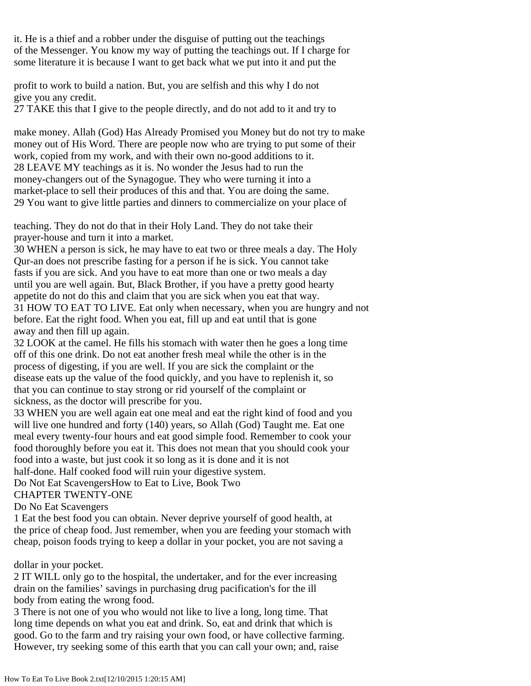it. He is a thief and a robber under the disguise of putting out the teachings of the Messenger. You know my way of putting the teachings out. If I charge for some literature it is because I want to get back what we put into it and put the

profit to work to build a nation. But, you are selfish and this why I do not give you any credit. 27 TAKE this that I give to the people directly, and do not add to it and try to

make money. Allah (God) Has Already Promised you Money but do not try to make money out of His Word. There are people now who are trying to put some of their work, copied from my work, and with their own no-good additions to it. 28 LEAVE MY teachings as it is. No wonder the Jesus had to run the money-changers out of the Synagogue. They who were turning it into a market-place to sell their produces of this and that. You are doing the same. 29 You want to give little parties and dinners to commercialize on your place of

teaching. They do not do that in their Holy Land. They do not take their prayer-house and turn it into a market.

30 WHEN a person is sick, he may have to eat two or three meals a day. The Holy Qur-an does not prescribe fasting for a person if he is sick. You cannot take fasts if you are sick. And you have to eat more than one or two meals a day until you are well again. But, Black Brother, if you have a pretty good hearty appetite do not do this and claim that you are sick when you eat that way. 31 HOW TO EAT TO LIVE. Eat only when necessary, when you are hungry and not before. Eat the right food. When you eat, fill up and eat until that is gone away and then fill up again.

32 LOOK at the camel. He fills his stomach with water then he goes a long time off of this one drink. Do not eat another fresh meal while the other is in the process of digesting, if you are well. If you are sick the complaint or the disease eats up the value of the food quickly, and you have to replenish it, so that you can continue to stay strong or rid yourself of the complaint or sickness, as the doctor will prescribe for you.

33 WHEN you are well again eat one meal and eat the right kind of food and you will live one hundred and forty (140) years, so Allah (God) Taught me. Eat one meal every twenty-four hours and eat good simple food. Remember to cook your food thoroughly before you eat it. This does not mean that you should cook your food into a waste, but just cook it so long as it is done and it is not half-done. Half cooked food will ruin your digestive system.

Do Not Eat ScavengersHow to Eat to Live, Book Two

### CHAPTER TWENTY-ONE

Do No Eat Scavengers

1 Eat the best food you can obtain. Never deprive yourself of good health, at the price of cheap food. Just remember, when you are feeding your stomach with cheap, poison foods trying to keep a dollar in your pocket, you are not saving a

dollar in your pocket.

2 IT WILL only go to the hospital, the undertaker, and for the ever increasing drain on the families' savings in purchasing drug pacification's for the ill body from eating the wrong food.

3 There is not one of you who would not like to live a long, long time. That long time depends on what you eat and drink. So, eat and drink that which is good. Go to the farm and try raising your own food, or have collective farming. However, try seeking some of this earth that you can call your own; and, raise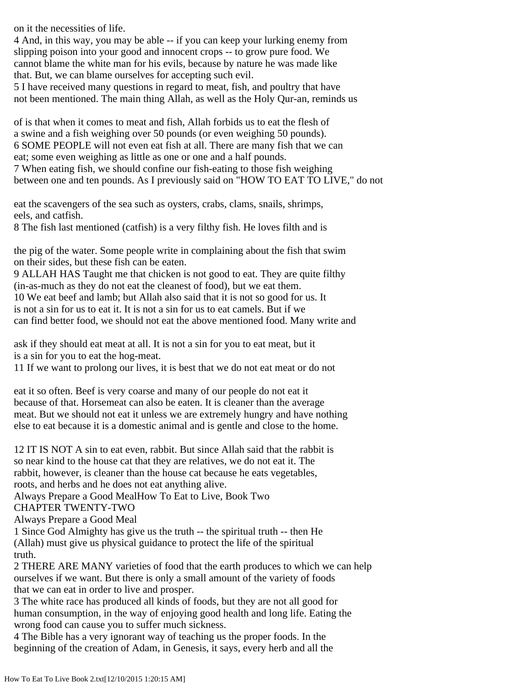on it the necessities of life.

4 And, in this way, you may be able -- if you can keep your lurking enemy from slipping poison into your good and innocent crops -- to grow pure food. We cannot blame the white man for his evils, because by nature he was made like that. But, we can blame ourselves for accepting such evil. 5 I have received many questions in regard to meat, fish, and poultry that have

not been mentioned. The main thing Allah, as well as the Holy Qur-an, reminds us

of is that when it comes to meat and fish, Allah forbids us to eat the flesh of a swine and a fish weighing over 50 pounds (or even weighing 50 pounds). 6 SOME PEOPLE will not even eat fish at all. There are many fish that we can eat; some even weighing as little as one or one and a half pounds. 7 When eating fish, we should confine our fish-eating to those fish weighing between one and ten pounds. As I previously said on "HOW TO EAT TO LIVE," do not

eat the scavengers of the sea such as oysters, crabs, clams, snails, shrimps, eels, and catfish.

8 The fish last mentioned (catfish) is a very filthy fish. He loves filth and is

the pig of the water. Some people write in complaining about the fish that swim on their sides, but these fish can be eaten.

9 ALLAH HAS Taught me that chicken is not good to eat. They are quite filthy (in-as-much as they do not eat the cleanest of food), but we eat them. 10 We eat beef and lamb; but Allah also said that it is not so good for us. It is not a sin for us to eat it. It is not a sin for us to eat camels. But if we can find better food, we should not eat the above mentioned food. Many write and

ask if they should eat meat at all. It is not a sin for you to eat meat, but it is a sin for you to eat the hog-meat.

11 If we want to prolong our lives, it is best that we do not eat meat or do not

eat it so often. Beef is very coarse and many of our people do not eat it because of that. Horsemeat can also be eaten. It is cleaner than the average meat. But we should not eat it unless we are extremely hungry and have nothing else to eat because it is a domestic animal and is gentle and close to the home.

12 IT IS NOT A sin to eat even, rabbit. But since Allah said that the rabbit is so near kind to the house cat that they are relatives, we do not eat it. The rabbit, however, is cleaner than the house cat because he eats vegetables, roots, and herbs and he does not eat anything alive.

Always Prepare a Good MealHow To Eat to Live, Book Two

CHAPTER TWENTY-TWO

Always Prepare a Good Meal

1 Since God Almighty has give us the truth -- the spiritual truth -- then He (Allah) must give us physical guidance to protect the life of the spiritual truth.

2 THERE ARE MANY varieties of food that the earth produces to which we can help ourselves if we want. But there is only a small amount of the variety of foods that we can eat in order to live and prosper.

3 The white race has produced all kinds of foods, but they are not all good for human consumption, in the way of enjoying good health and long life. Eating the wrong food can cause you to suffer much sickness.

4 The Bible has a very ignorant way of teaching us the proper foods. In the beginning of the creation of Adam, in Genesis, it says, every herb and all the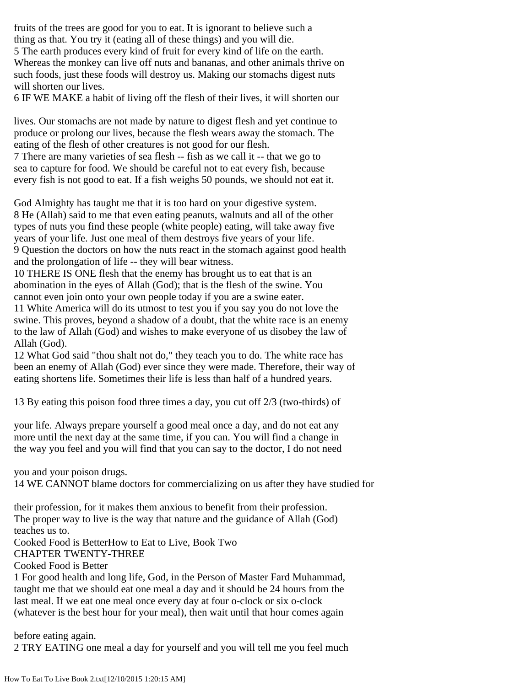fruits of the trees are good for you to eat. It is ignorant to believe such a thing as that. You try it (eating all of these things) and you will die. 5 The earth produces every kind of fruit for every kind of life on the earth. Whereas the monkey can live off nuts and bananas, and other animals thrive on such foods, just these foods will destroy us. Making our stomachs digest nuts will shorten our lives.

6 IF WE MAKE a habit of living off the flesh of their lives, it will shorten our

lives. Our stomachs are not made by nature to digest flesh and yet continue to produce or prolong our lives, because the flesh wears away the stomach. The eating of the flesh of other creatures is not good for our flesh.

7 There are many varieties of sea flesh -- fish as we call it -- that we go to sea to capture for food. We should be careful not to eat every fish, because every fish is not good to eat. If a fish weighs 50 pounds, we should not eat it.

God Almighty has taught me that it is too hard on your digestive system. 8 He (Allah) said to me that even eating peanuts, walnuts and all of the other types of nuts you find these people (white people) eating, will take away five years of your life. Just one meal of them destroys five years of your life. 9 Question the doctors on how the nuts react in the stomach against good health and the prolongation of life -- they will bear witness.

10 THERE IS ONE flesh that the enemy has brought us to eat that is an abomination in the eyes of Allah (God); that is the flesh of the swine. You cannot even join onto your own people today if you are a swine eater.

11 White America will do its utmost to test you if you say you do not love the swine. This proves, beyond a shadow of a doubt, that the white race is an enemy to the law of Allah (God) and wishes to make everyone of us disobey the law of Allah (God).

12 What God said "thou shalt not do," they teach you to do. The white race has been an enemy of Allah (God) ever since they were made. Therefore, their way of eating shortens life. Sometimes their life is less than half of a hundred years.

13 By eating this poison food three times a day, you cut off 2/3 (two-thirds) of

your life. Always prepare yourself a good meal once a day, and do not eat any more until the next day at the same time, if you can. You will find a change in the way you feel and you will find that you can say to the doctor, I do not need

you and your poison drugs.

14 WE CANNOT blame doctors for commercializing on us after they have studied for

their profession, for it makes them anxious to benefit from their profession. The proper way to live is the way that nature and the guidance of Allah (God) teaches us to.

Cooked Food is BetterHow to Eat to Live, Book Two CHAPTER TWENTY-THREE

Cooked Food is Better

1 For good health and long life, God, in the Person of Master Fard Muhammad, taught me that we should eat one meal a day and it should be 24 hours from the last meal. If we eat one meal once every day at four o-clock or six o-clock (whatever is the best hour for your meal), then wait until that hour comes again

before eating again.

2 TRY EATING one meal a day for yourself and you will tell me you feel much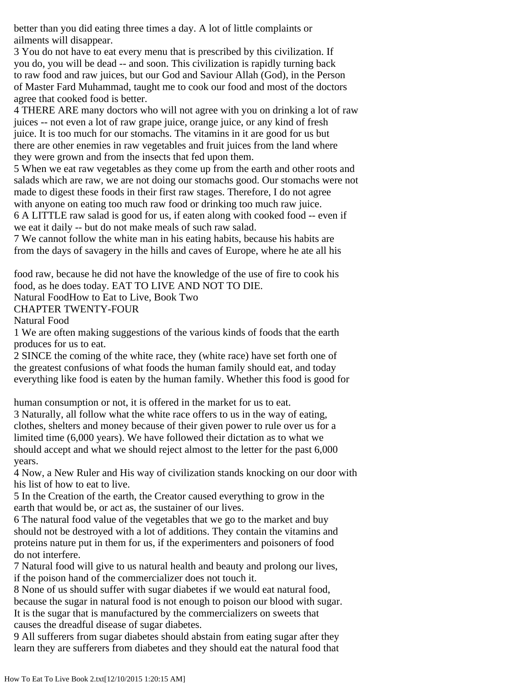better than you did eating three times a day. A lot of little complaints or ailments will disappear.

3 You do not have to eat every menu that is prescribed by this civilization. If you do, you will be dead -- and soon. This civilization is rapidly turning back to raw food and raw juices, but our God and Saviour Allah (God), in the Person of Master Fard Muhammad, taught me to cook our food and most of the doctors agree that cooked food is better.

4 THERE ARE many doctors who will not agree with you on drinking a lot of raw juices -- not even a lot of raw grape juice, orange juice, or any kind of fresh juice. It is too much for our stomachs. The vitamins in it are good for us but there are other enemies in raw vegetables and fruit juices from the land where they were grown and from the insects that fed upon them.

5 When we eat raw vegetables as they come up from the earth and other roots and salads which are raw, we are not doing our stomachs good. Our stomachs were not made to digest these foods in their first raw stages. Therefore, I do not agree with anyone on eating too much raw food or drinking too much raw juice. 6 A LITTLE raw salad is good for us, if eaten along with cooked food -- even if we eat it daily -- but do not make meals of such raw salad.

7 We cannot follow the white man in his eating habits, because his habits are from the days of savagery in the hills and caves of Europe, where he ate all his

food raw, because he did not have the knowledge of the use of fire to cook his food, as he does today. EAT TO LIVE AND NOT TO DIE. Natural FoodHow to Eat to Live, Book Two

## CHAPTER TWENTY-FOUR

Natural Food

1 We are often making suggestions of the various kinds of foods that the earth produces for us to eat.

2 SINCE the coming of the white race, they (white race) have set forth one of the greatest confusions of what foods the human family should eat, and today everything like food is eaten by the human family. Whether this food is good for

human consumption or not, it is offered in the market for us to eat.

3 Naturally, all follow what the white race offers to us in the way of eating, clothes, shelters and money because of their given power to rule over us for a limited time (6,000 years). We have followed their dictation as to what we should accept and what we should reject almost to the letter for the past 6,000 years.

4 Now, a New Ruler and His way of civilization stands knocking on our door with his list of how to eat to live.

5 In the Creation of the earth, the Creator caused everything to grow in the earth that would be, or act as, the sustainer of our lives.

6 The natural food value of the vegetables that we go to the market and buy should not be destroyed with a lot of additions. They contain the vitamins and proteins nature put in them for us, if the experimenters and poisoners of food do not interfere.

7 Natural food will give to us natural health and beauty and prolong our lives, if the poison hand of the commercializer does not touch it.

8 None of us should suffer with sugar diabetes if we would eat natural food, because the sugar in natural food is not enough to poison our blood with sugar. It is the sugar that is manufactured by the commercializers on sweets that causes the dreadful disease of sugar diabetes.

9 All sufferers from sugar diabetes should abstain from eating sugar after they learn they are sufferers from diabetes and they should eat the natural food that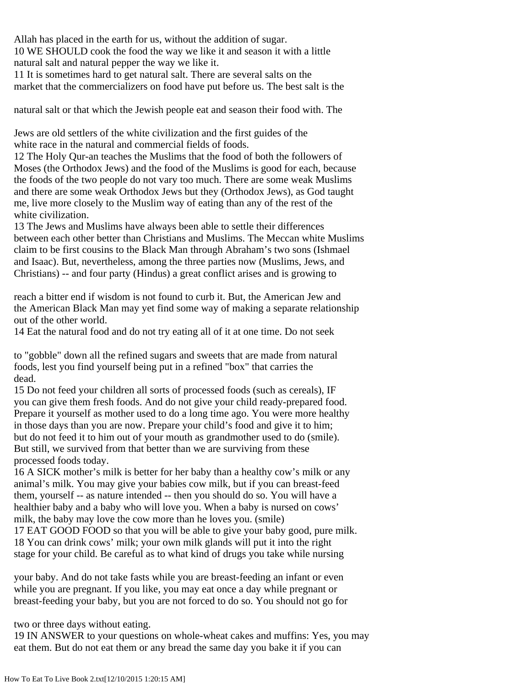Allah has placed in the earth for us, without the addition of sugar.

10 WE SHOULD cook the food the way we like it and season it with a little natural salt and natural pepper the way we like it.

11 It is sometimes hard to get natural salt. There are several salts on the market that the commercializers on food have put before us. The best salt is the

natural salt or that which the Jewish people eat and season their food with. The

Jews are old settlers of the white civilization and the first guides of the white race in the natural and commercial fields of foods.

12 The Holy Qur-an teaches the Muslims that the food of both the followers of Moses (the Orthodox Jews) and the food of the Muslims is good for each, because the foods of the two people do not vary too much. There are some weak Muslims and there are some weak Orthodox Jews but they (Orthodox Jews), as God taught me, live more closely to the Muslim way of eating than any of the rest of the white civilization.

13 The Jews and Muslims have always been able to settle their differences between each other better than Christians and Muslims. The Meccan white Muslims claim to be first cousins to the Black Man through Abraham's two sons (Ishmael and Isaac). But, nevertheless, among the three parties now (Muslims, Jews, and Christians) -- and four party (Hindus) a great conflict arises and is growing to

reach a bitter end if wisdom is not found to curb it. But, the American Jew and the American Black Man may yet find some way of making a separate relationship out of the other world.

14 Eat the natural food and do not try eating all of it at one time. Do not seek

to "gobble" down all the refined sugars and sweets that are made from natural foods, lest you find yourself being put in a refined "box" that carries the dead.

15 Do not feed your children all sorts of processed foods (such as cereals), IF you can give them fresh foods. And do not give your child ready-prepared food. Prepare it yourself as mother used to do a long time ago. You were more healthy in those days than you are now. Prepare your child's food and give it to him; but do not feed it to him out of your mouth as grandmother used to do (smile). But still, we survived from that better than we are surviving from these processed foods today.

16 A SICK mother's milk is better for her baby than a healthy cow's milk or any animal's milk. You may give your babies cow milk, but if you can breast-feed them, yourself -- as nature intended -- then you should do so. You will have a healthier baby and a baby who will love you. When a baby is nursed on cows' milk, the baby may love the cow more than he loves you. (smile)

17 EAT GOOD FOOD so that you will be able to give your baby good, pure milk. 18 You can drink cows' milk; your own milk glands will put it into the right stage for your child. Be careful as to what kind of drugs you take while nursing

your baby. And do not take fasts while you are breast-feeding an infant or even while you are pregnant. If you like, you may eat once a day while pregnant or breast-feeding your baby, but you are not forced to do so. You should not go for

two or three days without eating.

19 IN ANSWER to your questions on whole-wheat cakes and muffins: Yes, you may eat them. But do not eat them or any bread the same day you bake it if you can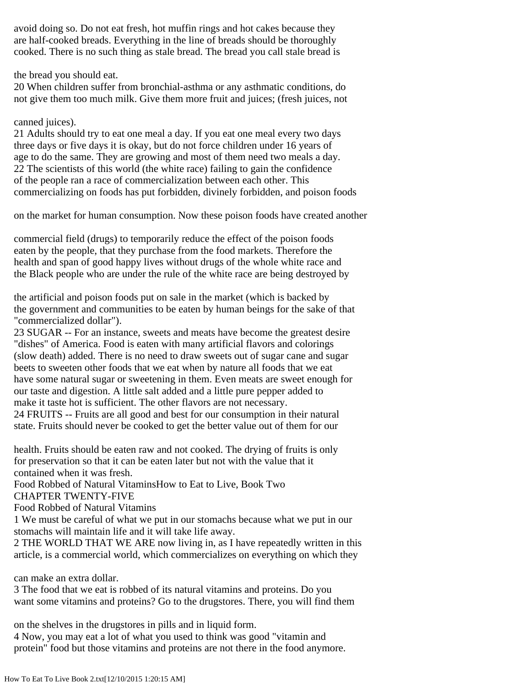avoid doing so. Do not eat fresh, hot muffin rings and hot cakes because they are half-cooked breads. Everything in the line of breads should be thoroughly cooked. There is no such thing as stale bread. The bread you call stale bread is

the bread you should eat.

20 When children suffer from bronchial-asthma or any asthmatic conditions, do not give them too much milk. Give them more fruit and juices; (fresh juices, not

#### canned juices).

21 Adults should try to eat one meal a day. If you eat one meal every two days three days or five days it is okay, but do not force children under 16 years of age to do the same. They are growing and most of them need two meals a day. 22 The scientists of this world (the white race) failing to gain the confidence of the people ran a race of commercialization between each other. This commercializing on foods has put forbidden, divinely forbidden, and poison foods

on the market for human consumption. Now these poison foods have created another

commercial field (drugs) to temporarily reduce the effect of the poison foods eaten by the people, that they purchase from the food markets. Therefore the health and span of good happy lives without drugs of the whole white race and the Black people who are under the rule of the white race are being destroyed by

the artificial and poison foods put on sale in the market (which is backed by the government and communities to be eaten by human beings for the sake of that "commercialized dollar").

23 SUGAR -- For an instance, sweets and meats have become the greatest desire "dishes" of America. Food is eaten with many artificial flavors and colorings (slow death) added. There is no need to draw sweets out of sugar cane and sugar beets to sweeten other foods that we eat when by nature all foods that we eat have some natural sugar or sweetening in them. Even meats are sweet enough for our taste and digestion. A little salt added and a little pure pepper added to make it taste hot is sufficient. The other flavors are not necessary.

24 FRUITS -- Fruits are all good and best for our consumption in their natural state. Fruits should never be cooked to get the better value out of them for our

health. Fruits should be eaten raw and not cooked. The drying of fruits is only for preservation so that it can be eaten later but not with the value that it contained when it was fresh.

Food Robbed of Natural VitaminsHow to Eat to Live, Book Two

### CHAPTER TWENTY-FIVE

Food Robbed of Natural Vitamins

1 We must be careful of what we put in our stomachs because what we put in our stomachs will maintain life and it will take life away.

2 THE WORLD THAT WE ARE now living in, as I have repeatedly written in this article, is a commercial world, which commercializes on everything on which they

can make an extra dollar.

3 The food that we eat is robbed of its natural vitamins and proteins. Do you want some vitamins and proteins? Go to the drugstores. There, you will find them

on the shelves in the drugstores in pills and in liquid form.

4 Now, you may eat a lot of what you used to think was good "vitamin and protein" food but those vitamins and proteins are not there in the food anymore.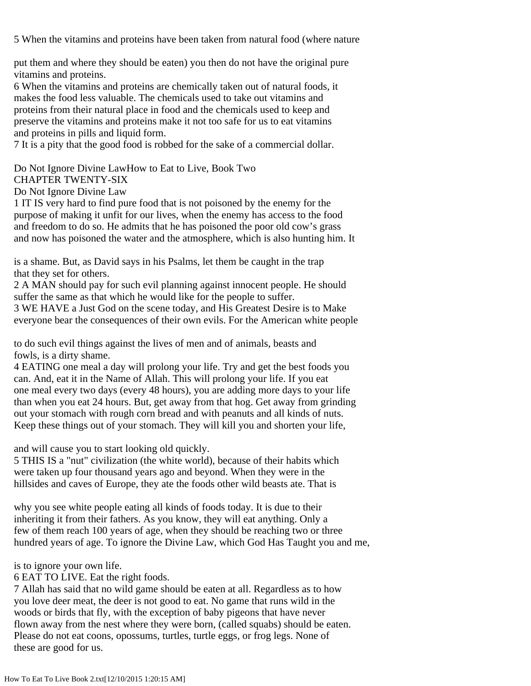5 When the vitamins and proteins have been taken from natural food (where nature

put them and where they should be eaten) you then do not have the original pure vitamins and proteins.

6 When the vitamins and proteins are chemically taken out of natural foods, it makes the food less valuable. The chemicals used to take out vitamins and proteins from their natural place in food and the chemicals used to keep and preserve the vitamins and proteins make it not too safe for us to eat vitamins and proteins in pills and liquid form.

7 It is a pity that the good food is robbed for the sake of a commercial dollar.

Do Not Ignore Divine LawHow to Eat to Live, Book Two

### CHAPTER TWENTY-SIX

Do Not Ignore Divine Law

1 IT IS very hard to find pure food that is not poisoned by the enemy for the purpose of making it unfit for our lives, when the enemy has access to the food and freedom to do so. He admits that he has poisoned the poor old cow's grass and now has poisoned the water and the atmosphere, which is also hunting him. It

is a shame. But, as David says in his Psalms, let them be caught in the trap that they set for others.

2 A MAN should pay for such evil planning against innocent people. He should suffer the same as that which he would like for the people to suffer.

3 WE HAVE a Just God on the scene today, and His Greatest Desire is to Make everyone bear the consequences of their own evils. For the American white people

to do such evil things against the lives of men and of animals, beasts and fowls, is a dirty shame.

4 EATING one meal a day will prolong your life. Try and get the best foods you can. And, eat it in the Name of Allah. This will prolong your life. If you eat one meal every two days (every 48 hours), you are adding more days to your life than when you eat 24 hours. But, get away from that hog. Get away from grinding out your stomach with rough corn bread and with peanuts and all kinds of nuts. Keep these things out of your stomach. They will kill you and shorten your life,

and will cause you to start looking old quickly.

5 THIS IS a "nut" civilization (the white world), because of their habits which were taken up four thousand years ago and beyond. When they were in the hillsides and caves of Europe, they ate the foods other wild beasts ate. That is

why you see white people eating all kinds of foods today. It is due to their inheriting it from their fathers. As you know, they will eat anything. Only a few of them reach 100 years of age, when they should be reaching two or three hundred years of age. To ignore the Divine Law, which God Has Taught you and me,

is to ignore your own life.

6 EAT TO LIVE. Eat the right foods.

7 Allah has said that no wild game should be eaten at all. Regardless as to how you love deer meat, the deer is not good to eat. No game that runs wild in the woods or birds that fly, with the exception of baby pigeons that have never flown away from the nest where they were born, (called squabs) should be eaten. Please do not eat coons, opossums, turtles, turtle eggs, or frog legs. None of these are good for us.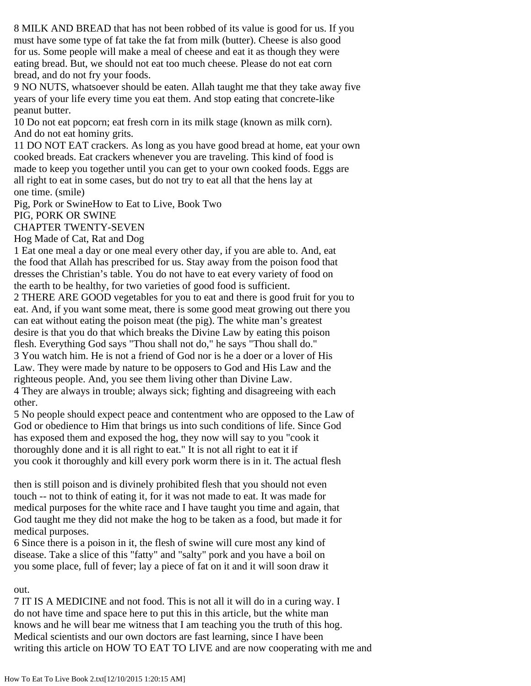8 MILK AND BREAD that has not been robbed of its value is good for us. If you must have some type of fat take the fat from milk (butter). Cheese is also good for us. Some people will make a meal of cheese and eat it as though they were eating bread. But, we should not eat too much cheese. Please do not eat corn bread, and do not fry your foods.

9 NO NUTS, whatsoever should be eaten. Allah taught me that they take away five years of your life every time you eat them. And stop eating that concrete-like peanut butter.

10 Do not eat popcorn; eat fresh corn in its milk stage (known as milk corn). And do not eat hominy grits.

11 DO NOT EAT crackers. As long as you have good bread at home, eat your own cooked breads. Eat crackers whenever you are traveling. This kind of food is made to keep you together until you can get to your own cooked foods. Eggs are all right to eat in some cases, but do not try to eat all that the hens lay at one time. (smile)

Pig, Pork or SwineHow to Eat to Live, Book Two

PIG, PORK OR SWINE

CHAPTER TWENTY-SEVEN

Hog Made of Cat, Rat and Dog

1 Eat one meal a day or one meal every other day, if you are able to. And, eat the food that Allah has prescribed for us. Stay away from the poison food that dresses the Christian's table. You do not have to eat every variety of food on the earth to be healthy, for two varieties of good food is sufficient.

2 THERE ARE GOOD vegetables for you to eat and there is good fruit for you to eat. And, if you want some meat, there is some good meat growing out there you can eat without eating the poison meat (the pig). The white man's greatest desire is that you do that which breaks the Divine Law by eating this poison flesh. Everything God says "Thou shall not do," he says "Thou shall do." 3 You watch him. He is not a friend of God nor is he a doer or a lover of His Law. They were made by nature to be opposers to God and His Law and the righteous people. And, you see them living other than Divine Law. 4 They are always in trouble; always sick; fighting and disagreeing with each

other. 5 No people should expect peace and contentment who are opposed to the Law of God or obedience to Him that brings us into such conditions of life. Since God has exposed them and exposed the hog, they now will say to you "cook it thoroughly done and it is all right to eat." It is not all right to eat it if you cook it thoroughly and kill every pork worm there is in it. The actual flesh

then is still poison and is divinely prohibited flesh that you should not even touch -- not to think of eating it, for it was not made to eat. It was made for medical purposes for the white race and I have taught you time and again, that God taught me they did not make the hog to be taken as a food, but made it for medical purposes.

6 Since there is a poison in it, the flesh of swine will cure most any kind of disease. Take a slice of this "fatty" and "salty" pork and you have a boil on you some place, full of fever; lay a piece of fat on it and it will soon draw it

### out.

7 IT IS A MEDICINE and not food. This is not all it will do in a curing way. I do not have time and space here to put this in this article, but the white man knows and he will bear me witness that I am teaching you the truth of this hog. Medical scientists and our own doctors are fast learning, since I have been writing this article on HOW TO EAT TO LIVE and are now cooperating with me and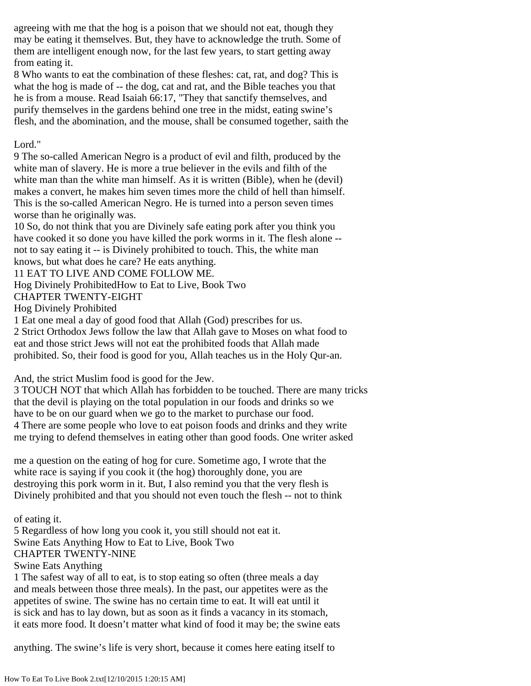agreeing with me that the hog is a poison that we should not eat, though they may be eating it themselves. But, they have to acknowledge the truth. Some of them are intelligent enough now, for the last few years, to start getting away from eating it.

8 Who wants to eat the combination of these fleshes: cat, rat, and dog? This is what the hog is made of -- the dog, cat and rat, and the Bible teaches you that he is from a mouse. Read Isaiah 66:17, "They that sanctify themselves, and purify themselves in the gardens behind one tree in the midst, eating swine's flesh, and the abomination, and the mouse, shall be consumed together, saith the

### Lord."

9 The so-called American Negro is a product of evil and filth, produced by the white man of slavery. He is more a true believer in the evils and filth of the white man than the white man himself. As it is written (Bible), when he (devil) makes a convert, he makes him seven times more the child of hell than himself. This is the so-called American Negro. He is turned into a person seven times worse than he originally was.

10 So, do not think that you are Divinely safe eating pork after you think you have cooked it so done you have killed the pork worms in it. The flesh alone - not to say eating it -- is Divinely prohibited to touch. This, the white man knows, but what does he care? He eats anything.

11 EAT TO LIVE AND COME FOLLOW ME.

Hog Divinely ProhibitedHow to Eat to Live, Book Two

CHAPTER TWENTY-EIGHT

Hog Divinely Prohibited

1 Eat one meal a day of good food that Allah (God) prescribes for us.

2 Strict Orthodox Jews follow the law that Allah gave to Moses on what food to eat and those strict Jews will not eat the prohibited foods that Allah made prohibited. So, their food is good for you, Allah teaches us in the Holy Qur-an.

And, the strict Muslim food is good for the Jew.

3 TOUCH NOT that which Allah has forbidden to be touched. There are many tricks that the devil is playing on the total population in our foods and drinks so we have to be on our guard when we go to the market to purchase our food. 4 There are some people who love to eat poison foods and drinks and they write me trying to defend themselves in eating other than good foods. One writer asked

me a question on the eating of hog for cure. Sometime ago, I wrote that the white race is saying if you cook it (the hog) thoroughly done, you are destroying this pork worm in it. But, I also remind you that the very flesh is Divinely prohibited and that you should not even touch the flesh -- not to think

of eating it.

5 Regardless of how long you cook it, you still should not eat it. Swine Eats Anything How to Eat to Live, Book Two CHAPTER TWENTY-NINE Swine Eats Anything

1 The safest way of all to eat, is to stop eating so often (three meals a day and meals between those three meals). In the past, our appetites were as the appetites of swine. The swine has no certain time to eat. It will eat until it is sick and has to lay down, but as soon as it finds a vacancy in its stomach, it eats more food. It doesn't matter what kind of food it may be; the swine eats

anything. The swine's life is very short, because it comes here eating itself to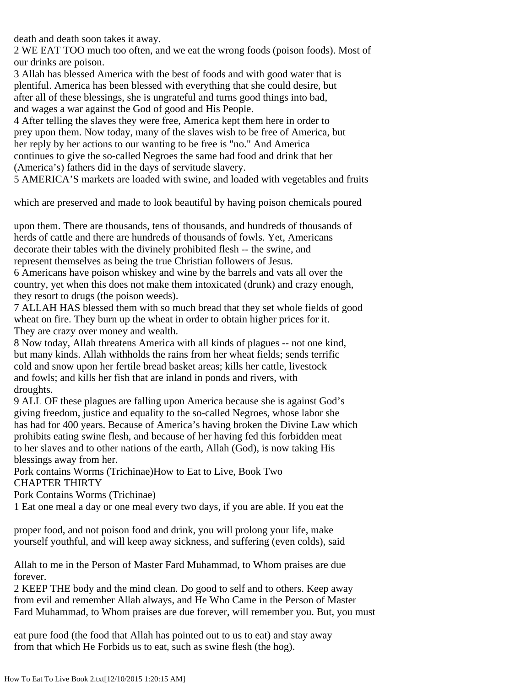death and death soon takes it away.

2 WE EAT TOO much too often, and we eat the wrong foods (poison foods). Most of our drinks are poison.

3 Allah has blessed America with the best of foods and with good water that is plentiful. America has been blessed with everything that she could desire, but after all of these blessings, she is ungrateful and turns good things into bad, and wages a war against the God of good and His People.

4 After telling the slaves they were free, America kept them here in order to prey upon them. Now today, many of the slaves wish to be free of America, but her reply by her actions to our wanting to be free is "no." And America continues to give the so-called Negroes the same bad food and drink that her (America's) fathers did in the days of servitude slavery.

5 AMERICA'S markets are loaded with swine, and loaded with vegetables and fruits

which are preserved and made to look beautiful by having poison chemicals poured

upon them. There are thousands, tens of thousands, and hundreds of thousands of herds of cattle and there are hundreds of thousands of fowls. Yet, Americans decorate their tables with the divinely prohibited flesh -- the swine, and represent themselves as being the true Christian followers of Jesus.

6 Americans have poison whiskey and wine by the barrels and vats all over the country, yet when this does not make them intoxicated (drunk) and crazy enough, they resort to drugs (the poison weeds).

7 ALLAH HAS blessed them with so much bread that they set whole fields of good wheat on fire. They burn up the wheat in order to obtain higher prices for it. They are crazy over money and wealth.

8 Now today, Allah threatens America with all kinds of plagues -- not one kind, but many kinds. Allah withholds the rains from her wheat fields; sends terrific cold and snow upon her fertile bread basket areas; kills her cattle, livestock and fowls; and kills her fish that are inland in ponds and rivers, with droughts.

9 ALL OF these plagues are falling upon America because she is against God's giving freedom, justice and equality to the so-called Negroes, whose labor she has had for 400 years. Because of America's having broken the Divine Law which prohibits eating swine flesh, and because of her having fed this forbidden meat to her slaves and to other nations of the earth, Allah (God), is now taking His blessings away from her.

Pork contains Worms (Trichinae)How to Eat to Live, Book Two CHAPTER THIRTY

Pork Contains Worms (Trichinae)

1 Eat one meal a day or one meal every two days, if you are able. If you eat the

proper food, and not poison food and drink, you will prolong your life, make yourself youthful, and will keep away sickness, and suffering (even colds), said

Allah to me in the Person of Master Fard Muhammad, to Whom praises are due forever.

2 KEEP THE body and the mind clean. Do good to self and to others. Keep away from evil and remember Allah always, and He Who Came in the Person of Master Fard Muhammad, to Whom praises are due forever, will remember you. But, you must

eat pure food (the food that Allah has pointed out to us to eat) and stay away from that which He Forbids us to eat, such as swine flesh (the hog).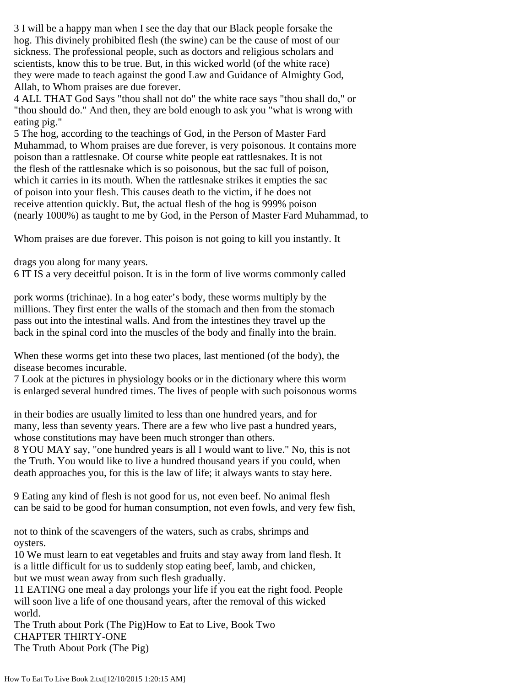3 I will be a happy man when I see the day that our Black people forsake the hog. This divinely prohibited flesh (the swine) can be the cause of most of our sickness. The professional people, such as doctors and religious scholars and scientists, know this to be true. But, in this wicked world (of the white race) they were made to teach against the good Law and Guidance of Almighty God, Allah, to Whom praises are due forever.

4 ALL THAT God Says "thou shall not do" the white race says "thou shall do," or "thou should do." And then, they are bold enough to ask you "what is wrong with eating pig."

5 The hog, according to the teachings of God, in the Person of Master Fard Muhammad, to Whom praises are due forever, is very poisonous. It contains more poison than a rattlesnake. Of course white people eat rattlesnakes. It is not the flesh of the rattlesnake which is so poisonous, but the sac full of poison, which it carries in its mouth. When the rattlesnake strikes it empties the sac of poison into your flesh. This causes death to the victim, if he does not receive attention quickly. But, the actual flesh of the hog is 999% poison (nearly 1000%) as taught to me by God, in the Person of Master Fard Muhammad, to

Whom praises are due forever. This poison is not going to kill you instantly. It

drags you along for many years.

6 IT IS a very deceitful poison. It is in the form of live worms commonly called

pork worms (trichinae). In a hog eater's body, these worms multiply by the millions. They first enter the walls of the stomach and then from the stomach pass out into the intestinal walls. And from the intestines they travel up the back in the spinal cord into the muscles of the body and finally into the brain.

When these worms get into these two places, last mentioned (of the body), the disease becomes incurable.

7 Look at the pictures in physiology books or in the dictionary where this worm is enlarged several hundred times. The lives of people with such poisonous worms

in their bodies are usually limited to less than one hundred years, and for many, less than seventy years. There are a few who live past a hundred years, whose constitutions may have been much stronger than others.

8 YOU MAY say, "one hundred years is all I would want to live." No, this is not the Truth. You would like to live a hundred thousand years if you could, when death approaches you, for this is the law of life; it always wants to stay here.

9 Eating any kind of flesh is not good for us, not even beef. No animal flesh can be said to be good for human consumption, not even fowls, and very few fish,

not to think of the scavengers of the waters, such as crabs, shrimps and oysters.

10 We must learn to eat vegetables and fruits and stay away from land flesh. It is a little difficult for us to suddenly stop eating beef, lamb, and chicken, but we must wean away from such flesh gradually.

11 EATING one meal a day prolongs your life if you eat the right food. People will soon live a life of one thousand years, after the removal of this wicked world.

The Truth about Pork (The Pig)How to Eat to Live, Book Two CHAPTER THIRTY-ONE The Truth About Pork (The Pig)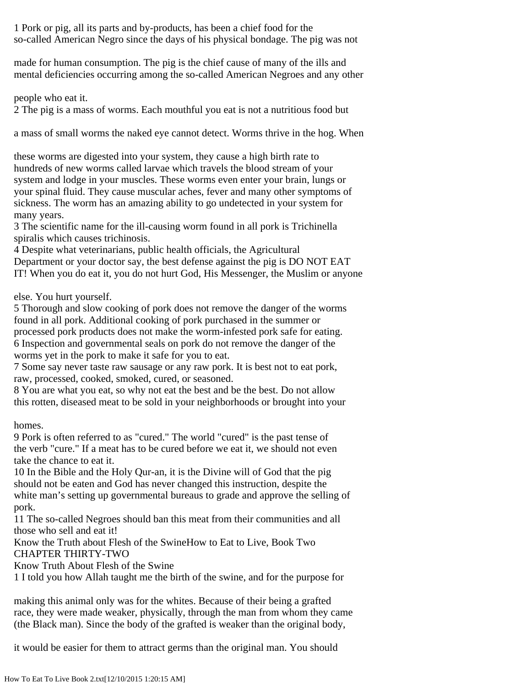1 Pork or pig, all its parts and by-products, has been a chief food for the so-called American Negro since the days of his physical bondage. The pig was not

made for human consumption. The pig is the chief cause of many of the ills and mental deficiencies occurring among the so-called American Negroes and any other

people who eat it.

2 The pig is a mass of worms. Each mouthful you eat is not a nutritious food but

a mass of small worms the naked eye cannot detect. Worms thrive in the hog. When

these worms are digested into your system, they cause a high birth rate to hundreds of new worms called larvae which travels the blood stream of your system and lodge in your muscles. These worms even enter your brain, lungs or your spinal fluid. They cause muscular aches, fever and many other symptoms of sickness. The worm has an amazing ability to go undetected in your system for many years.

3 The scientific name for the ill-causing worm found in all pork is Trichinella spiralis which causes trichinosis.

4 Despite what veterinarians, public health officials, the Agricultural Department or your doctor say, the best defense against the pig is DO NOT EAT IT! When you do eat it, you do not hurt God, His Messenger, the Muslim or anyone

else. You hurt yourself.

5 Thorough and slow cooking of pork does not remove the danger of the worms found in all pork. Additional cooking of pork purchased in the summer or processed pork products does not make the worm-infested pork safe for eating. 6 Inspection and governmental seals on pork do not remove the danger of the worms yet in the pork to make it safe for you to eat.

7 Some say never taste raw sausage or any raw pork. It is best not to eat pork, raw, processed, cooked, smoked, cured, or seasoned.

8 You are what you eat, so why not eat the best and be the best. Do not allow this rotten, diseased meat to be sold in your neighborhoods or brought into your

homes.

9 Pork is often referred to as "cured." The world "cured" is the past tense of the verb "cure." If a meat has to be cured before we eat it, we should not even take the chance to eat it.

10 In the Bible and the Holy Qur-an, it is the Divine will of God that the pig should not be eaten and God has never changed this instruction, despite the white man's setting up governmental bureaus to grade and approve the selling of pork.

11 The so-called Negroes should ban this meat from their communities and all those who sell and eat it!

Know the Truth about Flesh of the SwineHow to Eat to Live, Book Two CHAPTER THIRTY-TWO

Know Truth About Flesh of the Swine

1 I told you how Allah taught me the birth of the swine, and for the purpose for

making this animal only was for the whites. Because of their being a grafted race, they were made weaker, physically, through the man from whom they came (the Black man). Since the body of the grafted is weaker than the original body,

it would be easier for them to attract germs than the original man. You should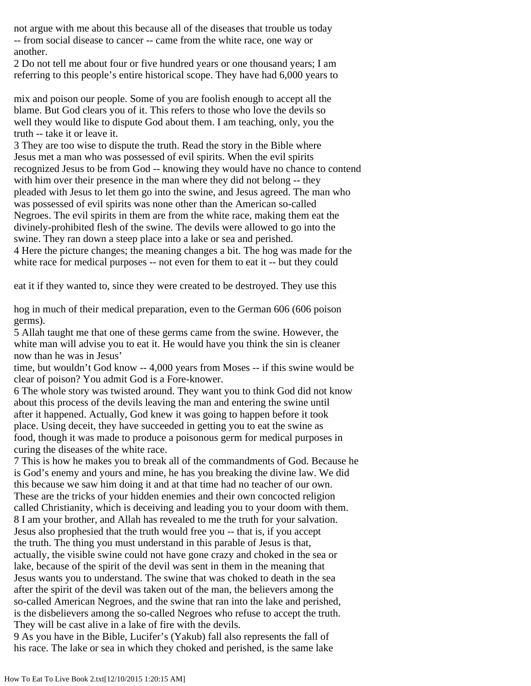not argue with me about this because all of the diseases that trouble us today -- from social disease to cancer -- came from the white race, one way or another.

2 Do not tell me about four or five hundred years or one thousand years; I am referring to this people's entire historical scope. They have had 6,000 years to

mix and poison our people. Some of you are foolish enough to accept all the blame. But God clears you of it. This refers to those who love the devils so well they would like to dispute God about them. I am teaching, only, you the truth -- take it or leave it.

3 They are too wise to dispute the truth. Read the story in the Bible where Jesus met a man who was possessed of evil spirits. When the evil spirits recognized Jesus to be from God -- knowing they would have no chance to contend with him over their presence in the man where they did not belong -- they pleaded with Jesus to let them go into the swine, and Jesus agreed. The man who was possessed of evil spirits was none other than the American so-called Negroes. The evil spirits in them are from the white race, making them eat the divinely-prohibited flesh of the swine. The devils were allowed to go into the swine. They ran down a steep place into a lake or sea and perished. 4 Here the picture changes; the meaning changes a bit. The hog was made for the white race for medical purposes -- not even for them to eat it -- but they could

eat it if they wanted to, since they were created to be destroyed. They use this

hog in much of their medical preparation, even to the German 606 (606 poison germs).

5 Allah taught me that one of these germs came from the swine. However, the white man will advise you to eat it. He would have you think the sin is cleaner now than he was in Jesus'

time, but wouldn't God know -- 4,000 years from Moses -- if this swine would be clear of poison? You admit God is a Fore-knower.

6 The whole story was twisted around. They want you to think God did not know about this process of the devils leaving the man and entering the swine until after it happened. Actually, God knew it was going to happen before it took place. Using deceit, they have succeeded in getting you to eat the swine as food, though it was made to produce a poisonous germ for medical purposes in curing the diseases of the white race.

7 This is how he makes you to break all of the commandments of God. Because he is God's enemy and yours and mine, he has you breaking the divine law. We did this because we saw him doing it and at that time had no teacher of our own. These are the tricks of your hidden enemies and their own concocted religion called Christianity, which is deceiving and leading you to your doom with them. 8 I am your brother, and Allah has revealed to me the truth for your salvation. Jesus also prophesied that the truth would free you -- that is, if you accept the truth. The thing you must understand in this parable of Jesus is that, actually, the visible swine could not have gone crazy and choked in the sea or lake, because of the spirit of the devil was sent in them in the meaning that Jesus wants you to understand. The swine that was choked to death in the sea after the spirit of the devil was taken out of the man, the believers among the so-called American Negroes, and the swine that ran into the lake and perished, is the disbelievers among the so-called Negroes who refuse to accept the truth. They will be cast alive in a lake of fire with the devils.

9 As you have in the Bible, Lucifer's (Yakub) fall also represents the fall of his race. The lake or sea in which they choked and perished, is the same lake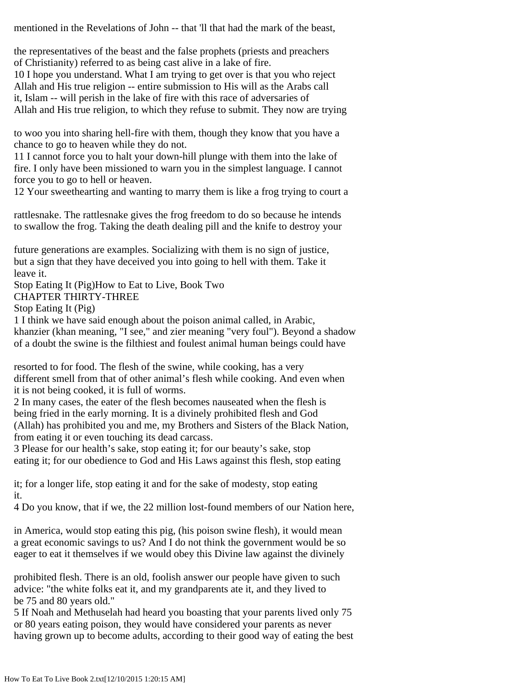mentioned in the Revelations of John -- that 'll that had the mark of the beast,

the representatives of the beast and the false prophets (priests and preachers of Christianity) referred to as being cast alive in a lake of fire.

10 I hope you understand. What I am trying to get over is that you who reject Allah and His true religion -- entire submission to His will as the Arabs call it, Islam -- will perish in the lake of fire with this race of adversaries of Allah and His true religion, to which they refuse to submit. They now are trying

to woo you into sharing hell-fire with them, though they know that you have a chance to go to heaven while they do not.

11 I cannot force you to halt your down-hill plunge with them into the lake of fire. I only have been missioned to warn you in the simplest language. I cannot force you to go to hell or heaven.

12 Your sweethearting and wanting to marry them is like a frog trying to court a

rattlesnake. The rattlesnake gives the frog freedom to do so because he intends to swallow the frog. Taking the death dealing pill and the knife to destroy your

future generations are examples. Socializing with them is no sign of justice, but a sign that they have deceived you into going to hell with them. Take it leave it.

Stop Eating It (Pig)How to Eat to Live, Book Two CHAPTER THIRTY-THREE

Stop Eating It (Pig)

1 I think we have said enough about the poison animal called, in Arabic, khanzier (khan meaning, "I see," and zier meaning "very foul"). Beyond a shadow of a doubt the swine is the filthiest and foulest animal human beings could have

resorted to for food. The flesh of the swine, while cooking, has a very different smell from that of other animal's flesh while cooking. And even when it is not being cooked, it is full of worms.

2 In many cases, the eater of the flesh becomes nauseated when the flesh is being fried in the early morning. It is a divinely prohibited flesh and God (Allah) has prohibited you and me, my Brothers and Sisters of the Black Nation, from eating it or even touching its dead carcass.

3 Please for our health's sake, stop eating it; for our beauty's sake, stop eating it; for our obedience to God and His Laws against this flesh, stop eating

it; for a longer life, stop eating it and for the sake of modesty, stop eating it.

4 Do you know, that if we, the 22 million lost-found members of our Nation here,

in America, would stop eating this pig, (his poison swine flesh), it would mean a great economic savings to us? And I do not think the government would be so eager to eat it themselves if we would obey this Divine law against the divinely

prohibited flesh. There is an old, foolish answer our people have given to such advice: "the white folks eat it, and my grandparents ate it, and they lived to be 75 and 80 years old."

5 If Noah and Methuselah had heard you boasting that your parents lived only 75 or 80 years eating poison, they would have considered your parents as never having grown up to become adults, according to their good way of eating the best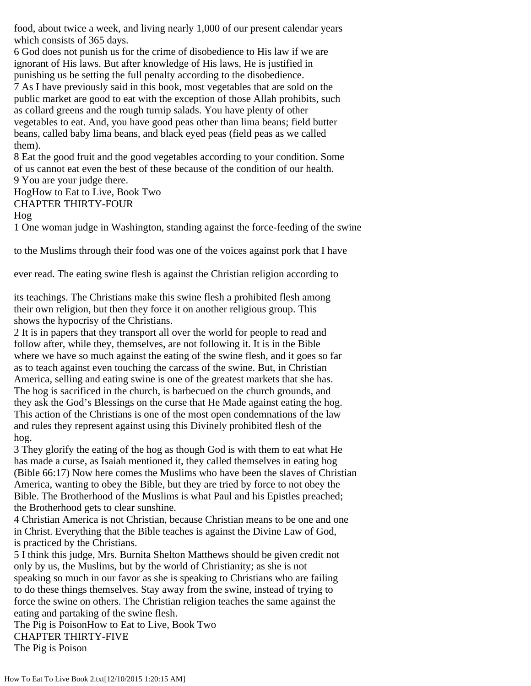food, about twice a week, and living nearly 1,000 of our present calendar years which consists of 365 days.

6 God does not punish us for the crime of disobedience to His law if we are ignorant of His laws. But after knowledge of His laws, He is justified in punishing us be setting the full penalty according to the disobedience. 7 As I have previously said in this book, most vegetables that are sold on the public market are good to eat with the exception of those Allah prohibits, such as collard greens and the rough turnip salads. You have plenty of other vegetables to eat. And, you have good peas other than lima beans; field butter beans, called baby lima beans, and black eyed peas (field peas as we called them).

8 Eat the good fruit and the good vegetables according to your condition. Some of us cannot eat even the best of these because of the condition of our health. 9 You are your judge there.

## HogHow to Eat to Live, Book Two

### CHAPTER THIRTY-FOUR

Hog

1 One woman judge in Washington, standing against the force-feeding of the swine

to the Muslims through their food was one of the voices against pork that I have

ever read. The eating swine flesh is against the Christian religion according to

its teachings. The Christians make this swine flesh a prohibited flesh among their own religion, but then they force it on another religious group. This shows the hypocrisy of the Christians.

2 It is in papers that they transport all over the world for people to read and follow after, while they, themselves, are not following it. It is in the Bible where we have so much against the eating of the swine flesh, and it goes so far as to teach against even touching the carcass of the swine. But, in Christian America, selling and eating swine is one of the greatest markets that she has. The hog is sacrificed in the church, is barbecued on the church grounds, and they ask the God's Blessings on the curse that He Made against eating the hog. This action of the Christians is one of the most open condemnations of the law and rules they represent against using this Divinely prohibited flesh of the hog.

3 They glorify the eating of the hog as though God is with them to eat what He has made a curse, as Isaiah mentioned it, they called themselves in eating hog (Bible 66:17) Now here comes the Muslims who have been the slaves of Christian America, wanting to obey the Bible, but they are tried by force to not obey the Bible. The Brotherhood of the Muslims is what Paul and his Epistles preached; the Brotherhood gets to clear sunshine.

4 Christian America is not Christian, because Christian means to be one and one in Christ. Everything that the Bible teaches is against the Divine Law of God, is practiced by the Christians.

5 I think this judge, Mrs. Burnita Shelton Matthews should be given credit not only by us, the Muslims, but by the world of Christianity; as she is not speaking so much in our favor as she is speaking to Christians who are failing to do these things themselves. Stay away from the swine, instead of trying to force the swine on others. The Christian religion teaches the same against the eating and partaking of the swine flesh.

The Pig is PoisonHow to Eat to Live, Book Two CHAPTER THIRTY-FIVE The Pig is Poison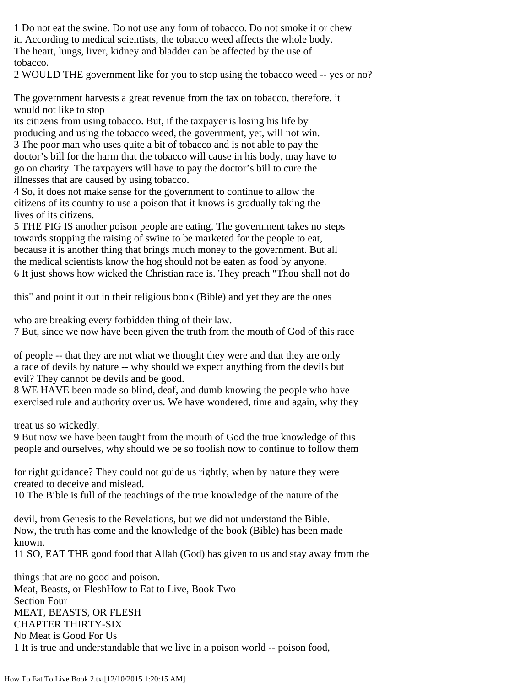1 Do not eat the swine. Do not use any form of tobacco. Do not smoke it or chew it. According to medical scientists, the tobacco weed affects the whole body. The heart, lungs, liver, kidney and bladder can be affected by the use of tobacco.

2 WOULD THE government like for you to stop using the tobacco weed -- yes or no?

The government harvests a great revenue from the tax on tobacco, therefore, it would not like to stop

its citizens from using tobacco. But, if the taxpayer is losing his life by producing and using the tobacco weed, the government, yet, will not win. 3 The poor man who uses quite a bit of tobacco and is not able to pay the doctor's bill for the harm that the tobacco will cause in his body, may have to go on charity. The taxpayers will have to pay the doctor's bill to cure the illnesses that are caused by using tobacco.

4 So, it does not make sense for the government to continue to allow the citizens of its country to use a poison that it knows is gradually taking the lives of its citizens.

5 THE PIG IS another poison people are eating. The government takes no steps towards stopping the raising of swine to be marketed for the people to eat, because it is another thing that brings much money to the government. But all the medical scientists know the hog should not be eaten as food by anyone. 6 It just shows how wicked the Christian race is. They preach "Thou shall not do

this" and point it out in their religious book (Bible) and yet they are the ones

who are breaking every forbidden thing of their law.

7 But, since we now have been given the truth from the mouth of God of this race

of people -- that they are not what we thought they were and that they are only a race of devils by nature -- why should we expect anything from the devils but evil? They cannot be devils and be good.

8 WE HAVE been made so blind, deaf, and dumb knowing the people who have exercised rule and authority over us. We have wondered, time and again, why they

treat us so wickedly.

9 But now we have been taught from the mouth of God the true knowledge of this people and ourselves, why should we be so foolish now to continue to follow them

for right guidance? They could not guide us rightly, when by nature they were created to deceive and mislead.

10 The Bible is full of the teachings of the true knowledge of the nature of the

devil, from Genesis to the Revelations, but we did not understand the Bible. Now, the truth has come and the knowledge of the book (Bible) has been made known.

11 SO, EAT THE good food that Allah (God) has given to us and stay away from the

things that are no good and poison. Meat, Beasts, or FleshHow to Eat to Live, Book Two Section Four MEAT, BEASTS, OR FLESH CHAPTER THIRTY-SIX No Meat is Good For Us 1 It is true and understandable that we live in a poison world -- poison food,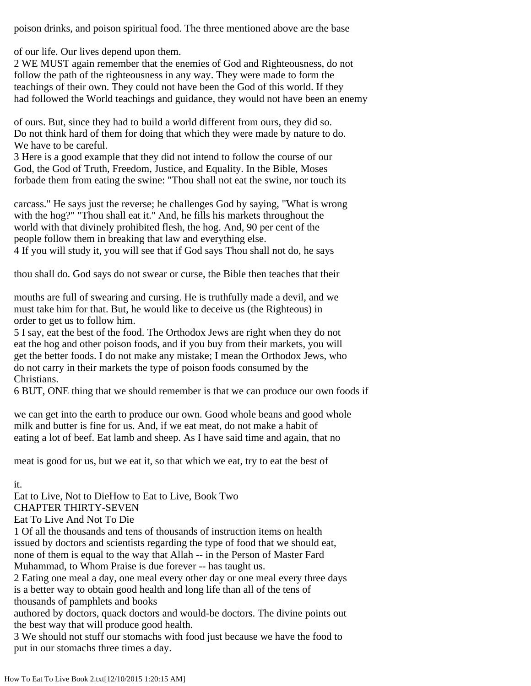poison drinks, and poison spiritual food. The three mentioned above are the base

of our life. Our lives depend upon them.

2 WE MUST again remember that the enemies of God and Righteousness, do not follow the path of the righteousness in any way. They were made to form the teachings of their own. They could not have been the God of this world. If they had followed the World teachings and guidance, they would not have been an enemy

of ours. But, since they had to build a world different from ours, they did so. Do not think hard of them for doing that which they were made by nature to do. We have to be careful.

3 Here is a good example that they did not intend to follow the course of our God, the God of Truth, Freedom, Justice, and Equality. In the Bible, Moses forbade them from eating the swine: "Thou shall not eat the swine, nor touch its

carcass." He says just the reverse; he challenges God by saying, "What is wrong with the hog?" "Thou shall eat it." And, he fills his markets throughout the world with that divinely prohibited flesh, the hog. And, 90 per cent of the people follow them in breaking that law and everything else. 4 If you will study it, you will see that if God says Thou shall not do, he says

thou shall do. God says do not swear or curse, the Bible then teaches that their

mouths are full of swearing and cursing. He is truthfully made a devil, and we must take him for that. But, he would like to deceive us (the Righteous) in order to get us to follow him.

5 I say, eat the best of the food. The Orthodox Jews are right when they do not eat the hog and other poison foods, and if you buy from their markets, you will get the better foods. I do not make any mistake; I mean the Orthodox Jews, who do not carry in their markets the type of poison foods consumed by the Christians.

6 BUT, ONE thing that we should remember is that we can produce our own foods if

we can get into the earth to produce our own. Good whole beans and good whole milk and butter is fine for us. And, if we eat meat, do not make a habit of eating a lot of beef. Eat lamb and sheep. As I have said time and again, that no

meat is good for us, but we eat it, so that which we eat, try to eat the best of

it.

Eat to Live, Not to DieHow to Eat to Live, Book Two

CHAPTER THIRTY-SEVEN

Eat To Live And Not To Die

1 Of all the thousands and tens of thousands of instruction items on health issued by doctors and scientists regarding the type of food that we should eat, none of them is equal to the way that Allah -- in the Person of Master Fard

Muhammad, to Whom Praise is due forever -- has taught us.

2 Eating one meal a day, one meal every other day or one meal every three days is a better way to obtain good health and long life than all of the tens of thousands of pamphlets and books

authored by doctors, quack doctors and would-be doctors. The divine points out the best way that will produce good health.

3 We should not stuff our stomachs with food just because we have the food to put in our stomachs three times a day.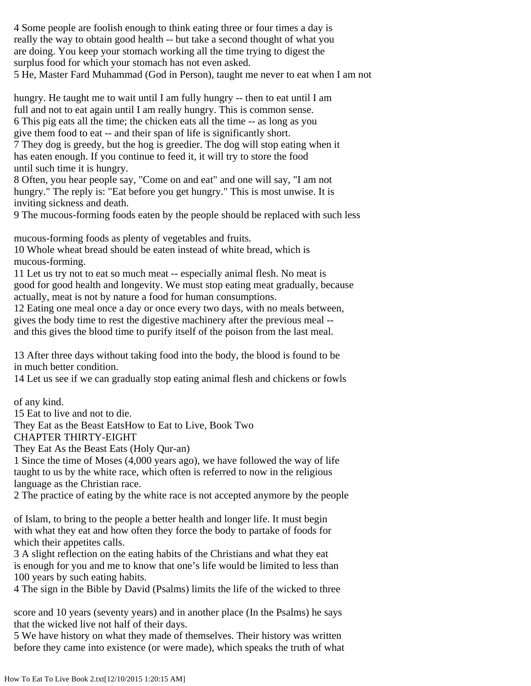4 Some people are foolish enough to think eating three or four times a day is really the way to obtain good health -- but take a second thought of what you are doing. You keep your stomach working all the time trying to digest the surplus food for which your stomach has not even asked. 5 He, Master Fard Muhammad (God in Person), taught me never to eat when I am not

hungry. He taught me to wait until I am fully hungry -- then to eat until I am full and not to eat again until I am really hungry. This is common sense. 6 This pig eats all the time; the chicken eats all the time -- as long as you give them food to eat -- and their span of life is significantly short. 7 They dog is greedy, but the hog is greedier. The dog will stop eating when it has eaten enough. If you continue to feed it, it will try to store the food until such time it is hungry.

8 Often, you hear people say, "Come on and eat" and one will say, "I am not hungry." The reply is: "Eat before you get hungry." This is most unwise. It is inviting sickness and death.

9 The mucous-forming foods eaten by the people should be replaced with such less

mucous-forming foods as plenty of vegetables and fruits.

10 Whole wheat bread should be eaten instead of white bread, which is mucous-forming.

11 Let us try not to eat so much meat -- especially animal flesh. No meat is good for good health and longevity. We must stop eating meat gradually, because actually, meat is not by nature a food for human consumptions.

12 Eating one meal once a day or once every two days, with no meals between, gives the body time to rest the digestive machinery after the previous meal - and this gives the blood time to purify itself of the poison from the last meal.

13 After three days without taking food into the body, the blood is found to be in much better condition.

14 Let us see if we can gradually stop eating animal flesh and chickens or fowls

of any kind.

15 Eat to live and not to die.

They Eat as the Beast EatsHow to Eat to Live, Book Two

### CHAPTER THIRTY-EIGHT

They Eat As the Beast Eats (Holy Qur-an)

1 Since the time of Moses (4,000 years ago), we have followed the way of life taught to us by the white race, which often is referred to now in the religious language as the Christian race.

2 The practice of eating by the white race is not accepted anymore by the people

of Islam, to bring to the people a better health and longer life. It must begin with what they eat and how often they force the body to partake of foods for which their appetites calls.

3 A slight reflection on the eating habits of the Christians and what they eat is enough for you and me to know that one's life would be limited to less than 100 years by such eating habits.

4 The sign in the Bible by David (Psalms) limits the life of the wicked to three

score and 10 years (seventy years) and in another place (In the Psalms) he says that the wicked live not half of their days.

5 We have history on what they made of themselves. Their history was written before they came into existence (or were made), which speaks the truth of what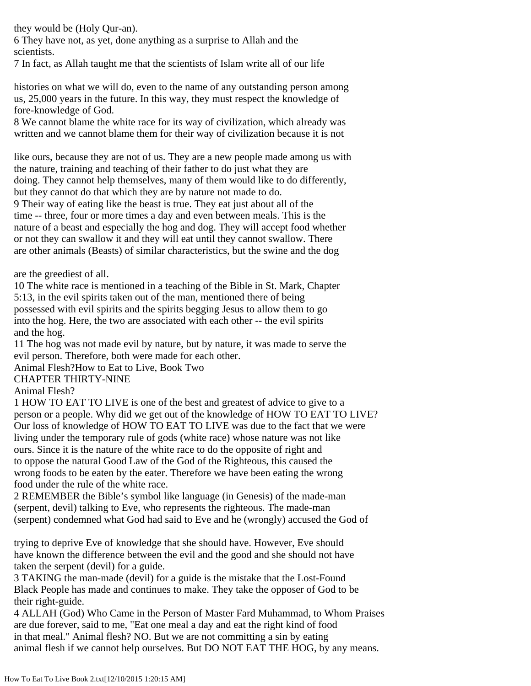they would be (Holy Qur-an).

6 They have not, as yet, done anything as a surprise to Allah and the scientists.

7 In fact, as Allah taught me that the scientists of Islam write all of our life

histories on what we will do, even to the name of any outstanding person among us, 25,000 years in the future. In this way, they must respect the knowledge of fore-knowledge of God.

8 We cannot blame the white race for its way of civilization, which already was written and we cannot blame them for their way of civilization because it is not

like ours, because they are not of us. They are a new people made among us with the nature, training and teaching of their father to do just what they are doing. They cannot help themselves, many of them would like to do differently, but they cannot do that which they are by nature not made to do. 9 Their way of eating like the beast is true. They eat just about all of the time -- three, four or more times a day and even between meals. This is the nature of a beast and especially the hog and dog. They will accept food whether or not they can swallow it and they will eat until they cannot swallow. There are other animals (Beasts) of similar characteristics, but the swine and the dog

are the greediest of all.

10 The white race is mentioned in a teaching of the Bible in St. Mark, Chapter 5:13, in the evil spirits taken out of the man, mentioned there of being possessed with evil spirits and the spirits begging Jesus to allow them to go into the hog. Here, the two are associated with each other -- the evil spirits and the hog.

11 The hog was not made evil by nature, but by nature, it was made to serve the evil person. Therefore, both were made for each other.

Animal Flesh?How to Eat to Live, Book Two

CHAPTER THIRTY-NINE

Animal Flesh?

1 HOW TO EAT TO LIVE is one of the best and greatest of advice to give to a person or a people. Why did we get out of the knowledge of HOW TO EAT TO LIVE? Our loss of knowledge of HOW TO EAT TO LIVE was due to the fact that we were living under the temporary rule of gods (white race) whose nature was not like ours. Since it is the nature of the white race to do the opposite of right and to oppose the natural Good Law of the God of the Righteous, this caused the wrong foods to be eaten by the eater. Therefore we have been eating the wrong food under the rule of the white race.

2 REMEMBER the Bible's symbol like language (in Genesis) of the made-man (serpent, devil) talking to Eve, who represents the righteous. The made-man (serpent) condemned what God had said to Eve and he (wrongly) accused the God of

trying to deprive Eve of knowledge that she should have. However, Eve should have known the difference between the evil and the good and she should not have taken the serpent (devil) for a guide.

3 TAKING the man-made (devil) for a guide is the mistake that the Lost-Found Black People has made and continues to make. They take the opposer of God to be their right-guide.

4 ALLAH (God) Who Came in the Person of Master Fard Muhammad, to Whom Praises are due forever, said to me, "Eat one meal a day and eat the right kind of food in that meal." Animal flesh? NO. But we are not committing a sin by eating animal flesh if we cannot help ourselves. But DO NOT EAT THE HOG, by any means.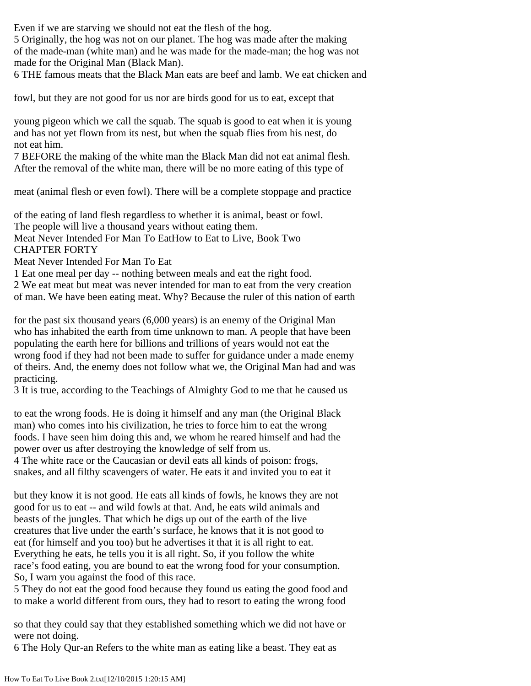Even if we are starving we should not eat the flesh of the hog.

5 Originally, the hog was not on our planet. The hog was made after the making of the made-man (white man) and he was made for the made-man; the hog was not made for the Original Man (Black Man).

6 THE famous meats that the Black Man eats are beef and lamb. We eat chicken and

fowl, but they are not good for us nor are birds good for us to eat, except that

young pigeon which we call the squab. The squab is good to eat when it is young and has not yet flown from its nest, but when the squab flies from his nest, do not eat him.

7 BEFORE the making of the white man the Black Man did not eat animal flesh. After the removal of the white man, there will be no more eating of this type of

meat (animal flesh or even fowl). There will be a complete stoppage and practice

of the eating of land flesh regardless to whether it is animal, beast or fowl. The people will live a thousand years without eating them. Meat Never Intended For Man To EatHow to Eat to Live, Book Two CHAPTER FORTY Meat Never Intended For Man To Eat

1 Eat one meal per day -- nothing between meals and eat the right food.

2 We eat meat but meat was never intended for man to eat from the very creation of man. We have been eating meat. Why? Because the ruler of this nation of earth

for the past six thousand years (6,000 years) is an enemy of the Original Man who has inhabited the earth from time unknown to man. A people that have been populating the earth here for billions and trillions of years would not eat the wrong food if they had not been made to suffer for guidance under a made enemy of theirs. And, the enemy does not follow what we, the Original Man had and was practicing.

3 It is true, according to the Teachings of Almighty God to me that he caused us

to eat the wrong foods. He is doing it himself and any man (the Original Black man) who comes into his civilization, he tries to force him to eat the wrong foods. I have seen him doing this and, we whom he reared himself and had the power over us after destroying the knowledge of self from us. 4 The white race or the Caucasian or devil eats all kinds of poison: frogs, snakes, and all filthy scavengers of water. He eats it and invited you to eat it

but they know it is not good. He eats all kinds of fowls, he knows they are not good for us to eat -- and wild fowls at that. And, he eats wild animals and beasts of the jungles. That which he digs up out of the earth of the live creatures that live under the earth's surface, he knows that it is not good to eat (for himself and you too) but he advertises it that it is all right to eat. Everything he eats, he tells you it is all right. So, if you follow the white race's food eating, you are bound to eat the wrong food for your consumption. So, I warn you against the food of this race.

5 They do not eat the good food because they found us eating the good food and to make a world different from ours, they had to resort to eating the wrong food

so that they could say that they established something which we did not have or were not doing.

6 The Holy Qur-an Refers to the white man as eating like a beast. They eat as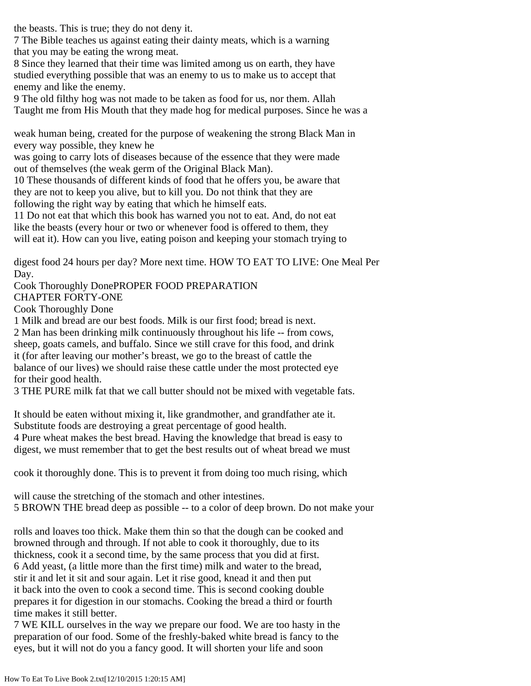the beasts. This is true; they do not deny it.

7 The Bible teaches us against eating their dainty meats, which is a warning that you may be eating the wrong meat.

8 Since they learned that their time was limited among us on earth, they have studied everything possible that was an enemy to us to make us to accept that enemy and like the enemy.

9 The old filthy hog was not made to be taken as food for us, nor them. Allah Taught me from His Mouth that they made hog for medical purposes. Since he was a

weak human being, created for the purpose of weakening the strong Black Man in every way possible, they knew he

was going to carry lots of diseases because of the essence that they were made out of themselves (the weak germ of the Original Black Man).

10 These thousands of different kinds of food that he offers you, be aware that they are not to keep you alive, but to kill you. Do not think that they are

following the right way by eating that which he himself eats.

11 Do not eat that which this book has warned you not to eat. And, do not eat like the beasts (every hour or two or whenever food is offered to them, they will eat it). How can you live, eating poison and keeping your stomach trying to

digest food 24 hours per day? More next time. HOW TO EAT TO LIVE: One Meal Per Day.

Cook Thoroughly DonePROPER FOOD PREPARATION

CHAPTER FORTY-ONE

Cook Thoroughly Done

1 Milk and bread are our best foods. Milk is our first food; bread is next.

2 Man has been drinking milk continuously throughout his life -- from cows,

sheep, goats camels, and buffalo. Since we still crave for this food, and drink

it (for after leaving our mother's breast, we go to the breast of cattle the

balance of our lives) we should raise these cattle under the most protected eye for their good health.

3 THE PURE milk fat that we call butter should not be mixed with vegetable fats.

It should be eaten without mixing it, like grandmother, and grandfather ate it. Substitute foods are destroying a great percentage of good health. 4 Pure wheat makes the best bread. Having the knowledge that bread is easy to digest, we must remember that to get the best results out of wheat bread we must

cook it thoroughly done. This is to prevent it from doing too much rising, which

will cause the stretching of the stomach and other intestines. 5 BROWN THE bread deep as possible -- to a color of deep brown. Do not make your

rolls and loaves too thick. Make them thin so that the dough can be cooked and browned through and through. If not able to cook it thoroughly, due to its thickness, cook it a second time, by the same process that you did at first. 6 Add yeast, (a little more than the first time) milk and water to the bread, stir it and let it sit and sour again. Let it rise good, knead it and then put it back into the oven to cook a second time. This is second cooking double prepares it for digestion in our stomachs. Cooking the bread a third or fourth time makes it still better.

7 WE KILL ourselves in the way we prepare our food. We are too hasty in the preparation of our food. Some of the freshly-baked white bread is fancy to the eyes, but it will not do you a fancy good. It will shorten your life and soon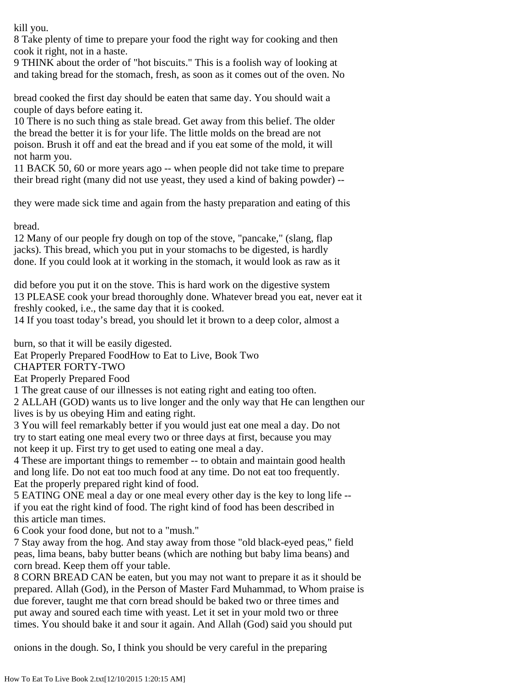kill you.

8 Take plenty of time to prepare your food the right way for cooking and then cook it right, not in a haste.

9 THINK about the order of "hot biscuits." This is a foolish way of looking at and taking bread for the stomach, fresh, as soon as it comes out of the oven. No

bread cooked the first day should be eaten that same day. You should wait a couple of days before eating it.

10 There is no such thing as stale bread. Get away from this belief. The older the bread the better it is for your life. The little molds on the bread are not poison. Brush it off and eat the bread and if you eat some of the mold, it will not harm you.

11 BACK 50, 60 or more years ago -- when people did not take time to prepare their bread right (many did not use yeast, they used a kind of baking powder) --

they were made sick time and again from the hasty preparation and eating of this

bread.

12 Many of our people fry dough on top of the stove, "pancake," (slang, flap jacks). This bread, which you put in your stomachs to be digested, is hardly done. If you could look at it working in the stomach, it would look as raw as it

did before you put it on the stove. This is hard work on the digestive system 13 PLEASE cook your bread thoroughly done. Whatever bread you eat, never eat it freshly cooked, i.e., the same day that it is cooked.

14 If you toast today's bread, you should let it brown to a deep color, almost a

burn, so that it will be easily digested.

Eat Properly Prepared FoodHow to Eat to Live, Book Two

CHAPTER FORTY-TWO

Eat Properly Prepared Food

1 The great cause of our illnesses is not eating right and eating too often.

2 ALLAH (GOD) wants us to live longer and the only way that He can lengthen our lives is by us obeying Him and eating right.

3 You will feel remarkably better if you would just eat one meal a day. Do not try to start eating one meal every two or three days at first, because you may not keep it up. First try to get used to eating one meal a day.

4 These are important things to remember -- to obtain and maintain good health and long life. Do not eat too much food at any time. Do not eat too frequently. Eat the properly prepared right kind of food.

5 EATING ONE meal a day or one meal every other day is the key to long life - if you eat the right kind of food. The right kind of food has been described in this article man times.

6 Cook your food done, but not to a "mush."

7 Stay away from the hog. And stay away from those "old black-eyed peas," field peas, lima beans, baby butter beans (which are nothing but baby lima beans) and corn bread. Keep them off your table.

8 CORN BREAD CAN be eaten, but you may not want to prepare it as it should be prepared. Allah (God), in the Person of Master Fard Muhammad, to Whom praise is due forever, taught me that corn bread should be baked two or three times and put away and soured each time with yeast. Let it set in your mold two or three times. You should bake it and sour it again. And Allah (God) said you should put

onions in the dough. So, I think you should be very careful in the preparing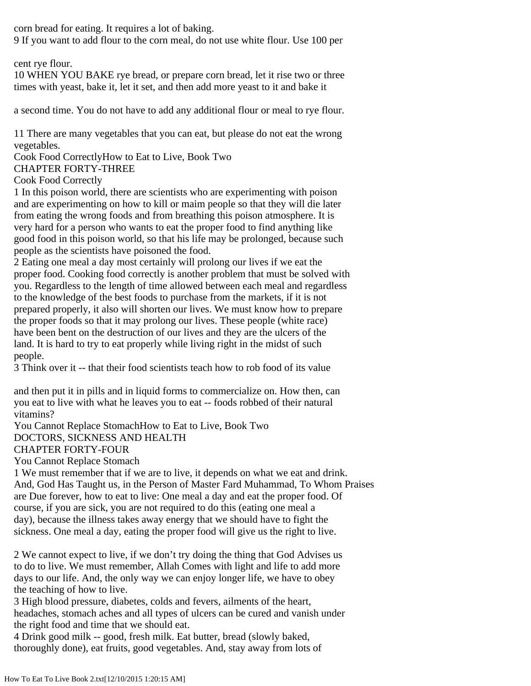corn bread for eating. It requires a lot of baking.

9 If you want to add flour to the corn meal, do not use white flour. Use 100 per

cent rye flour.

10 WHEN YOU BAKE rye bread, or prepare corn bread, let it rise two or three times with yeast, bake it, let it set, and then add more yeast to it and bake it

a second time. You do not have to add any additional flour or meal to rye flour.

11 There are many vegetables that you can eat, but please do not eat the wrong vegetables.

Cook Food CorrectlyHow to Eat to Live, Book Two

CHAPTER FORTY-THREE

Cook Food Correctly

1 In this poison world, there are scientists who are experimenting with poison and are experimenting on how to kill or maim people so that they will die later from eating the wrong foods and from breathing this poison atmosphere. It is very hard for a person who wants to eat the proper food to find anything like good food in this poison world, so that his life may be prolonged, because such people as the scientists have poisoned the food.

2 Eating one meal a day most certainly will prolong our lives if we eat the proper food. Cooking food correctly is another problem that must be solved with you. Regardless to the length of time allowed between each meal and regardless to the knowledge of the best foods to purchase from the markets, if it is not prepared properly, it also will shorten our lives. We must know how to prepare the proper foods so that it may prolong our lives. These people (white race) have been bent on the destruction of our lives and they are the ulcers of the land. It is hard to try to eat properly while living right in the midst of such people.

3 Think over it -- that their food scientists teach how to rob food of its value

and then put it in pills and in liquid forms to commercialize on. How then, can you eat to live with what he leaves you to eat -- foods robbed of their natural vitamins?

You Cannot Replace StomachHow to Eat to Live, Book Two DOCTORS, SICKNESS AND HEALTH CHAPTER FORTY-FOUR

You Cannot Replace Stomach

1 We must remember that if we are to live, it depends on what we eat and drink. And, God Has Taught us, in the Person of Master Fard Muhammad, To Whom Praises are Due forever, how to eat to live: One meal a day and eat the proper food. Of course, if you are sick, you are not required to do this (eating one meal a day), because the illness takes away energy that we should have to fight the sickness. One meal a day, eating the proper food will give us the right to live.

2 We cannot expect to live, if we don't try doing the thing that God Advises us to do to live. We must remember, Allah Comes with light and life to add more days to our life. And, the only way we can enjoy longer life, we have to obey the teaching of how to live.

3 High blood pressure, diabetes, colds and fevers, ailments of the heart, headaches, stomach aches and all types of ulcers can be cured and vanish under the right food and time that we should eat.

4 Drink good milk -- good, fresh milk. Eat butter, bread (slowly baked, thoroughly done), eat fruits, good vegetables. And, stay away from lots of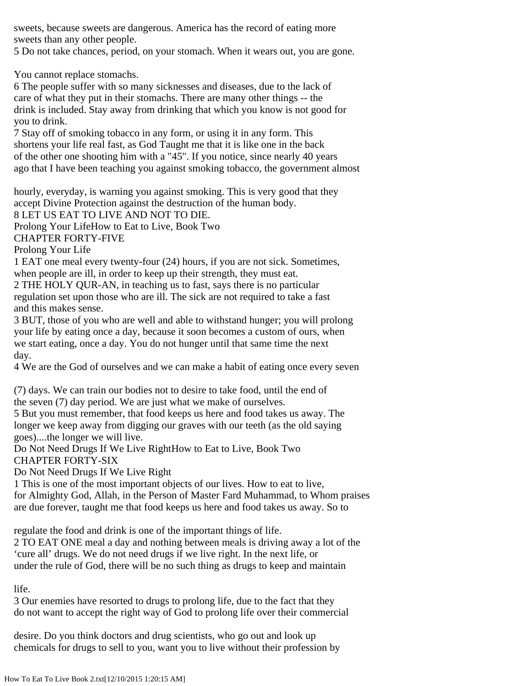sweets, because sweets are dangerous. America has the record of eating more sweets than any other people.

5 Do not take chances, period, on your stomach. When it wears out, you are gone.

You cannot replace stomachs.

6 The people suffer with so many sicknesses and diseases, due to the lack of care of what they put in their stomachs. There are many other things -- the drink is included. Stay away from drinking that which you know is not good for you to drink.

7 Stay off of smoking tobacco in any form, or using it in any form. This shortens your life real fast, as God Taught me that it is like one in the back of the other one shooting him with a "45". If you notice, since nearly 40 years ago that I have been teaching you against smoking tobacco, the government almost

hourly, everyday, is warning you against smoking. This is very good that they accept Divine Protection against the destruction of the human body. 8 LET US EAT TO LIVE AND NOT TO DIE. Prolong Your LifeHow to Eat to Live, Book Two CHAPTER FORTY-FIVE

Prolong Your Life

1 EAT one meal every twenty-four (24) hours, if you are not sick. Sometimes, when people are ill, in order to keep up their strength, they must eat.

2 THE HOLY QUR-AN, in teaching us to fast, says there is no particular regulation set upon those who are ill. The sick are not required to take a fast and this makes sense.

3 BUT, those of you who are well and able to withstand hunger; you will prolong your life by eating once a day, because it soon becomes a custom of ours, when we start eating, once a day. You do not hunger until that same time the next day.

4 We are the God of ourselves and we can make a habit of eating once every seven

(7) days. We can train our bodies not to desire to take food, until the end of the seven (7) day period. We are just what we make of ourselves.

5 But you must remember, that food keeps us here and food takes us away. The longer we keep away from digging our graves with our teeth (as the old saying goes)....the longer we will live.

Do Not Need Drugs If We Live RightHow to Eat to Live, Book Two CHAPTER FORTY-SIX

Do Not Need Drugs If We Live Right

1 This is one of the most important objects of our lives. How to eat to live, for Almighty God, Allah, in the Person of Master Fard Muhammad, to Whom praises are due forever, taught me that food keeps us here and food takes us away. So to

regulate the food and drink is one of the important things of life.

2 TO EAT ONE meal a day and nothing between meals is driving away a lot of the 'cure all' drugs. We do not need drugs if we live right. In the next life, or under the rule of God, there will be no such thing as drugs to keep and maintain

life.

3 Our enemies have resorted to drugs to prolong life, due to the fact that they do not want to accept the right way of God to prolong life over their commercial

desire. Do you think doctors and drug scientists, who go out and look up chemicals for drugs to sell to you, want you to live without their profession by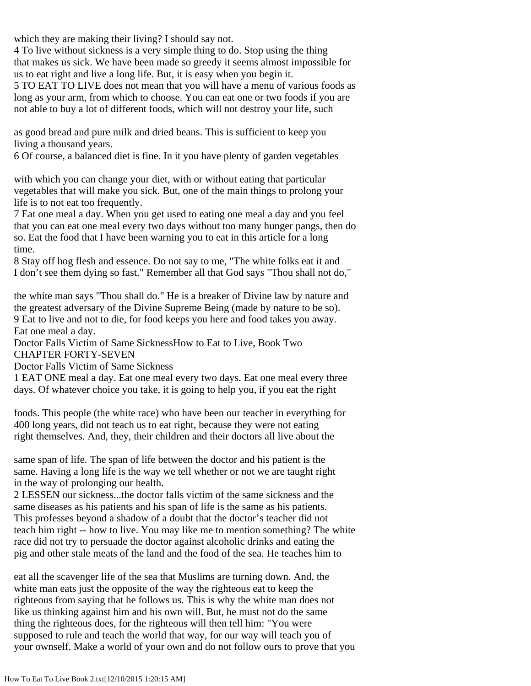which they are making their living? I should say not.

4 To live without sickness is a very simple thing to do. Stop using the thing that makes us sick. We have been made so greedy it seems almost impossible for us to eat right and live a long life. But, it is easy when you begin it.

5 TO EAT TO LIVE does not mean that you will have a menu of various foods as long as your arm, from which to choose. You can eat one or two foods if you are not able to buy a lot of different foods, which will not destroy your life, such

as good bread and pure milk and dried beans. This is sufficient to keep you living a thousand years.

6 Of course, a balanced diet is fine. In it you have plenty of garden vegetables

with which you can change your diet, with or without eating that particular vegetables that will make you sick. But, one of the main things to prolong your life is to not eat too frequently.

7 Eat one meal a day. When you get used to eating one meal a day and you feel that you can eat one meal every two days without too many hunger pangs, then do so. Eat the food that I have been warning you to eat in this article for a long time.

8 Stay off hog flesh and essence. Do not say to me, "The white folks eat it and I don't see them dying so fast." Remember all that God says "Thou shall not do,"

the white man says "Thou shall do." He is a breaker of Divine law by nature and the greatest adversary of the Divine Supreme Being (made by nature to be so). 9 Eat to live and not to die, for food keeps you here and food takes you away. Eat one meal a day.

Doctor Falls Victim of Same SicknessHow to Eat to Live, Book Two CHAPTER FORTY-SEVEN

Doctor Falls Victim of Same Sickness

1 EAT ONE meal a day. Eat one meal every two days. Eat one meal every three days. Of whatever choice you take, it is going to help you, if you eat the right

foods. This people (the white race) who have been our teacher in everything for 400 long years, did not teach us to eat right, because they were not eating right themselves. And, they, their children and their doctors all live about the

same span of life. The span of life between the doctor and his patient is the same. Having a long life is the way we tell whether or not we are taught right in the way of prolonging our health.

2 LESSEN our sickness...the doctor falls victim of the same sickness and the same diseases as his patients and his span of life is the same as his patients. This professes beyond a shadow of a doubt that the doctor's teacher did not teach him right -- how to live. You may like me to mention something? The white race did not try to persuade the doctor against alcoholic drinks and eating the pig and other stale meats of the land and the food of the sea. He teaches him to

eat all the scavenger life of the sea that Muslims are turning down. And, the white man eats just the opposite of the way the righteous eat to keep the righteous from saying that he follows us. This is why the white man does not like us thinking against him and his own will. But, he must not do the same thing the righteous does, for the righteous will then tell him: "You were supposed to rule and teach the world that way, for our way will teach you of your ownself. Make a world of your own and do not follow ours to prove that you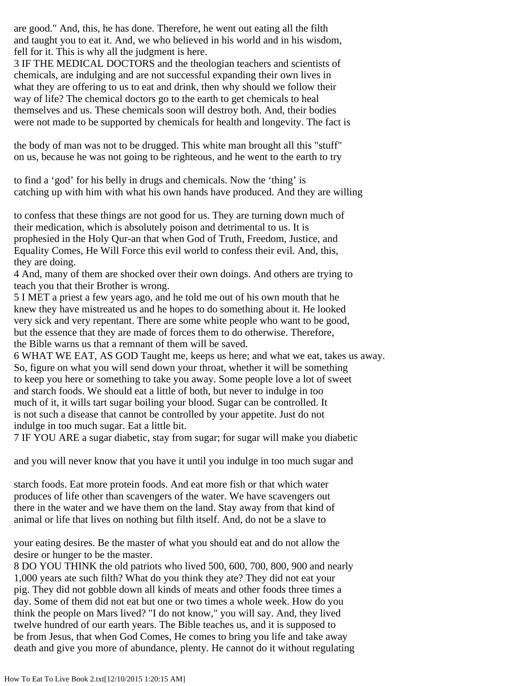are good." And, this, he has done. Therefore, he went out eating all the filth and taught you to eat it. And, we who believed in his world and in his wisdom, fell for it. This is why all the judgment is here.

3 IF THE MEDICAL DOCTORS and the theologian teachers and scientists of chemicals, are indulging and are not successful expanding their own lives in what they are offering to us to eat and drink, then why should we follow their way of life? The chemical doctors go to the earth to get chemicals to heal themselves and us. These chemicals soon will destroy both. And, their bodies were not made to be supported by chemicals for health and longevity. The fact is

the body of man was not to be drugged. This white man brought all this "stuff" on us, because he was not going to be righteous, and he went to the earth to try

to find a 'god' for his belly in drugs and chemicals. Now the 'thing' is catching up with him with what his own hands have produced. And they are willing

to confess that these things are not good for us. They are turning down much of their medication, which is absolutely poison and detrimental to us. It is prophesied in the Holy Qur-an that when God of Truth, Freedom, Justice, and Equality Comes, He Will Force this evil world to confess their evil. And, this, they are doing.

4 And, many of them are shocked over their own doings. And others are trying to teach you that their Brother is wrong.

5 I MET a priest a few years ago, and he told me out of his own mouth that he knew they have mistreated us and he hopes to do something about it. He looked very sick and very repentant. There are some white people who want to be good, but the essence that they are made of forces them to do otherwise. Therefore, the Bible warns us that a remnant of them will be saved.

6 WHAT WE EAT, AS GOD Taught me, keeps us here; and what we eat, takes us away. So, figure on what you will send down your throat, whether it will be something to keep you here or something to take you away. Some people love a lot of sweet and starch foods. We should eat a little of both, but never to indulge in too much of it, it wills tart sugar boiling your blood. Sugar can be controlled. It is not such a disease that cannot be controlled by your appetite. Just do not indulge in too much sugar. Eat a little bit.

7 IF YOU ARE a sugar diabetic, stay from sugar; for sugar will make you diabetic

and you will never know that you have it until you indulge in too much sugar and

starch foods. Eat more protein foods. And eat more fish or that which water produces of life other than scavengers of the water. We have scavengers out there in the water and we have them on the land. Stay away from that kind of animal or life that lives on nothing but filth itself. And, do not be a slave to

your eating desires. Be the master of what you should eat and do not allow the desire or hunger to be the master.

8 DO YOU THINK the old patriots who lived 500, 600, 700, 800, 900 and nearly 1,000 years ate such filth? What do you think they ate? They did not eat your pig. They did not gobble down all kinds of meats and other foods three times a day. Some of them did not eat but one or two times a whole week. How do you think the people on Mars lived? "I do not know," you will say. And, they lived twelve hundred of our earth years. The Bible teaches us, and it is supposed to be from Jesus, that when God Comes, He comes to bring you life and take away death and give you more of abundance, plenty. He cannot do it without regulating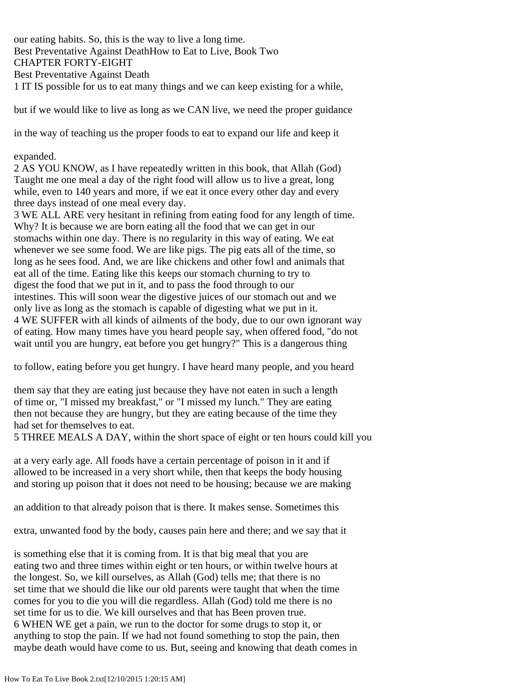# our eating habits. So, this is the way to live a long time. Best Preventative Against DeathHow to Eat to Live, Book Two CHAPTER FORTY-EIGHT Best Preventative Against Death

1 IT IS possible for us to eat many things and we can keep existing for a while,

but if we would like to live as long as we CAN live, we need the proper guidance

in the way of teaching us the proper foods to eat to expand our life and keep it

#### expanded.

2 AS YOU KNOW, as I have repeatedly written in this book, that Allah (God) Taught me one meal a day of the right food will allow us to live a great, long while, even to 140 years and more, if we eat it once every other day and every three days instead of one meal every day.

3 WE ALL ARE very hesitant in refining from eating food for any length of time. Why? It is because we are born eating all the food that we can get in our stomachs within one day. There is no regularity in this way of eating. We eat whenever we see some food. We are like pigs. The pig eats all of the time, so long as he sees food. And, we are like chickens and other fowl and animals that eat all of the time. Eating like this keeps our stomach churning to try to digest the food that we put in it, and to pass the food through to our intestines. This will soon wear the digestive juices of our stomach out and we only live as long as the stomach is capable of digesting what we put in it. 4 WE SUFFER with all kinds of ailments of the body, due to our own ignorant way of eating. How many times have you heard people say, when offered food, "do not wait until you are hungry, eat before you get hungry?" This is a dangerous thing

to follow, eating before you get hungry. I have heard many people, and you heard

them say that they are eating just because they have not eaten in such a length of time or, "I missed my breakfast," or "I missed my lunch." They are eating then not because they are hungry, but they are eating because of the time they had set for themselves to eat.

5 THREE MEALS A DAY, within the short space of eight or ten hours could kill you

at a very early age. All foods have a certain percentage of poison in it and if allowed to be increased in a very short while, then that keeps the body housing and storing up poison that it does not need to be housing; because we are making

an addition to that already poison that is there. It makes sense. Sometimes this

extra, unwanted food by the body, causes pain here and there; and we say that it

is something else that it is coming from. It is that big meal that you are eating two and three times within eight or ten hours, or within twelve hours at the longest. So, we kill ourselves, as Allah (God) tells me; that there is no set time that we should die like our old parents were taught that when the time comes for you to die you will die regardless. Allah (God) told me there is no set time for us to die. We kill ourselves and that has Been proven true. 6 WHEN WE get a pain, we run to the doctor for some drugs to stop it, or anything to stop the pain. If we had not found something to stop the pain, then maybe death would have come to us. But, seeing and knowing that death comes in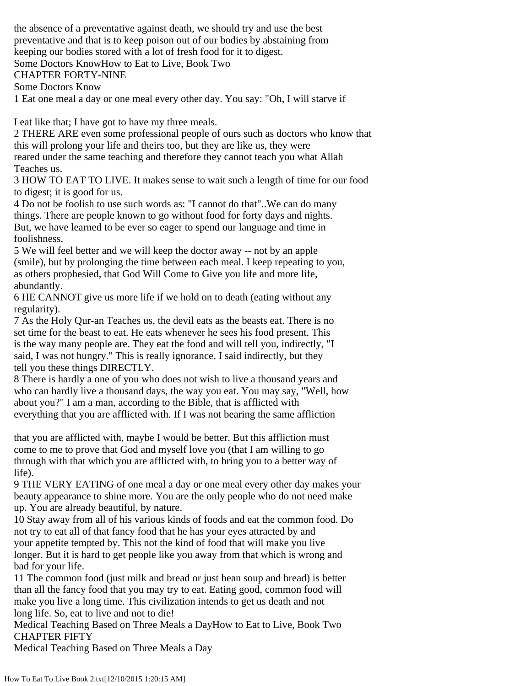the absence of a preventative against death, we should try and use the best preventative and that is to keep poison out of our bodies by abstaining from keeping our bodies stored with a lot of fresh food for it to digest.

Some Doctors KnowHow to Eat to Live, Book Two

CHAPTER FORTY-NINE

Some Doctors Know

1 Eat one meal a day or one meal every other day. You say: "Oh, I will starve if

I eat like that; I have got to have my three meals.

2 THERE ARE even some professional people of ours such as doctors who know that this will prolong your life and theirs too, but they are like us, they were reared under the same teaching and therefore they cannot teach you what Allah Teaches us.

3 HOW TO EAT TO LIVE. It makes sense to wait such a length of time for our food to digest; it is good for us.

4 Do not be foolish to use such words as: "I cannot do that"..We can do many things. There are people known to go without food for forty days and nights. But, we have learned to be ever so eager to spend our language and time in foolishness.

5 We will feel better and we will keep the doctor away -- not by an apple (smile), but by prolonging the time between each meal. I keep repeating to you, as others prophesied, that God Will Come to Give you life and more life, abundantly.

6 HE CANNOT give us more life if we hold on to death (eating without any regularity).

7 As the Holy Qur-an Teaches us, the devil eats as the beasts eat. There is no set time for the beast to eat. He eats whenever he sees his food present. This is the way many people are. They eat the food and will tell you, indirectly, "I said, I was not hungry." This is really ignorance. I said indirectly, but they tell you these things DIRECTLY.

8 There is hardly a one of you who does not wish to live a thousand years and who can hardly live a thousand days, the way you eat. You may say, "Well, how about you?" I am a man, according to the Bible, that is afflicted with everything that you are afflicted with. If I was not bearing the same affliction

that you are afflicted with, maybe I would be better. But this affliction must come to me to prove that God and myself love you (that I am willing to go through with that which you are afflicted with, to bring you to a better way of life).

9 THE VERY EATING of one meal a day or one meal every other day makes your beauty appearance to shine more. You are the only people who do not need make up. You are already beautiful, by nature.

10 Stay away from all of his various kinds of foods and eat the common food. Do not try to eat all of that fancy food that he has your eyes attracted by and your appetite tempted by. This not the kind of food that will make you live longer. But it is hard to get people like you away from that which is wrong and bad for your life.

11 The common food (just milk and bread or just bean soup and bread) is better than all the fancy food that you may try to eat. Eating good, common food will make you live a long time. This civilization intends to get us death and not long life. So, eat to live and not to die!

Medical Teaching Based on Three Meals a DayHow to Eat to Live, Book Two CHAPTER FIFTY

Medical Teaching Based on Three Meals a Day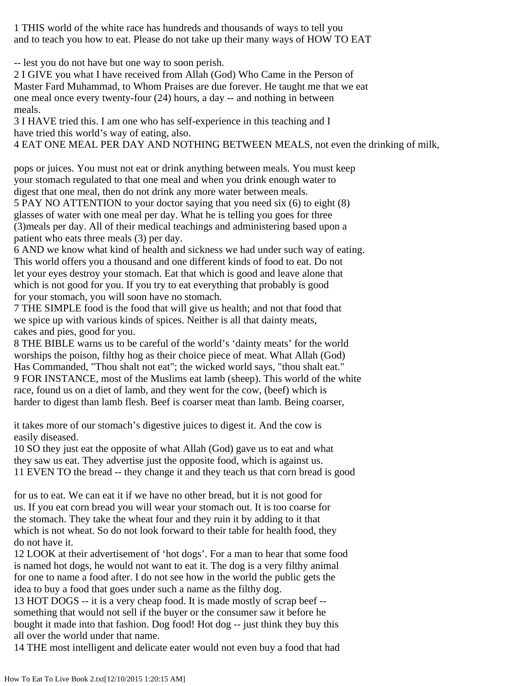1 THIS world of the white race has hundreds and thousands of ways to tell you and to teach you how to eat. Please do not take up their many ways of HOW TO EAT

-- lest you do not have but one way to soon perish.

2 I GIVE you what I have received from Allah (God) Who Came in the Person of Master Fard Muhammad, to Whom Praises are due forever. He taught me that we eat one meal once every twenty-four (24) hours, a day -- and nothing in between meals.

3 I HAVE tried this. I am one who has self-experience in this teaching and I have tried this world's way of eating, also.

4 EAT ONE MEAL PER DAY AND NOTHING BETWEEN MEALS, not even the drinking of milk,

pops or juices. You must not eat or drink anything between meals. You must keep your stomach regulated to that one meal and when you drink enough water to digest that one meal, then do not drink any more water between meals.

5 PAY NO ATTENTION to your doctor saying that you need six (6) to eight (8) glasses of water with one meal per day. What he is telling you goes for three (3)meals per day. All of their medical teachings and administering based upon a patient who eats three meals (3) per day.

6 AND we know what kind of health and sickness we had under such way of eating. This world offers you a thousand and one different kinds of food to eat. Do not let your eyes destroy your stomach. Eat that which is good and leave alone that which is not good for you. If you try to eat everything that probably is good for your stomach, you will soon have no stomach.

7 THE SIMPLE food is the food that will give us health; and not that food that we spice up with various kinds of spices. Neither is all that dainty meats, cakes and pies, good for you.

8 THE BIBLE warns us to be careful of the world's 'dainty meats' for the world worships the poison, filthy hog as their choice piece of meat. What Allah (God) Has Commanded, "Thou shalt not eat"; the wicked world says, "thou shalt eat." 9 FOR INSTANCE, most of the Muslims eat lamb (sheep). This world of the white race, found us on a diet of lamb, and they went for the cow, (beef) which is harder to digest than lamb flesh. Beef is coarser meat than lamb. Being coarser,

it takes more of our stomach's digestive juices to digest it. And the cow is easily diseased.

10 SO they just eat the opposite of what Allah (God) gave us to eat and what they saw us eat. They advertise just the opposite food, which is against us. 11 EVEN TO the bread -- they change it and they teach us that corn bread is good

for us to eat. We can eat it if we have no other bread, but it is not good for us. If you eat corn bread you will wear your stomach out. It is too coarse for the stomach. They take the wheat four and they ruin it by adding to it that which is not wheat. So do not look forward to their table for health food, they do not have it.

12 LOOK at their advertisement of 'hot dogs'. For a man to hear that some food is named hot dogs, he would not want to eat it. The dog is a very filthy animal for one to name a food after. I do not see how in the world the public gets the idea to buy a food that goes under such a name as the filthy dog.

13 HOT DOGS -- it is a very cheap food. It is made mostly of scrap beef - something that would not sell if the buyer or the consumer saw it before he bought it made into that fashion. Dog food! Hot dog -- just think they buy this all over the world under that name.

14 THE most intelligent and delicate eater would not even buy a food that had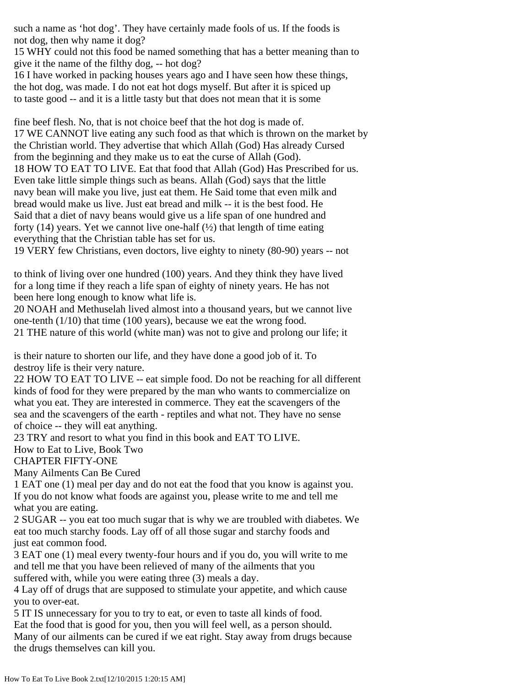such a name as 'hot dog'. They have certainly made fools of us. If the foods is not dog, then why name it dog?

15 WHY could not this food be named something that has a better meaning than to give it the name of the filthy dog, -- hot dog?

16 I have worked in packing houses years ago and I have seen how these things, the hot dog, was made. I do not eat hot dogs myself. But after it is spiced up to taste good -- and it is a little tasty but that does not mean that it is some

fine beef flesh. No, that is not choice beef that the hot dog is made of. 17 WE CANNOT live eating any such food as that which is thrown on the market by the Christian world. They advertise that which Allah (God) Has already Cursed from the beginning and they make us to eat the curse of Allah (God). 18 HOW TO EAT TO LIVE. Eat that food that Allah (God) Has Prescribed for us. Even take little simple things such as beans. Allah (God) says that the little navy bean will make you live, just eat them. He Said tome that even milk and bread would make us live. Just eat bread and milk -- it is the best food. He Said that a diet of navy beans would give us a life span of one hundred and forty (14) years. Yet we cannot live one-half  $(\frac{1}{2})$  that length of time eating everything that the Christian table has set for us.

19 VERY few Christians, even doctors, live eighty to ninety (80-90) years -- not

to think of living over one hundred (100) years. And they think they have lived for a long time if they reach a life span of eighty of ninety years. He has not been here long enough to know what life is.

20 NOAH and Methuselah lived almost into a thousand years, but we cannot live one-tenth (1/10) that time (100 years), because we eat the wrong food. 21 THE nature of this world (white man) was not to give and prolong our life; it

is their nature to shorten our life, and they have done a good job of it. To destroy life is their very nature.

22 HOW TO EAT TO LIVE -- eat simple food. Do not be reaching for all different kinds of food for they were prepared by the man who wants to commercialize on what you eat. They are interested in commerce. They eat the scavengers of the sea and the scavengers of the earth - reptiles and what not. They have no sense of choice -- they will eat anything.

23 TRY and resort to what you find in this book and EAT TO LIVE.

How to Eat to Live, Book Two

CHAPTER FIFTY-ONE

Many Ailments Can Be Cured

1 EAT one (1) meal per day and do not eat the food that you know is against you. If you do not know what foods are against you, please write to me and tell me what you are eating.

2 SUGAR -- you eat too much sugar that is why we are troubled with diabetes. We eat too much starchy foods. Lay off of all those sugar and starchy foods and just eat common food.

3 EAT one (1) meal every twenty-four hours and if you do, you will write to me and tell me that you have been relieved of many of the ailments that you suffered with, while you were eating three (3) meals a day.

4 Lay off of drugs that are supposed to stimulate your appetite, and which cause you to over-eat.

5 IT IS unnecessary for you to try to eat, or even to taste all kinds of food. Eat the food that is good for you, then you will feel well, as a person should. Many of our ailments can be cured if we eat right. Stay away from drugs because the drugs themselves can kill you.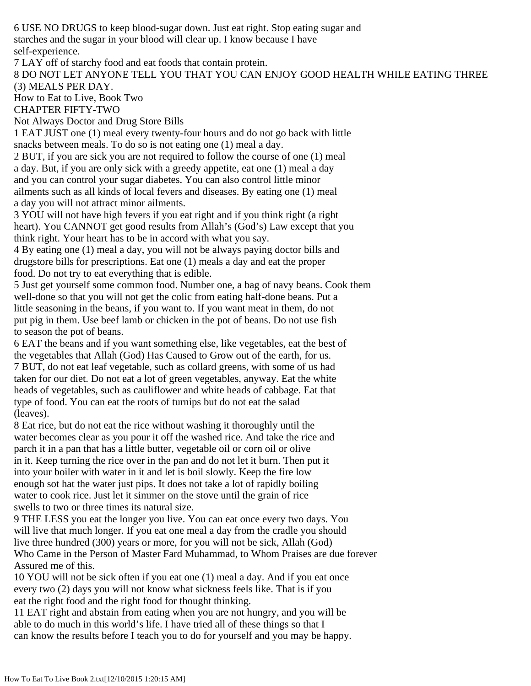6 USE NO DRUGS to keep blood-sugar down. Just eat right. Stop eating sugar and starches and the sugar in your blood will clear up. I know because I have self-experience.

7 LAY off of starchy food and eat foods that contain protein.

8 DO NOT LET ANYONE TELL YOU THAT YOU CAN ENJOY GOOD HEALTH WHILE EATING THREE (3) MEALS PER DAY.

How to Eat to Live, Book Two

CHAPTER FIFTY-TWO

Not Always Doctor and Drug Store Bills

1 EAT JUST one (1) meal every twenty-four hours and do not go back with little snacks between meals. To do so is not eating one (1) meal a day.

2 BUT, if you are sick you are not required to follow the course of one (1) meal a day. But, if you are only sick with a greedy appetite, eat one (1) meal a day and you can control your sugar diabetes. You can also control little minor ailments such as all kinds of local fevers and diseases. By eating one (1) meal a day you will not attract minor ailments.

3 YOU will not have high fevers if you eat right and if you think right (a right heart). You CANNOT get good results from Allah's (God's) Law except that you think right. Your heart has to be in accord with what you say.

4 By eating one (1) meal a day, you will not be always paying doctor bills and drugstore bills for prescriptions. Eat one (1) meals a day and eat the proper food. Do not try to eat everything that is edible.

5 Just get yourself some common food. Number one, a bag of navy beans. Cook them well-done so that you will not get the colic from eating half-done beans. Put a little seasoning in the beans, if you want to. If you want meat in them, do not put pig in them. Use beef lamb or chicken in the pot of beans. Do not use fish to season the pot of beans.

6 EAT the beans and if you want something else, like vegetables, eat the best of the vegetables that Allah (God) Has Caused to Grow out of the earth, for us. 7 BUT, do not eat leaf vegetable, such as collard greens, with some of us had taken for our diet. Do not eat a lot of green vegetables, anyway. Eat the white heads of vegetables, such as cauliflower and white heads of cabbage. Eat that type of food. You can eat the roots of turnips but do not eat the salad (leaves).

8 Eat rice, but do not eat the rice without washing it thoroughly until the water becomes clear as you pour it off the washed rice. And take the rice and parch it in a pan that has a little butter, vegetable oil or corn oil or olive in it. Keep turning the rice over in the pan and do not let it burn. Then put it into your boiler with water in it and let is boil slowly. Keep the fire low enough sot hat the water just pips. It does not take a lot of rapidly boiling water to cook rice. Just let it simmer on the stove until the grain of rice swells to two or three times its natural size.

9 THE LESS you eat the longer you live. You can eat once every two days. You will live that much longer. If you eat one meal a day from the cradle you should live three hundred (300) years or more, for you will not be sick, Allah (God) Who Came in the Person of Master Fard Muhammad, to Whom Praises are due forever Assured me of this.

10 YOU will not be sick often if you eat one (1) meal a day. And if you eat once every two (2) days you will not know what sickness feels like. That is if you eat the right food and the right food for thought thinking.

11 EAT right and abstain from eating when you are not hungry, and you will be able to do much in this world's life. I have tried all of these things so that I can know the results before I teach you to do for yourself and you may be happy.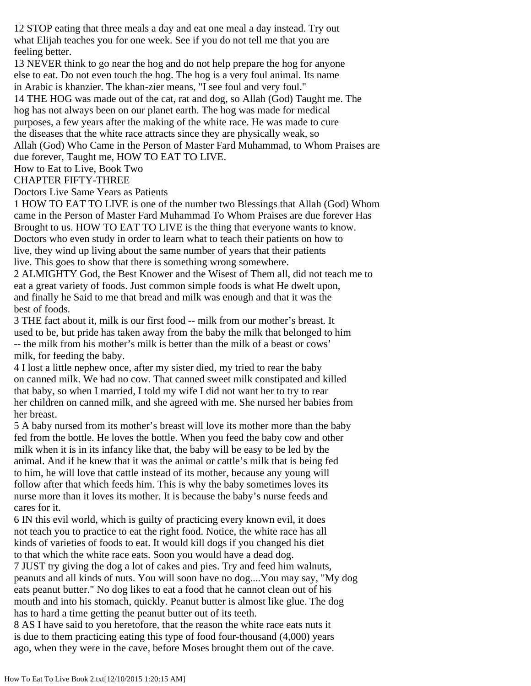12 STOP eating that three meals a day and eat one meal a day instead. Try out what Elijah teaches you for one week. See if you do not tell me that you are feeling better.

13 NEVER think to go near the hog and do not help prepare the hog for anyone else to eat. Do not even touch the hog. The hog is a very foul animal. Its name in Arabic is khanzier. The khan-zier means, "I see foul and very foul." 14 THE HOG was made out of the cat, rat and dog, so Allah (God) Taught me. The hog has not always been on our planet earth. The hog was made for medical purposes, a few years after the making of the white race. He was made to cure the diseases that the white race attracts since they are physically weak, so Allah (God) Who Came in the Person of Master Fard Muhammad, to Whom Praises are due forever, Taught me, HOW TO EAT TO LIVE.

How to Eat to Live, Book Two

## CHAPTER FIFTY-THREE

Doctors Live Same Years as Patients

1 HOW TO EAT TO LIVE is one of the number two Blessings that Allah (God) Whom came in the Person of Master Fard Muhammad To Whom Praises are due forever Has Brought to us. HOW TO EAT TO LIVE is the thing that everyone wants to know. Doctors who even study in order to learn what to teach their patients on how to live, they wind up living about the same number of years that their patients live. This goes to show that there is something wrong somewhere.

2 ALMIGHTY God, the Best Knower and the Wisest of Them all, did not teach me to eat a great variety of foods. Just common simple foods is what He dwelt upon, and finally he Said to me that bread and milk was enough and that it was the best of foods.

3 THE fact about it, milk is our first food -- milk from our mother's breast. It used to be, but pride has taken away from the baby the milk that belonged to him -- the milk from his mother's milk is better than the milk of a beast or cows' milk, for feeding the baby.

4 I lost a little nephew once, after my sister died, my tried to rear the baby on canned milk. We had no cow. That canned sweet milk constipated and killed that baby, so when I married, I told my wife I did not want her to try to rear her children on canned milk, and she agreed with me. She nursed her babies from her breast.

5 A baby nursed from its mother's breast will love its mother more than the baby fed from the bottle. He loves the bottle. When you feed the baby cow and other milk when it is in its infancy like that, the baby will be easy to be led by the animal. And if he knew that it was the animal or cattle's milk that is being fed to him, he will love that cattle instead of its mother, because any young will follow after that which feeds him. This is why the baby sometimes loves its nurse more than it loves its mother. It is because the baby's nurse feeds and cares for it.

6 IN this evil world, which is guilty of practicing every known evil, it does not teach you to practice to eat the right food. Notice, the white race has all kinds of varieties of foods to eat. It would kill dogs if you changed his diet to that which the white race eats. Soon you would have a dead dog.

7 JUST try giving the dog a lot of cakes and pies. Try and feed him walnuts, peanuts and all kinds of nuts. You will soon have no dog....You may say, "My dog eats peanut butter." No dog likes to eat a food that he cannot clean out of his mouth and into his stomach, quickly. Peanut butter is almost like glue. The dog has to hard a time getting the peanut butter out of its teeth.

8 AS I have said to you heretofore, that the reason the white race eats nuts it is due to them practicing eating this type of food four-thousand (4,000) years ago, when they were in the cave, before Moses brought them out of the cave.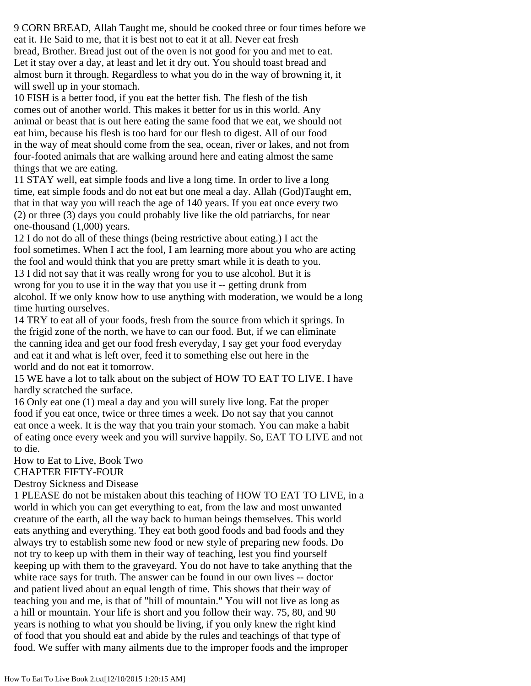9 CORN BREAD, Allah Taught me, should be cooked three or four times before we eat it. He Said to me, that it is best not to eat it at all. Never eat fresh bread, Brother. Bread just out of the oven is not good for you and met to eat. Let it stay over a day, at least and let it dry out. You should toast bread and almost burn it through. Regardless to what you do in the way of browning it, it will swell up in your stomach.

10 FISH is a better food, if you eat the better fish. The flesh of the fish comes out of another world. This makes it better for us in this world. Any animal or beast that is out here eating the same food that we eat, we should not eat him, because his flesh is too hard for our flesh to digest. All of our food in the way of meat should come from the sea, ocean, river or lakes, and not from four-footed animals that are walking around here and eating almost the same things that we are eating.

11 STAY well, eat simple foods and live a long time. In order to live a long time, eat simple foods and do not eat but one meal a day. Allah (God)Taught em, that in that way you will reach the age of 140 years. If you eat once every two (2) or three (3) days you could probably live like the old patriarchs, for near one-thousand (1,000) years.

12 I do not do all of these things (being restrictive about eating.) I act the fool sometimes. When I act the fool, I am learning more about you who are acting the fool and would think that you are pretty smart while it is death to you. 13 I did not say that it was really wrong for you to use alcohol. But it is wrong for you to use it in the way that you use it -- getting drunk from alcohol. If we only know how to use anything with moderation, we would be a long time hurting ourselves.

14 TRY to eat all of your foods, fresh from the source from which it springs. In the frigid zone of the north, we have to can our food. But, if we can eliminate the canning idea and get our food fresh everyday, I say get your food everyday and eat it and what is left over, feed it to something else out here in the world and do not eat it tomorrow.

15 WE have a lot to talk about on the subject of HOW TO EAT TO LIVE. I have hardly scratched the surface.

16 Only eat one (1) meal a day and you will surely live long. Eat the proper food if you eat once, twice or three times a week. Do not say that you cannot eat once a week. It is the way that you train your stomach. You can make a habit of eating once every week and you will survive happily. So, EAT TO LIVE and not to die.

#### How to Eat to Live, Book Two CHAPTER FIFTY-FOUR

# Destroy Sickness and Disease

1 PLEASE do not be mistaken about this teaching of HOW TO EAT TO LIVE, in a world in which you can get everything to eat, from the law and most unwanted creature of the earth, all the way back to human beings themselves. This world eats anything and everything. They eat both good foods and bad foods and they always try to establish some new food or new style of preparing new foods. Do not try to keep up with them in their way of teaching, lest you find yourself keeping up with them to the graveyard. You do not have to take anything that the white race says for truth. The answer can be found in our own lives -- doctor and patient lived about an equal length of time. This shows that their way of teaching you and me, is that of "hill of mountain." You will not live as long as a hill or mountain. Your life is short and you follow their way. 75, 80, and 90 years is nothing to what you should be living, if you only knew the right kind of food that you should eat and abide by the rules and teachings of that type of food. We suffer with many ailments due to the improper foods and the improper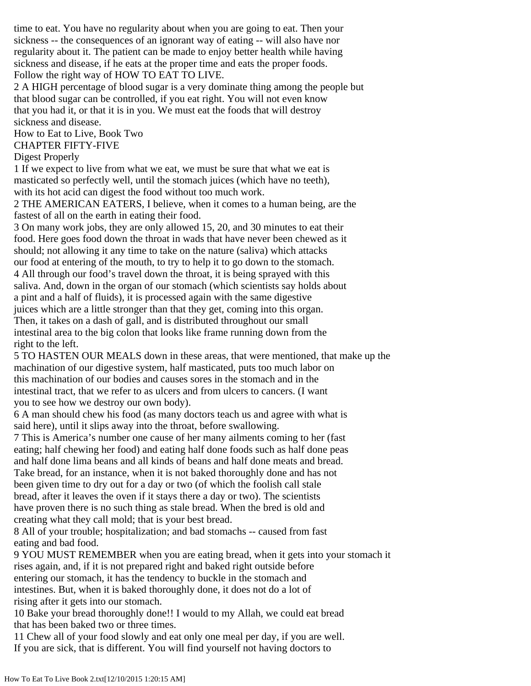time to eat. You have no regularity about when you are going to eat. Then your sickness -- the consequences of an ignorant way of eating -- will also have nor regularity about it. The patient can be made to enjoy better health while having sickness and disease, if he eats at the proper time and eats the proper foods. Follow the right way of HOW TO EAT TO LIVE.

2 A HIGH percentage of blood sugar is a very dominate thing among the people but that blood sugar can be controlled, if you eat right. You will not even know that you had it, or that it is in you. We must eat the foods that will destroy sickness and disease.

How to Eat to Live, Book Two

CHAPTER FIFTY-FIVE

Digest Properly

1 If we expect to live from what we eat, we must be sure that what we eat is masticated so perfectly well, until the stomach juices (which have no teeth), with its hot acid can digest the food without too much work.

2 THE AMERICAN EATERS, I believe, when it comes to a human being, are the fastest of all on the earth in eating their food.

3 On many work jobs, they are only allowed 15, 20, and 30 minutes to eat their food. Here goes food down the throat in wads that have never been chewed as it should; not allowing it any time to take on the nature (saliva) which attacks our food at entering of the mouth, to try to help it to go down to the stomach. 4 All through our food's travel down the throat, it is being sprayed with this saliva. And, down in the organ of our stomach (which scientists say holds about a pint and a half of fluids), it is processed again with the same digestive juices which are a little stronger than that they get, coming into this organ. Then, it takes on a dash of gall, and is distributed throughout our small intestinal area to the big colon that looks like frame running down from the right to the left.

5 TO HASTEN OUR MEALS down in these areas, that were mentioned, that make up the machination of our digestive system, half masticated, puts too much labor on this machination of our bodies and causes sores in the stomach and in the intestinal tract, that we refer to as ulcers and from ulcers to cancers. (I want you to see how we destroy our own body).

6 A man should chew his food (as many doctors teach us and agree with what is said here), until it slips away into the throat, before swallowing.

7 This is America's number one cause of her many ailments coming to her (fast eating; half chewing her food) and eating half done foods such as half done peas and half done lima beans and all kinds of beans and half done meats and bread. Take bread, for an instance, when it is not baked thoroughly done and has not been given time to dry out for a day or two (of which the foolish call stale bread, after it leaves the oven if it stays there a day or two). The scientists have proven there is no such thing as stale bread. When the bred is old and creating what they call mold; that is your best bread.

8 All of your trouble; hospitalization; and bad stomachs -- caused from fast eating and bad food.

9 YOU MUST REMEMBER when you are eating bread, when it gets into your stomach it rises again, and, if it is not prepared right and baked right outside before entering our stomach, it has the tendency to buckle in the stomach and intestines. But, when it is baked thoroughly done, it does not do a lot of rising after it gets into our stomach.

10 Bake your bread thoroughly done!! I would to my Allah, we could eat bread that has been baked two or three times.

11 Chew all of your food slowly and eat only one meal per day, if you are well. If you are sick, that is different. You will find yourself not having doctors to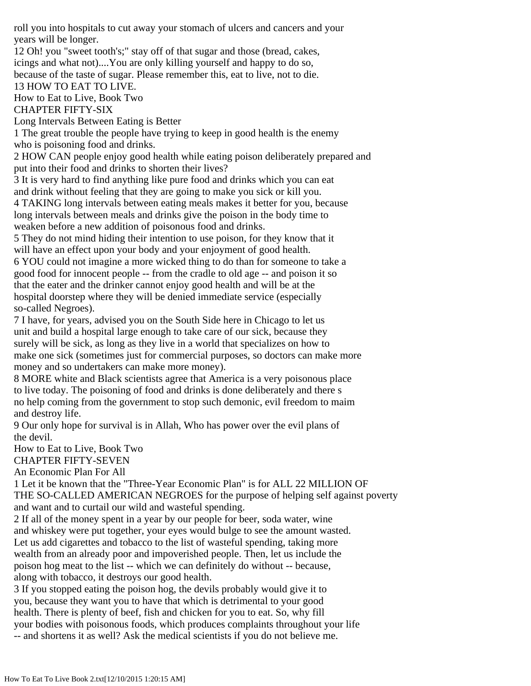roll you into hospitals to cut away your stomach of ulcers and cancers and your years will be longer.

12 Oh! you "sweet tooth's;" stay off of that sugar and those (bread, cakes, icings and what not)....You are only killing yourself and happy to do so, because of the taste of sugar. Please remember this, eat to live, not to die. 13 HOW TO EAT TO LIVE.

How to Eat to Live, Book Two

CHAPTER FIFTY-SIX

Long Intervals Between Eating is Better

1 The great trouble the people have trying to keep in good health is the enemy who is poisoning food and drinks.

2 HOW CAN people enjoy good health while eating poison deliberately prepared and put into their food and drinks to shorten their lives?

3 It is very hard to find anything like pure food and drinks which you can eat and drink without feeling that they are going to make you sick or kill you. 4 TAKING long intervals between eating meals makes it better for you, because long intervals between meals and drinks give the poison in the body time to weaken before a new addition of poisonous food and drinks.

5 They do not mind hiding their intention to use poison, for they know that it will have an effect upon your body and your enjoyment of good health.

6 YOU could not imagine a more wicked thing to do than for someone to take a good food for innocent people -- from the cradle to old age -- and poison it so that the eater and the drinker cannot enjoy good health and will be at the hospital doorstep where they will be denied immediate service (especially so-called Negroes).

7 I have, for years, advised you on the South Side here in Chicago to let us unit and build a hospital large enough to take care of our sick, because they surely will be sick, as long as they live in a world that specializes on how to make one sick (sometimes just for commercial purposes, so doctors can make more money and so undertakers can make more money).

8 MORE white and Black scientists agree that America is a very poisonous place to live today. The poisoning of food and drinks is done deliberately and there s no help coming from the government to stop such demonic, evil freedom to maim and destroy life.

9 Our only hope for survival is in Allah, Who has power over the evil plans of the devil.

How to Eat to Live, Book Two

CHAPTER FIFTY-SEVEN

An Economic Plan For All

1 Let it be known that the "Three-Year Economic Plan" is for ALL 22 MILLION OF THE SO-CALLED AMERICAN NEGROES for the purpose of helping self against poverty and want and to curtail our wild and wasteful spending.

2 If all of the money spent in a year by our people for beer, soda water, wine and whiskey were put together, your eyes would bulge to see the amount wasted. Let us add cigarettes and tobacco to the list of wasteful spending, taking more wealth from an already poor and impoverished people. Then, let us include the poison hog meat to the list -- which we can definitely do without -- because, along with tobacco, it destroys our good health.

3 If you stopped eating the poison hog, the devils probably would give it to you, because they want you to have that which is detrimental to your good health. There is plenty of beef, fish and chicken for you to eat. So, why fill your bodies with poisonous foods, which produces complaints throughout your life -- and shortens it as well? Ask the medical scientists if you do not believe me.